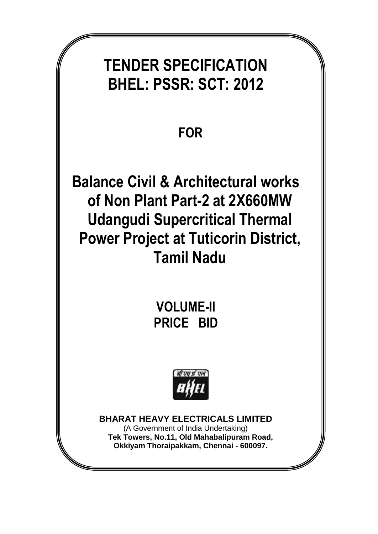# **TENDER SPECIFICATION BHEL: PSSR: SCT: 2012**

## **FOR**

**Balance Civil & Architectural works of Non Plant Part-2 at 2X660MW Udangudi Supercritical Thermal Power Project at Tuticorin District, Tamil Nadu**

> **VOLUME-II PRICE BID**



**BHARAT HEAVY ELECTRICALS LIMITED**

(A Government of India Undertaking) **Tek Towers, No.11, Old Mahabalipuram Road, Okkiyam Thoraipakkam, Chennai - 600097.**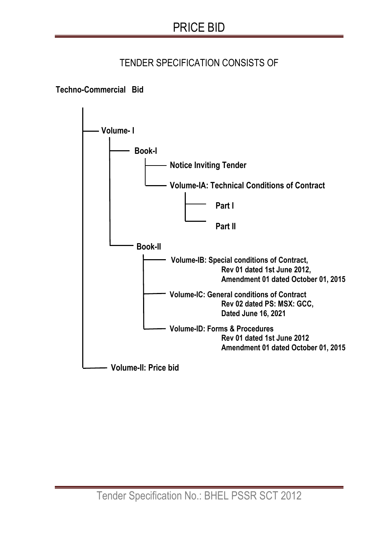### TENDER SPECIFICATION CONSISTS OF

#### **Techno-Commercial Bid**

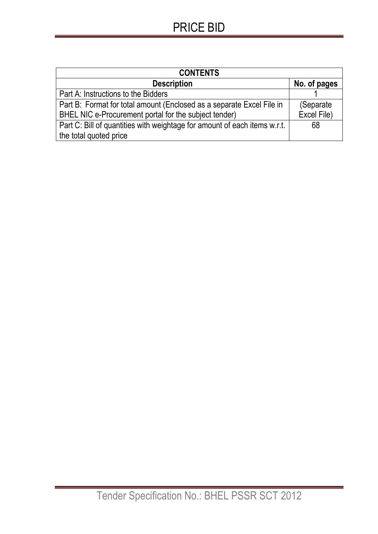## PRICE BID

| <b>CONTENTS</b>                                                           |              |
|---------------------------------------------------------------------------|--------------|
| <b>Description</b>                                                        | No. of pages |
| Part A: Instructions to the Bidders                                       |              |
| Part B: Format for total amount (Enclosed as a separate Excel File in     | (Separate)   |
| BHEL NIC e-Procurement portal for the subject tender)                     | Excel File)  |
| Part C: Bill of quantities with weightage for amount of each items w.r.t. | 68           |
| the total quoted price                                                    |              |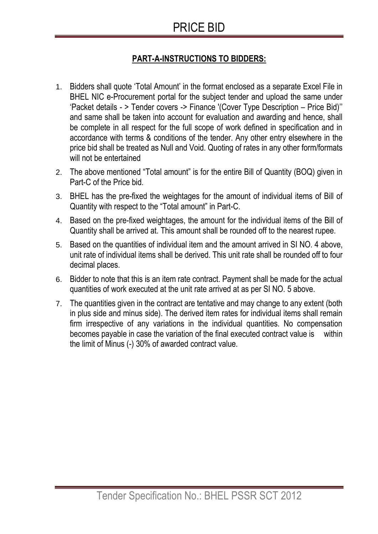## PRICE BID

#### **PART-A-INSTRUCTIONS TO BIDDERS:**

- 1. Bidders shall quote 'Total Amount' in the format enclosed as a separate Excel File in BHEL NIC e-Procurement portal for the subject tender and upload the same under 'Packet details - > Tender covers -> Finance '(Cover Type Description – Price Bid)'' and same shall be taken into account for evaluation and awarding and hence, shall be complete in all respect for the full scope of work defined in specification and in accordance with terms & conditions of the tender. Any other entry elsewhere in the price bid shall be treated as Null and Void. Quoting of rates in any other form/formats will not be entertained
- 2. The above mentioned "Total amount" is for the entire Bill of Quantity (BOQ) given in Part-C of the Price bid.
- 3. BHEL has the pre-fixed the weightages for the amount of individual items of Bill of Quantity with respect to the "Total amount" in Part-C.
- 4. Based on the pre-fixed weightages, the amount for the individual items of the Bill of Quantity shall be arrived at. This amount shall be rounded off to the nearest rupee.
- 5. Based on the quantities of individual item and the amount arrived in SI NO. 4 above, unit rate of individual items shall be derived. This unit rate shall be rounded off to four decimal places.
- 6. Bidder to note that this is an item rate contract. Payment shall be made for the actual quantities of work executed at the unit rate arrived at as per SI NO. 5 above.
- 7. The quantities given in the contract are tentative and may change to any extent (both in plus side and minus side). The derived item rates for individual items shall remain firm irrespective of any variations in the individual quantities. No compensation becomes payable in case the variation of the final executed contract value is within the limit of Minus (-) 30% of awarded contract value.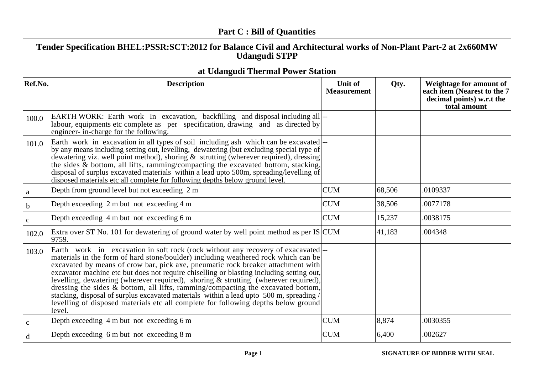|              | <b>Part C: Bill of Quantities</b>                                                                                                                                                                                                                                                                                                                                                                                                                                                                                                                                                                                                                                                                                                |                                      |        |                                                                                                     |
|--------------|----------------------------------------------------------------------------------------------------------------------------------------------------------------------------------------------------------------------------------------------------------------------------------------------------------------------------------------------------------------------------------------------------------------------------------------------------------------------------------------------------------------------------------------------------------------------------------------------------------------------------------------------------------------------------------------------------------------------------------|--------------------------------------|--------|-----------------------------------------------------------------------------------------------------|
|              | Tender Specification BHEL:PSSR:SCT:2012 for Balance Civil and Architectural works of Non-Plant Part-2 at 2x660MW<br><b>Udangudi STPP</b>                                                                                                                                                                                                                                                                                                                                                                                                                                                                                                                                                                                         |                                      |        |                                                                                                     |
|              | at Udangudi Thermal Power Station                                                                                                                                                                                                                                                                                                                                                                                                                                                                                                                                                                                                                                                                                                |                                      |        |                                                                                                     |
| Ref.No.      | <b>Description</b>                                                                                                                                                                                                                                                                                                                                                                                                                                                                                                                                                                                                                                                                                                               | <b>Unit of</b><br><b>Measurement</b> | Qty.   | Weightage for amount of<br>each item (Nearest to the 7<br>decimal points) w.r.t the<br>total amount |
| 100.0        | EARTH WORK: Earth work In excavation, backfilling and disposal including all  --<br>labour, equipments etc complete as per specification, drawing and as directed by<br>engineer- in-charge for the following.                                                                                                                                                                                                                                                                                                                                                                                                                                                                                                                   |                                      |        |                                                                                                     |
| 101.0        | Earth work in excavation in all types of soil including ash which can be excavated  --<br>by any means including setting out, levelling, dewatering (but excluding special type of<br>dewatering viz. well point method), shoring & strutting (wherever required), dressing<br>the sides & bottom, all lifts, ramming/compacting the excavated bottom, stacking,<br>disposal of surplus excavated materials within a lead upto 500m, spreading/levelling of<br>disposed materials etc all complete for following depths below ground level.                                                                                                                                                                                      |                                      |        |                                                                                                     |
| a            | Depth from ground level but not exceeding 2 m                                                                                                                                                                                                                                                                                                                                                                                                                                                                                                                                                                                                                                                                                    | <b>CUM</b>                           | 68,506 | .0109337                                                                                            |
| $\mathbf b$  | Depth exceeding 2 m but not exceeding 4 m                                                                                                                                                                                                                                                                                                                                                                                                                                                                                                                                                                                                                                                                                        | <b>CUM</b>                           | 38,506 | .0077178                                                                                            |
| $\mathbf{C}$ | Depth exceeding 4 m but not exceeding 6 m                                                                                                                                                                                                                                                                                                                                                                                                                                                                                                                                                                                                                                                                                        | <b>CUM</b>                           | 15,237 | .0038175                                                                                            |
| 102.0        | Extra over ST No. 101 for dewatering of ground water by well point method as per $IS CUM$<br>9759.                                                                                                                                                                                                                                                                                                                                                                                                                                                                                                                                                                                                                               |                                      | 41,183 | .004348                                                                                             |
| 103.0        | Earth work in excavation in soft rock (rock without any recovery of exacavated)--<br>materials in the form of hard stone/boulder) including weathered rock which can be<br>excavated by means of crow bar, pick axe, pneumatic rock breaker attachment with<br>excavator machine etc but does not require chiselling or blasting including setting out,<br>levelling, dewatering (wherever required), shoring & strutting (wherever required),<br>dressing the sides $\&$ bottom, all lifts, ramming/compacting the excavated bottom,<br>stacking, disposal of surplus excavated materials within a lead upto 500 m, spreading /<br>levelling of disposed materials etc all complete for following depths below ground<br>level. |                                      |        |                                                                                                     |
| $\mathbf{C}$ | Depth exceeding 4 m but not exceeding 6 m                                                                                                                                                                                                                                                                                                                                                                                                                                                                                                                                                                                                                                                                                        | <b>CUM</b>                           | 8,874  | .0030355                                                                                            |
| d            | Depth exceeding 6 m but not exceeding 8 m                                                                                                                                                                                                                                                                                                                                                                                                                                                                                                                                                                                                                                                                                        | <b>CUM</b>                           | 6,400  | .002627                                                                                             |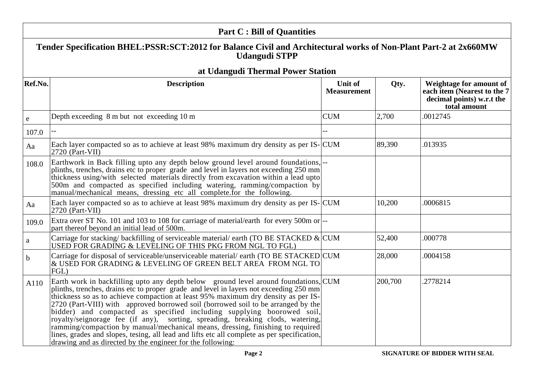|             | <b>Part C: Bill of Quantities</b>                                                                                                                                                                                                                                                                                                                                                                                                                                                                                                                                                                                                                                                                                                                                 |                                      |         |                                                                                                     |
|-------------|-------------------------------------------------------------------------------------------------------------------------------------------------------------------------------------------------------------------------------------------------------------------------------------------------------------------------------------------------------------------------------------------------------------------------------------------------------------------------------------------------------------------------------------------------------------------------------------------------------------------------------------------------------------------------------------------------------------------------------------------------------------------|--------------------------------------|---------|-----------------------------------------------------------------------------------------------------|
|             | Tender Specification BHEL:PSSR:SCT:2012 for Balance Civil and Architectural works of Non-Plant Part-2 at 2x660MW<br><b>Udangudi STPP</b>                                                                                                                                                                                                                                                                                                                                                                                                                                                                                                                                                                                                                          |                                      |         |                                                                                                     |
|             | at Udangudi Thermal Power Station                                                                                                                                                                                                                                                                                                                                                                                                                                                                                                                                                                                                                                                                                                                                 |                                      |         |                                                                                                     |
| Ref.No.     | <b>Description</b>                                                                                                                                                                                                                                                                                                                                                                                                                                                                                                                                                                                                                                                                                                                                                | <b>Unit of</b><br><b>Measurement</b> | Qty.    | Weightage for amount of<br>each item (Nearest to the 7<br>decimal points) w.r.t the<br>total amount |
| ${\bf e}$   | Depth exceeding 8 m but not exceeding 10 m                                                                                                                                                                                                                                                                                                                                                                                                                                                                                                                                                                                                                                                                                                                        | <b>CUM</b>                           | 2,700   | .0012745                                                                                            |
| 107.0       |                                                                                                                                                                                                                                                                                                                                                                                                                                                                                                                                                                                                                                                                                                                                                                   |                                      |         |                                                                                                     |
| Aa          | Each layer compacted so as to achieve at least 98% maximum dry density as per IS-CUM<br>$2720$ (Part-VII)                                                                                                                                                                                                                                                                                                                                                                                                                                                                                                                                                                                                                                                         |                                      | 89,390  | .013935                                                                                             |
| 108.0       | Earthwork in Back filling upto any depth below ground level around foundations,<br>plinths, trenches, drains etc to proper grade and level in layers not exceeding 250 mm<br>thickness using/with selected materials directly from excavation within a lead upto<br>500m and compacted as specified including watering, ramming/compaction by<br>manual/mechanical means, dressing etc all complete.for the following.                                                                                                                                                                                                                                                                                                                                            |                                      |         |                                                                                                     |
| Aa          | Each layer compacted so as to achieve at least 98% maximum dry density as per IS-CUM<br>$(2720)$ (Part-VII)                                                                                                                                                                                                                                                                                                                                                                                                                                                                                                                                                                                                                                                       |                                      | 10,200  | .0006815                                                                                            |
| 109.0       | Extra over ST No. 101 and 103 to 108 for carriage of material/earth for every 500m or --<br>part thereof beyond an initial lead of 500m.                                                                                                                                                                                                                                                                                                                                                                                                                                                                                                                                                                                                                          |                                      |         |                                                                                                     |
| a           | Carriage for stacking/backfilling of serviceable material/earth (TO BE STACKED $\&$ CUM<br>USED FOR GRADING & LEVELING OF THIS PKG FROM NGL TO FGL)                                                                                                                                                                                                                                                                                                                                                                                                                                                                                                                                                                                                               |                                      | 52,400  | .000778                                                                                             |
| $\mathbf b$ | Carriage for disposal of serviceable/unserviceable material/ earth (TO BE STACKED CUM<br>& USED FOR GRADING & LEVELING OF GREEN BELT AREA FROM NGL TO<br>FGL)                                                                                                                                                                                                                                                                                                                                                                                                                                                                                                                                                                                                     |                                      | 28,000  | .0004158                                                                                            |
| A110        | Earth work in backfilling upto any depth below ground level around foundations, CUM<br>plinths, trenches, drains etc to proper grade and level in layers not exceeding 250 mm<br>thickness so as to achieve compaction at least 95% maximum dry density as per IS-<br>2720 (Part-VIII) with approved borrowed soil (borrowed soil to be arranged by the<br>bidder) and compacted as specified including supplying boorowed soil,<br>royalty/seignorage fee (if any), sorting, spreading, breaking clods, watering,<br>ramming/compaction by manual/mechanical means, dressing, finishing to required<br>lines, grades and slopes, tesing, all lead and lifts etc all complete as per specification,<br>drawing and as directed by the engineer for the following: |                                      | 200,700 | .2778214                                                                                            |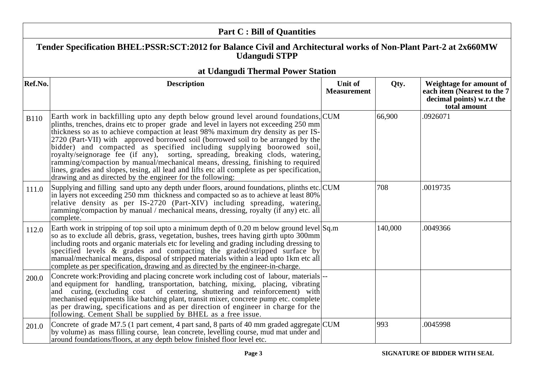|             | <b>Part C: Bill of Quantities</b>                                                                                                                                                                                                                                                                                                                                                                                                                                                                                                                                                                                                                                                                                                                                |                               |         |                                                                                                     |
|-------------|------------------------------------------------------------------------------------------------------------------------------------------------------------------------------------------------------------------------------------------------------------------------------------------------------------------------------------------------------------------------------------------------------------------------------------------------------------------------------------------------------------------------------------------------------------------------------------------------------------------------------------------------------------------------------------------------------------------------------------------------------------------|-------------------------------|---------|-----------------------------------------------------------------------------------------------------|
|             | Tender Specification BHEL:PSSR:SCT:2012 for Balance Civil and Architectural works of Non-Plant Part-2 at 2x660MW<br><b>Udangudi STPP</b>                                                                                                                                                                                                                                                                                                                                                                                                                                                                                                                                                                                                                         |                               |         |                                                                                                     |
|             | at Udangudi Thermal Power Station                                                                                                                                                                                                                                                                                                                                                                                                                                                                                                                                                                                                                                                                                                                                |                               |         |                                                                                                     |
| Ref.No.     | <b>Description</b>                                                                                                                                                                                                                                                                                                                                                                                                                                                                                                                                                                                                                                                                                                                                               | Unit of<br><b>Measurement</b> | Qty.    | Weightage for amount of<br>each item (Nearest to the 7<br>decimal points) w.r.t the<br>total amount |
| <b>B110</b> | Earth work in backfilling upto any depth below ground level around foundations, CUM<br>plinths, trenches, drains etc to proper grade and level in layers not exceeding 250 mm<br>thickness so as to achieve compaction at least 98% maximum dry density as per IS-<br>2720 (Part-VII) with approved borrowed soil (borrowed soil to be arranged by the<br>bidder) and compacted as specified including supplying boorowed soil,<br>royalty/seignorage fee (if any), sorting, spreading, breaking clods, watering,<br>ramming/compaction by manual/mechanical means, dressing, finishing to required<br>lines, grades and slopes, tesing, all lead and lifts etc all complete as per specification,<br>drawing and as directed by the engineer for the following: |                               | 66,900  | .0926071                                                                                            |
| 111.0       | Supplying and filling sand upto any depth under floors, around foundations, plinths etc. CUM<br>in layers not exceeding 250 mm thickness and compacted so as to achieve at least 80%<br>relative density as per IS-2720 (Part-XIV) including spreading, watering,<br>ramming/compaction by manual / mechanical means, dressing, royalty (if any) etc. all<br>complete.                                                                                                                                                                                                                                                                                                                                                                                           |                               | 708     | .0019735                                                                                            |
| 112.0       | Earth work in stripping of top soil upto a minimum depth of 0.20 m below ground level $\text{Sq.m}$<br>so as to exclude all debris, grass, vegetation, bushes, trees having girth upto 300mm<br>including roots and organic materials etc for leveling and grading including dressing to<br>specified levels $\&$ grades and compacting the graded/stripped surface by<br>manual/mechanical means, disposal of stripped materials within a lead upto 1km etc all<br>complete as per specification, drawing and as directed by the engineer-in-charge.                                                                                                                                                                                                            |                               | 140,000 | .0049366                                                                                            |
| 200.0       | Concrete work: Providing and placing concrete work including cost of labour, materials  --<br>and equipment for handling, transportation, batching, mixing, placing, vibrating<br>and curing, (excluding cost of centering, shuttering and reinforcement) with<br>mechanised equipments like batching plant, transit mixer, concrete pump etc. complete<br>as per drawing, specifications and as per direction of engineer in charge for the<br>following. Cement Shall be supplied by BHEL as a free issue.                                                                                                                                                                                                                                                     |                               |         |                                                                                                     |
| 201.0       | Concrete of grade M7.5 (1 part cement, 4 part sand, 8 parts of 40 mm graded aggregate CUM<br>by volume) as mass filling course, lean concrete, levelling course, mud mat under and<br>around foundations/floors, at any depth below finished floor level etc.                                                                                                                                                                                                                                                                                                                                                                                                                                                                                                    |                               | 993     | .0045998                                                                                            |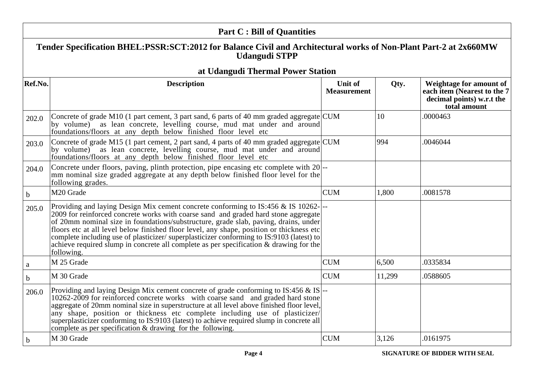| <b>Part C: Bill of Quantities</b> |                                                                                                                                                                                                                                                                                                                                                                                                                                                                                                                                                                |                               |              |                                                                                                     |
|-----------------------------------|----------------------------------------------------------------------------------------------------------------------------------------------------------------------------------------------------------------------------------------------------------------------------------------------------------------------------------------------------------------------------------------------------------------------------------------------------------------------------------------------------------------------------------------------------------------|-------------------------------|--------------|-----------------------------------------------------------------------------------------------------|
|                                   | Tender Specification BHEL:PSSR:SCT:2012 for Balance Civil and Architectural works of Non-Plant Part-2 at 2x660MW<br><b>Udangudi STPP</b>                                                                                                                                                                                                                                                                                                                                                                                                                       |                               |              |                                                                                                     |
|                                   | at Udangudi Thermal Power Station                                                                                                                                                                                                                                                                                                                                                                                                                                                                                                                              |                               |              |                                                                                                     |
| Ref.No.                           | <b>Description</b>                                                                                                                                                                                                                                                                                                                                                                                                                                                                                                                                             | Unit of<br><b>Measurement</b> | Qty.         | Weightage for amount of<br>each item (Nearest to the 7<br>decimal points) w.r.t the<br>total amount |
| 202.0                             | Concrete of grade M10 (1 part cement, 3 part sand, 6 parts of 40 mm graded aggregate $\text{CUM}$<br>by volume) as lean concrete, levelling course, mud mat under and around<br>foundations/floors at any depth below finished floor level etc                                                                                                                                                                                                                                                                                                                 |                               | $ 10\rangle$ | .0000463                                                                                            |
| 203.0                             | Concrete of grade M15 (1 part cement, 2 part sand, 4 parts of 40 mm graded aggregate CUM<br>by volume) as lean concrete, levelling course, mud mat under and around<br>foundations/floors at any depth below finished floor level etc                                                                                                                                                                                                                                                                                                                          |                               | 994          | .0046044                                                                                            |
| 204.0                             | Concrete under floors, paving, plinth protection, pipe encasing etc complete with 20 <sup>---</sup><br>mm nominal size graded aggregate at any depth below finished floor level for the<br>following grades.                                                                                                                                                                                                                                                                                                                                                   |                               |              |                                                                                                     |
| $\mathbf b$                       | M <sub>20</sub> Grade                                                                                                                                                                                                                                                                                                                                                                                                                                                                                                                                          | <b>CUM</b>                    | 1,800        | .0081578                                                                                            |
| 205.0                             | Providing and laying Design Mix cement concrete conforming to IS:456 & IS 10262-<br>2009 for reinforced concrete works with coarse sand and graded hard stone aggregate<br>of 20mm nominal size in foundations/substructure, grade slab, paving, drains, under<br>floors etc at all level below finished floor level, any shape, position or thickness etc<br>complete including use of plasticizer/superplasticizer conforming to IS:9103 (latest) to<br>achieve required slump in concrete all complete as per specification & drawing for the<br>following. |                               |              |                                                                                                     |
| a                                 | M 25 Grade                                                                                                                                                                                                                                                                                                                                                                                                                                                                                                                                                     | <b>CUM</b>                    | 6,500        | .0335834                                                                                            |
| b                                 | M 30 Grade                                                                                                                                                                                                                                                                                                                                                                                                                                                                                                                                                     | <b>CUM</b>                    | 11,299       | .0588605                                                                                            |
| 206.0                             | Providing and laying Design Mix cement concrete of grade conforming to IS:456 & IS $\left -\right $<br>10262-2009 for reinforced concrete works with coarse sand and graded hard stone<br>aggregate of 20mm nominal size in superstructure at all level above finished floor level,<br>any shape, position or thickness etc complete including use of plasticizer/<br>superplasticizer conforming to IS:9103 (latest) to achieve required slump in concrete all<br>complete as per specification & drawing for the following.                                  |                               |              |                                                                                                     |
| $\mathbf b$                       | M 30 Grade                                                                                                                                                                                                                                                                                                                                                                                                                                                                                                                                                     | <b>CUM</b>                    | 3,126        | .0161975                                                                                            |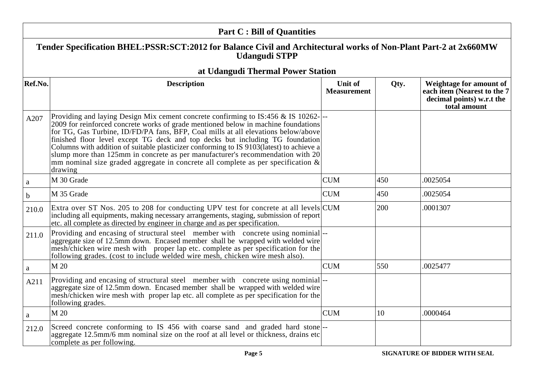|              | <b>Part C: Bill of Quantities</b>                                                                                                                                                                                                                                                                                                                                                                                                                                                                                                                                                                                            |                               |      |                                                                                                     |
|--------------|------------------------------------------------------------------------------------------------------------------------------------------------------------------------------------------------------------------------------------------------------------------------------------------------------------------------------------------------------------------------------------------------------------------------------------------------------------------------------------------------------------------------------------------------------------------------------------------------------------------------------|-------------------------------|------|-----------------------------------------------------------------------------------------------------|
|              | Tender Specification BHEL:PSSR:SCT:2012 for Balance Civil and Architectural works of Non-Plant Part-2 at 2x660MW<br><b>Udangudi STPP</b>                                                                                                                                                                                                                                                                                                                                                                                                                                                                                     |                               |      |                                                                                                     |
|              | at Udangudi Thermal Power Station                                                                                                                                                                                                                                                                                                                                                                                                                                                                                                                                                                                            |                               |      |                                                                                                     |
| Ref.No.      | <b>Description</b>                                                                                                                                                                                                                                                                                                                                                                                                                                                                                                                                                                                                           | Unit of<br><b>Measurement</b> | Qty. | Weightage for amount of<br>each item (Nearest to the 7<br>decimal points) w.r.t the<br>total amount |
| A207         | Providing and laying Design Mix cement concrete confirming to IS:456 & IS 10262-<br>2009 for reinforced concrete works of grade mentioned below in machine foundations<br>for TG, Gas Turbine, ID/FD/PA fans, BFP, Coal mills at all elevations below/above<br>finished floor level except TG deck and top decks but including TG foundation<br>Columns with addition of suitable plasticizer conforming to IS 9103(latest) to achieve a<br>slump more than 125mm in concrete as per manufacturer's recommendation with 20<br>mm nominal size graded aggregate in concrete all complete as per specification $\&$<br>drawing |                               |      |                                                                                                     |
| a            | M 30 Grade                                                                                                                                                                                                                                                                                                                                                                                                                                                                                                                                                                                                                   | <b>CUM</b>                    | 450  | .0025054                                                                                            |
| $\mathbf b$  | M 35 Grade                                                                                                                                                                                                                                                                                                                                                                                                                                                                                                                                                                                                                   | <b>CUM</b>                    | 450  | .0025054                                                                                            |
| 210.0        | Extra over ST Nos. 205 to 208 for conducting UPV test for concrete at all levels CUM<br>including all equipments, making necessary arrangements, staging, submission of report<br>etc. all complete as directed by engineer in charge and as per specification.                                                                                                                                                                                                                                                                                                                                                              |                               | 200  | .0001307                                                                                            |
| 211.0        | Providing and encasing of structural steel member with concrete using nominial-<br>aggregate size of 12.5mm down. Encased member shall be wrapped with welded wire<br>mesh/chicken wire mesh with proper lap etc. complete as per specification for the<br>following grades. (cost to include welded wire mesh, chicken wire mesh also).                                                                                                                                                                                                                                                                                     |                               |      |                                                                                                     |
| $\mathbf{a}$ | M 20                                                                                                                                                                                                                                                                                                                                                                                                                                                                                                                                                                                                                         | <b>CUM</b>                    | 550  | .0025477                                                                                            |
| A211         | Providing and encasing of structural steel member with concrete using nominial--<br>aggregate size of 12.5mm down. Encased member shall be wrapped with welded wire<br>mesh/chicken wire mesh with proper lap etc. all complete as per specification for the<br>following grades.                                                                                                                                                                                                                                                                                                                                            |                               |      |                                                                                                     |
| a            | M 20                                                                                                                                                                                                                                                                                                                                                                                                                                                                                                                                                                                                                         | <b>CUM</b>                    | 10   | .0000464                                                                                            |
| 212.0        | Screed concrete conforming to IS 456 with coarse sand and graded hard stone  --<br>aggregate 12.5mm/6 mm nominal size on the roof at all level or thickness, drains etc<br>complete as per following.                                                                                                                                                                                                                                                                                                                                                                                                                        |                               |      |                                                                                                     |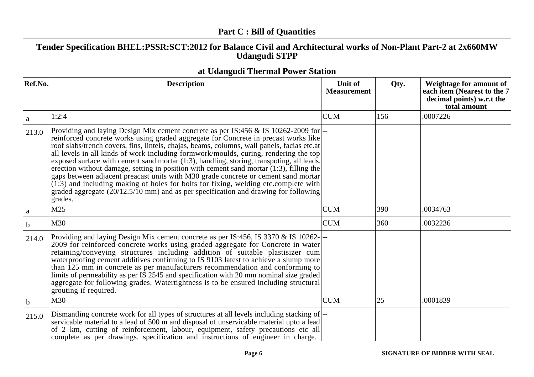|             | <b>Part C: Bill of Quantities</b>                                                                                                                                                                                                                                                                                                                                                                                                                                                                                                                                                                                                                                                                                                                                                                                                                                   |                               |      |                                                                                                     |
|-------------|---------------------------------------------------------------------------------------------------------------------------------------------------------------------------------------------------------------------------------------------------------------------------------------------------------------------------------------------------------------------------------------------------------------------------------------------------------------------------------------------------------------------------------------------------------------------------------------------------------------------------------------------------------------------------------------------------------------------------------------------------------------------------------------------------------------------------------------------------------------------|-------------------------------|------|-----------------------------------------------------------------------------------------------------|
|             | Tender Specification BHEL:PSSR:SCT:2012 for Balance Civil and Architectural works of Non-Plant Part-2 at 2x660MW<br><b>Udangudi STPP</b>                                                                                                                                                                                                                                                                                                                                                                                                                                                                                                                                                                                                                                                                                                                            |                               |      |                                                                                                     |
|             | at Udangudi Thermal Power Station                                                                                                                                                                                                                                                                                                                                                                                                                                                                                                                                                                                                                                                                                                                                                                                                                                   |                               |      |                                                                                                     |
| Ref.No.     | <b>Description</b>                                                                                                                                                                                                                                                                                                                                                                                                                                                                                                                                                                                                                                                                                                                                                                                                                                                  | Unit of<br><b>Measurement</b> | Qty. | Weightage for amount of<br>each item (Nearest to the 7<br>decimal points) w.r.t the<br>total amount |
| $\rm{a}$    | 1:2:4                                                                                                                                                                                                                                                                                                                                                                                                                                                                                                                                                                                                                                                                                                                                                                                                                                                               | <b>CUM</b>                    | 156  | .0007226                                                                                            |
| 213.0       | Providing and laying Design Mix cement concrete as per IS:456 & IS 10262-2009 for --<br>reinforced concrete works using graded aggregate for Concrete in precast works like<br>roof slabs/trench covers, fins, lintels, chajas, beams, columns, wall panels, facias etc.at<br>all levels in all kinds of work including formwork/moulds, curing, rendering the top<br>exposed surface with cement sand mortar (1:3), handling, storing, transpoting, all leads,<br>erection without damage, setting in position with cement sand mortar $(1:3)$ , filling the<br>gaps between adjacent preacast units with M30 grade concrete or cement sand mortar<br>$(1:3)$ and including making of holes for bolts for fixing, welding etc.complete with<br>graded aggregate $(20/12.5/\overline{10} \text{ mm})$ and as per specification and drawing for following<br>grades. |                               |      |                                                                                                     |
| a           | M25                                                                                                                                                                                                                                                                                                                                                                                                                                                                                                                                                                                                                                                                                                                                                                                                                                                                 | <b>CUM</b>                    | 390  | .0034763                                                                                            |
| $\mathbf b$ | M30                                                                                                                                                                                                                                                                                                                                                                                                                                                                                                                                                                                                                                                                                                                                                                                                                                                                 | <b>CUM</b>                    | 360  | .0032236                                                                                            |
| 214.0       | Providing and laying Design Mix cement concrete as per IS:456, IS 3370 & IS 10262-<br>2009 for reinforced concrete works using graded aggregate for Concrete in water<br>retaining/conveying structures including addition of suitable plastisizer cum<br>waterproofing cement additives confirming to IS 9103 latest to achieve a slump more<br>than 125 mm in concrete as per manufacturers recommendation and conforming to<br>limits of permeability as per IS 2545 and specification with 20 mm nominal size graded<br>aggregate for following grades. Watertightness is to be ensured including structural<br>grouting if required.                                                                                                                                                                                                                           |                               |      |                                                                                                     |
| $\mathbf b$ | M30                                                                                                                                                                                                                                                                                                                                                                                                                                                                                                                                                                                                                                                                                                                                                                                                                                                                 | <b>CUM</b>                    | 25   | .0001839                                                                                            |
| 215.0       | Dismantling concrete work for all types of structures at all levels including stacking of  --<br>servicable material to a lead of 500 m and disposal of unservicable material upto a lead<br>of 2 km, cutting of reinforcement, labour, equipment, safety precautions etc all<br>complete as per drawings, specification and instructions of engineer in charge.                                                                                                                                                                                                                                                                                                                                                                                                                                                                                                    |                               |      |                                                                                                     |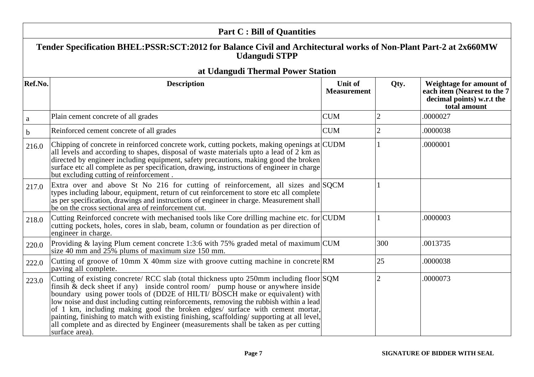| <b>Part C: Bill of Quantities</b> |                                                                                                                                                                                                                                                                                                                                                                                                                                                                                                                                                                                                                                             |                                      |                |                                                                                                     |
|-----------------------------------|---------------------------------------------------------------------------------------------------------------------------------------------------------------------------------------------------------------------------------------------------------------------------------------------------------------------------------------------------------------------------------------------------------------------------------------------------------------------------------------------------------------------------------------------------------------------------------------------------------------------------------------------|--------------------------------------|----------------|-----------------------------------------------------------------------------------------------------|
|                                   | Tender Specification BHEL:PSSR:SCT:2012 for Balance Civil and Architectural works of Non-Plant Part-2 at 2x660MW<br><b>Udangudi STPP</b>                                                                                                                                                                                                                                                                                                                                                                                                                                                                                                    |                                      |                |                                                                                                     |
|                                   | at Udangudi Thermal Power Station                                                                                                                                                                                                                                                                                                                                                                                                                                                                                                                                                                                                           |                                      |                |                                                                                                     |
| Ref.No.                           | <b>Description</b>                                                                                                                                                                                                                                                                                                                                                                                                                                                                                                                                                                                                                          | <b>Unit of</b><br><b>Measurement</b> | Qty.           | Weightage for amount of<br>each item (Nearest to the 7<br>decimal points) w.r.t the<br>total amount |
| $\mathbf{a}$                      | Plain cement concrete of all grades                                                                                                                                                                                                                                                                                                                                                                                                                                                                                                                                                                                                         | <b>CUM</b>                           | 2              | .0000027                                                                                            |
| $\mathbf b$                       | Reinforced cement concrete of all grades                                                                                                                                                                                                                                                                                                                                                                                                                                                                                                                                                                                                    | <b>CUM</b>                           | $\overline{2}$ | .0000038                                                                                            |
| 216.0                             | Chipping of concrete in reinforced concrete work, cutting pockets, making openings at CUDM<br>all levels and according to shapes, disposal of waste materials upto a lead of 2 km as<br>directed by engineer including equipment, safety precautions, making good the broken<br>surface etc all complete as per specification, drawing, instructions of engineer in charge<br>but excluding cutting of reinforcement                                                                                                                                                                                                                        |                                      |                | .0000001                                                                                            |
| 217.0                             | Extra over and above St No 216 for cutting of reinforcement, all sizes and SQCM<br>types including labour, equipment, return of cut reinforcement to store etc all complete<br>as per specification, drawings and instructions of engineer in charge. Measurement shall<br>be on the cross sectional area of reinforcement cut.                                                                                                                                                                                                                                                                                                             |                                      |                |                                                                                                     |
| 218.0                             | Cutting Reinforced concrete with mechanised tools like Core drilling machine etc. for CUDM<br>cutting pockets, holes, cores in slab, beam, column or foundation as per direction of<br>engineer in charge.                                                                                                                                                                                                                                                                                                                                                                                                                                  |                                      | $\mathbf{1}$   | .0000003                                                                                            |
| 220.0                             | Providing & laying Plum cement concrete 1:3:6 with 75% graded metal of maximum $\text{CUM}$<br>size 40 mm and $25\%$ plums of maximum size 150 mm.                                                                                                                                                                                                                                                                                                                                                                                                                                                                                          |                                      | 300            | .0013735                                                                                            |
| 222.0                             | Cutting of groove of 10mm X 40mm size with groove cutting machine in concrete RM<br>paving all complete.                                                                                                                                                                                                                                                                                                                                                                                                                                                                                                                                    |                                      | $ 25\rangle$   | .0000038                                                                                            |
| 223.0                             | Cutting of existing concrete/ RCC slab (total thickness upto 250mm including floor SQM<br>finsih & deck sheet if any) inside control room/ pump house or anywhere inside<br>boundary using power tools of (DD2E of HILTI/ BOSCH make or equivalent) with<br>low noise and dust including cutting reinforcements, removing the rubbish within a lead<br>of 1 km, including making good the broken edges/ surface with cement mortar,<br>painting, finishing to match with existing finishing, scaffolding/supporting at all level,<br>all complete and as directed by Engineer (measurements shall be taken as per cutting<br>surface area). |                                      | $\overline{2}$ | .0000073                                                                                            |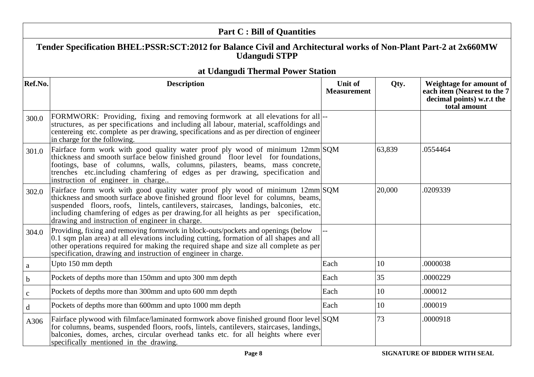|              | <b>Part C: Bill of Quantities</b>                                                                                                                                                                                                                                                                                                                                                                   |                               |        |                                                                                                     |
|--------------|-----------------------------------------------------------------------------------------------------------------------------------------------------------------------------------------------------------------------------------------------------------------------------------------------------------------------------------------------------------------------------------------------------|-------------------------------|--------|-----------------------------------------------------------------------------------------------------|
|              | Tender Specification BHEL:PSSR:SCT:2012 for Balance Civil and Architectural works of Non-Plant Part-2 at 2x660MW<br><b>Udangudi STPP</b>                                                                                                                                                                                                                                                            |                               |        |                                                                                                     |
|              | at Udangudi Thermal Power Station                                                                                                                                                                                                                                                                                                                                                                   |                               |        |                                                                                                     |
| Ref.No.      | <b>Description</b>                                                                                                                                                                                                                                                                                                                                                                                  | Unit of<br><b>Measurement</b> | Qty.   | Weightage for amount of<br>each item (Nearest to the 7<br>decimal points) w.r.t the<br>total amount |
| 300.0        | FORMWORK: Providing, fixing and removing formwork at all elevations for all-<br>structures, as per specifications and including all labour, material, scaffoldings and<br>centereing etc. complete as per drawing, specifications and as per direction of engineer<br>in charge for the following.                                                                                                  |                               |        |                                                                                                     |
| 301.0        | Fairface form work with good quality water proof ply wood of minimum 12mm SQM<br>thickness and smooth surface below finished ground floor level for foundations,<br>footings, base of columns, walls, columns, pilasters, beams, mass concrete,<br>trenches etc.including chamfering of edges as per drawing, specification and<br>instruction of engineer in charge                                |                               | 63,839 | .0554464                                                                                            |
| 302.0        | Fairface form work with good quality water proof ply wood of minimum 12mm SQM<br>thickness and smooth surface above finished ground floor level for columns, beams,<br>suspended floors, roofs, lintels, cantilevers, staircases, landings, balconies, etc.<br>including chamfering of edges as per drawing for all heights as per specification,<br>drawing and instruction of engineer in charge. |                               | 20,000 | .0209339                                                                                            |
| 304.0        | Providing, fixing and removing formwork in block-outs/pockets and openings (below<br>0.1 sqm plan area) at all elevations including cutting, formation of all shapes and all<br>other operations required for making the required shape and size all complete as per<br>specification, drawing and instruction of engineer in charge.                                                               |                               |        |                                                                                                     |
| $\mathbf{a}$ | Upto 150 mm depth                                                                                                                                                                                                                                                                                                                                                                                   | Each                          | 10     | .0000038                                                                                            |
| $\mathbf b$  | Pockets of depths more than 150mm and upto 300 mm depth                                                                                                                                                                                                                                                                                                                                             | Each                          | 35     | .0000229                                                                                            |
| $\mathbf c$  | Pockets of depths more than 300mm and upto 600 mm depth                                                                                                                                                                                                                                                                                                                                             | Each                          | 10     | .000012                                                                                             |
| $\mathbf d$  | Pockets of depths more than 600mm and upto 1000 mm depth                                                                                                                                                                                                                                                                                                                                            | Each                          | 10     | .000019                                                                                             |
| A306         | Fairface plywood with filmface/laminated formwork above finished ground floor level SQM<br>for columns, beams, suspended floors, roofs, lintels, cantilevers, staircases, landings,<br>balconies, domes, arches, circular overhead tanks etc. for all heights where ever<br>specifically mentioned in the drawing.                                                                                  |                               | 73     | .0000918                                                                                            |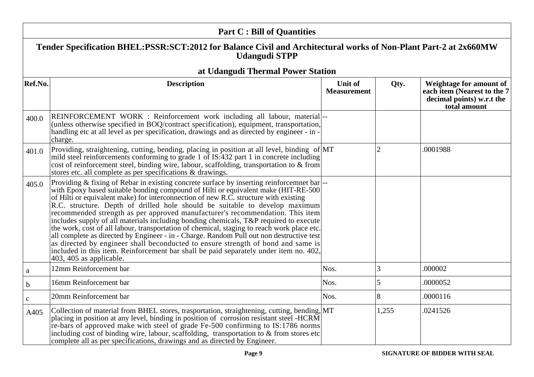|              | <b>Part C: Bill of Quantities</b>                                                                                                                                                                                                                                                                                                                                                                                                                                                                                                                                                                                                                                                                                                                                                                                                                                                                                                      |                                      |       |                                                                                                     |
|--------------|----------------------------------------------------------------------------------------------------------------------------------------------------------------------------------------------------------------------------------------------------------------------------------------------------------------------------------------------------------------------------------------------------------------------------------------------------------------------------------------------------------------------------------------------------------------------------------------------------------------------------------------------------------------------------------------------------------------------------------------------------------------------------------------------------------------------------------------------------------------------------------------------------------------------------------------|--------------------------------------|-------|-----------------------------------------------------------------------------------------------------|
|              | Tender Specification BHEL:PSSR:SCT:2012 for Balance Civil and Architectural works of Non-Plant Part-2 at 2x660MW<br><b>Udangudi STPP</b>                                                                                                                                                                                                                                                                                                                                                                                                                                                                                                                                                                                                                                                                                                                                                                                               |                                      |       |                                                                                                     |
|              | at Udangudi Thermal Power Station                                                                                                                                                                                                                                                                                                                                                                                                                                                                                                                                                                                                                                                                                                                                                                                                                                                                                                      |                                      |       |                                                                                                     |
| Ref.No.      | <b>Description</b>                                                                                                                                                                                                                                                                                                                                                                                                                                                                                                                                                                                                                                                                                                                                                                                                                                                                                                                     | <b>Unit of</b><br><b>Measurement</b> | Qty.  | Weightage for amount of<br>each item (Nearest to the 7<br>decimal points) w.r.t the<br>total amount |
| 400.0        | REINFORCEMENT WORK : Reinforcement work including all labour, material-<br>(unless otherwise specified in BOQ/contract specification), equipment, transportation,<br>handling etc at all level as per specification, drawings and as directed by engineer - in -<br>charge.                                                                                                                                                                                                                                                                                                                                                                                                                                                                                                                                                                                                                                                            |                                      |       |                                                                                                     |
| 401.0        | Providing, straightening, cutting, bending, placing in position at all level, binding of MT<br>mild steel reinforcements conforming to grade 1 of IS:432 part 1 in concrete including<br>cost of reinforcement steel, binding wire, labour, scaffolding, transportation to & from<br>stores etc. all complete as per specifications & drawings.                                                                                                                                                                                                                                                                                                                                                                                                                                                                                                                                                                                        |                                      |       | .0001988                                                                                            |
| 405.0        | Providing & fixing of Rebar in existing concrete surface by inserting reinforcemnet bar --<br>with Epoxy based suitable bonding compound of Hilti or equivalent make (HIT-RE-500)<br>of Hilti or equivalent make) for interconnection of new R.C. structure with existing<br>R.C. structure. Depth of drilled hole should be suitable to develop maximum<br>recommended strength as per approved manufacturer's recommendation. This item<br>includes supply of all materials including bonding chemicals, T&P required to execute<br>the work, cost of all labour, transportation of chemical, staging to reach work place etc.<br>all complete as directed by Engineer - in - Charge. Random Pull out non destructive test<br>as directed by engineer shall beconducted to ensure strength of bond and same is<br>included in this item. Reinforcement bar shall be paid separately under item no. 402,<br>$403, 405$ as applicable. |                                      |       |                                                                                                     |
| a            | 12mm Reinforcement bar                                                                                                                                                                                                                                                                                                                                                                                                                                                                                                                                                                                                                                                                                                                                                                                                                                                                                                                 | Nos.                                 | 3     | .000002                                                                                             |
| $\mathbf b$  | 16mm Reinforcement bar                                                                                                                                                                                                                                                                                                                                                                                                                                                                                                                                                                                                                                                                                                                                                                                                                                                                                                                 | Nos.                                 | 5     | .0000052                                                                                            |
| $\mathbf{C}$ | 20mm Reinforcement bar                                                                                                                                                                                                                                                                                                                                                                                                                                                                                                                                                                                                                                                                                                                                                                                                                                                                                                                 | Nos.                                 | 8     | .0000116                                                                                            |
| A405         | Collection of material from BHEL stores, trasportation, straightening, cutting, bending, MT<br>placing in position at any level, binding in position of corrosion resistant steel -HCRM<br>re-bars of approved make with steel of grade Fe-500 confirming to IS:1786 norms<br>including cost of binding wire, labour, scaffolding, transportation to & from stores etc<br>complete all as per specifications, drawings and as directed by Engineer.                                                                                                                                                                                                                                                                                                                                                                                                                                                                                    |                                      | 1,255 | .0241526                                                                                            |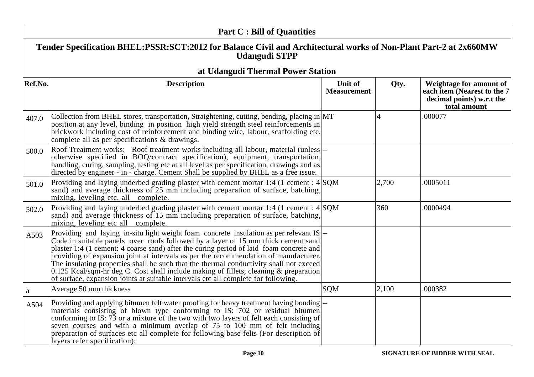|              | <b>Part C: Bill of Quantities</b>                                                                                                                                                                                                                                                                                                                                                                                                                                                                                                                                                                                                       |                                      |                |                                                                                                     |
|--------------|-----------------------------------------------------------------------------------------------------------------------------------------------------------------------------------------------------------------------------------------------------------------------------------------------------------------------------------------------------------------------------------------------------------------------------------------------------------------------------------------------------------------------------------------------------------------------------------------------------------------------------------------|--------------------------------------|----------------|-----------------------------------------------------------------------------------------------------|
|              | Tender Specification BHEL:PSSR:SCT:2012 for Balance Civil and Architectural works of Non-Plant Part-2 at 2x660MW<br><b>Udangudi STPP</b>                                                                                                                                                                                                                                                                                                                                                                                                                                                                                                |                                      |                |                                                                                                     |
|              | at Udangudi Thermal Power Station                                                                                                                                                                                                                                                                                                                                                                                                                                                                                                                                                                                                       |                                      |                |                                                                                                     |
| Ref.No.      | <b>Description</b>                                                                                                                                                                                                                                                                                                                                                                                                                                                                                                                                                                                                                      | <b>Unit of</b><br><b>Measurement</b> | Qty.           | Weightage for amount of<br>each item (Nearest to the 7<br>decimal points) w.r.t the<br>total amount |
| 407.0        | Collection from BHEL stores, transportation, Straightening, cutting, bending, placing in MT<br>position at any level, binding in position high yield strength steel reinforcements in<br>brickwork including cost of reinforcement and binding wire, labour, scaffolding etc.<br>complete all as per specifications & drawings.                                                                                                                                                                                                                                                                                                         |                                      | $\overline{4}$ | .000077                                                                                             |
| 500.0        | Roof Treatment works: Roof treatment works including all labour, material (unless)--<br>otherwise specified in BOQ/contract specification), equipment, transportation,<br>handling, curing, sampling, testing etc at all level as per specification, drawings and as<br>directed by engineer - in - charge. Cement Shall be supplied by BHEL as a free issue.                                                                                                                                                                                                                                                                           |                                      |                |                                                                                                     |
| 501.0        | Providing and laying underbed grading plaster with cement mortar 1:4 (1 cement : $4 SQM$ )<br>sand) and average thickness of 25 mm including preparation of surface, batching,<br>mixing, leveling etc. all complete.                                                                                                                                                                                                                                                                                                                                                                                                                   |                                      | 2,700          | .0005011                                                                                            |
| 502.0        | Providing and laying underbed grading plaster with cement mortar 1:4 (1 cement : $4 SQM$ )<br>sand) and average thickness of 15 mm including preparation of surface, batching,<br>mixing, leveling etc all complete.                                                                                                                                                                                                                                                                                                                                                                                                                    |                                      | 360            | .0000494                                                                                            |
| A503         | Providing and laying in-situ light weight foam concrete insulation as per relevant IS-<br>Code in suitable panels over roofs followed by a layer of 15 mm thick cement sand<br>plaster 1:4 (1 cement: 4 coarse sand) after the curing period of laid foam concrete and<br>providing of expansion joint at intervals as per the recommendation of manufacturer.<br>The insulating properties shall be such that the thermal conductivity shall not exceed<br>0.125 Kcal/sqm-hr deg C. Cost shall include making of fillets, cleaning & preparation<br>of surface, expansion joints at suitable intervals etc all complete for following. |                                      |                |                                                                                                     |
| $\mathbf{a}$ | Average 50 mm thickness                                                                                                                                                                                                                                                                                                                                                                                                                                                                                                                                                                                                                 | SQM                                  | 2,100          | .000382                                                                                             |
| A504         | Providing and applying bitumen felt water proofing for heavy treatment having bonding-<br>materials consisting of blown type conforming to IS: 702 or residual bitumen<br>conforming to IS: 73 or a mixture of the two with two layers of felt each consisting of<br>seven courses and with a minimum overlap of 75 to 100 mm of felt including<br>preparation of surfaces etc all complete for following base felts (For description of<br>layers refer specification):                                                                                                                                                                |                                      |                |                                                                                                     |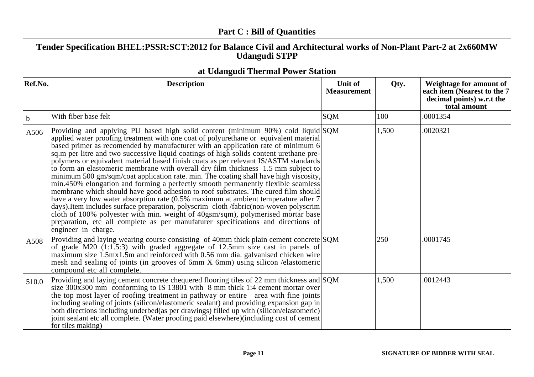| <b>Part C: Bill of Quantities</b> |                                                                                                                                                                                                                                                                                                                                                                                                                                                                                                                                                                                                                                                                                                                                                                                                                                                                                                                                                                                                                                                                                                                                                                                       |                    |       |                                                                           |
|-----------------------------------|---------------------------------------------------------------------------------------------------------------------------------------------------------------------------------------------------------------------------------------------------------------------------------------------------------------------------------------------------------------------------------------------------------------------------------------------------------------------------------------------------------------------------------------------------------------------------------------------------------------------------------------------------------------------------------------------------------------------------------------------------------------------------------------------------------------------------------------------------------------------------------------------------------------------------------------------------------------------------------------------------------------------------------------------------------------------------------------------------------------------------------------------------------------------------------------|--------------------|-------|---------------------------------------------------------------------------|
|                                   | Tender Specification BHEL:PSSR:SCT:2012 for Balance Civil and Architectural works of Non-Plant Part-2 at 2x660MW<br><b>Udangudi STPP</b>                                                                                                                                                                                                                                                                                                                                                                                                                                                                                                                                                                                                                                                                                                                                                                                                                                                                                                                                                                                                                                              |                    |       |                                                                           |
| Ref.No.                           | at Udangudi Thermal Power Station<br><b>Description</b>                                                                                                                                                                                                                                                                                                                                                                                                                                                                                                                                                                                                                                                                                                                                                                                                                                                                                                                                                                                                                                                                                                                               | Unit of            | Qty.  | Weightage for amount of                                                   |
|                                   |                                                                                                                                                                                                                                                                                                                                                                                                                                                                                                                                                                                                                                                                                                                                                                                                                                                                                                                                                                                                                                                                                                                                                                                       | <b>Measurement</b> |       | each item (Nearest to the 7)<br>decimal points) w.r.t the<br>total amount |
| $\mathbf b$                       | With fiber base felt                                                                                                                                                                                                                                                                                                                                                                                                                                                                                                                                                                                                                                                                                                                                                                                                                                                                                                                                                                                                                                                                                                                                                                  | <b>SQM</b>         | 100   | .0001354                                                                  |
| A506                              | Providing and applying PU based high solid content (minimum 90%) cold liquid SQM<br>applied water proofing treatment with one coat of polyurethane or equivalent material<br>based primer as recomended by manufacturer with an application rate of minimum 6<br>sq.m per litre and two successive liquid coatings of high solids content urethane pre-<br>polymers or equivalent material based finish coats as per relevant IS/ASTM standards<br>to form an elastomeric membrane with overall dry film thickness 1.5 mm subject to<br>minimum 500 gm/sqm/coat application rate. min. The coating shall have high viscosity,<br>min.450% elongation and forming a perfectly smooth permanently flexible seamless<br>membrane which should have good adhesion to roof substrates. The cured film should<br>have a very low water absorption rate (0.5% maximum at ambient temperature after 7<br>days). Item includes surface preparation, polyscrim cloth /fabric(non-woven polyscrim<br>cloth of 100% polyester with min. weight of 40gsm/sqm), polymerised mortar base<br>preparation, etc all complete as per manufaturer specifications and directions of<br>engineer in charge. |                    | 1,500 | .0020321                                                                  |
| A508                              | Providing and laying wearing course consisting of 40mm thick plain cement concrete SQM<br>of grade M20 (1:1.5:3) with graded aggregate of 12.5mm size cast in panels of<br>maximum size 1.5mx1.5m and reinforced with 0.56 mm dia. galvanised chicken wire<br>mesh and sealing of joints (in grooves of 6mm X 6mm) using silicon /elastomeric<br>compound etc all complete.                                                                                                                                                                                                                                                                                                                                                                                                                                                                                                                                                                                                                                                                                                                                                                                                           |                    | 250   | .0001745                                                                  |
| 510.0                             | Providing and laying cement concrete chequered flooring tiles of 22 mm thickness and SQM<br>size $300x300$ mm conforming to IS 13801 with 8 mm thick 1:4 cement mortar over<br>the top most layer of roofing treatment in pathway or entire area with fine joints<br>including sealing of joints (silicon/elastomeric sealant) and providing expansion gap in<br>both directions including underbed(as per drawings) filled up with (silicon/elastomeric)<br>joint sealant etc all complete. (Water proofing paid elsewhere) (including cost of cement<br>for tiles making)                                                                                                                                                                                                                                                                                                                                                                                                                                                                                                                                                                                                           |                    | 1,500 | .0012443                                                                  |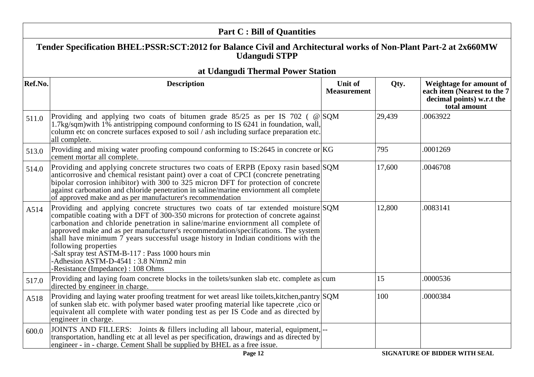|         | <b>Part C: Bill of Quantities</b>                                                                                                                                                                                                                                                                                                                                                                                                                                                                                                                                                                   |                               |        |                                                                                                     |
|---------|-----------------------------------------------------------------------------------------------------------------------------------------------------------------------------------------------------------------------------------------------------------------------------------------------------------------------------------------------------------------------------------------------------------------------------------------------------------------------------------------------------------------------------------------------------------------------------------------------------|-------------------------------|--------|-----------------------------------------------------------------------------------------------------|
|         | Tender Specification BHEL:PSSR:SCT:2012 for Balance Civil and Architectural works of Non-Plant Part-2 at 2x660MW<br><b>Udangudi STPP</b>                                                                                                                                                                                                                                                                                                                                                                                                                                                            |                               |        |                                                                                                     |
|         | at Udangudi Thermal Power Station                                                                                                                                                                                                                                                                                                                                                                                                                                                                                                                                                                   |                               |        |                                                                                                     |
| Ref.No. | <b>Description</b>                                                                                                                                                                                                                                                                                                                                                                                                                                                                                                                                                                                  | Unit of<br><b>Measurement</b> | Qty.   | Weightage for amount of<br>each item (Nearest to the 7<br>decimal points) w.r.t the<br>total amount |
| 511.0   | Providing and applying two coats of bitumen grade $85/25$ as per IS 702 ( @ SQM<br>1.7kg/sqm) with 1% antistripping compound conforming to IS 6241 in foundation, wall,<br>column etc on concrete surfaces exposed to soil / ash including surface preparation etc.<br>all complete.                                                                                                                                                                                                                                                                                                                |                               | 29,439 | .0063922                                                                                            |
| 513.0   | Providing and mixing water proofing compound conforming to IS:2645 in concrete or $ KG $<br>cement mortar all complete.                                                                                                                                                                                                                                                                                                                                                                                                                                                                             |                               | 795    | .0001269                                                                                            |
| 514.0   | Providing and applying concrete structures two coats of ERPB (Epoxy rasin based SQM)<br>anticorrosive and chemical resistant paint) over a coat of CPCI (concrete penetrating<br>bipolar corrosion inhibitor) with 300 to 325 micron DFT for protection of concrete<br>against carbonation and chloride penetration in saline/marine enviornment all complete<br>of approved make and as per manufacturer's recommendation                                                                                                                                                                          |                               | 17,600 | .0046708                                                                                            |
| A514    | Providing and applying concrete structures two coats of tar extended moisture SQM<br>compatible coating with a DFT of 300-350 microns for protection of concrete against<br>carbonation and chloride penetration in saline/marine enviornment all complete of<br>approved make and as per manufacturer's recommendation/specifications. The system<br>shall have minimum $7$ years successful usage history in Indian conditions with the<br>following properties<br>Salt spray test ASTM-B-117 : Pass 1000 hours min<br>-Adhesion ASTM-D-4541: 3.8 N/mm2 min<br>-Resistance (Impedance) : 108 Ohms |                               | 12,800 | .0083141                                                                                            |
| 517.0   | Providing and laying foam concrete blocks in the toilets/sunken slab etc. complete as cum<br>directed by engineer in charge.                                                                                                                                                                                                                                                                                                                                                                                                                                                                        |                               | 15     | .0000536                                                                                            |
| A518    | Providing and laying water proofing treatment for wet areasl like toilets, kitchen, pantry SQM<br>of sunken slab etc. with polymer based water proofing material like tapecrete, cico or<br>equivalent all complete with water ponding test as per IS Code and as directed by<br>engineer in charge.                                                                                                                                                                                                                                                                                                |                               | 100    | .0000384                                                                                            |
| 600.0   | JOINTS AND FILLERS: Joints & fillers including all labour, material, equipment,  --<br>transportation, handling etc at all level as per specification, drawings and as directed by<br>engineer - in - charge. Cement Shall be supplied by BHEL as a free issue.                                                                                                                                                                                                                                                                                                                                     |                               |        |                                                                                                     |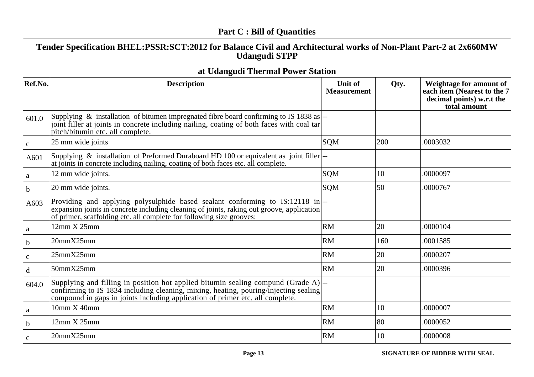|              | <b>Part C: Bill of Quantities</b>                                                                                                                                                                                                                                               |                                      |      |                                                                                                     |
|--------------|---------------------------------------------------------------------------------------------------------------------------------------------------------------------------------------------------------------------------------------------------------------------------------|--------------------------------------|------|-----------------------------------------------------------------------------------------------------|
|              | Tender Specification BHEL:PSSR:SCT:2012 for Balance Civil and Architectural works of Non-Plant Part-2 at 2x660MW<br><b>Udangudi STPP</b>                                                                                                                                        |                                      |      |                                                                                                     |
|              | at Udangudi Thermal Power Station                                                                                                                                                                                                                                               |                                      |      |                                                                                                     |
| Ref.No.      | <b>Description</b>                                                                                                                                                                                                                                                              | <b>Unit of</b><br><b>Measurement</b> | Qty. | Weightage for amount of<br>each item (Nearest to the 7<br>decimal points) w.r.t the<br>total amount |
| 601.0        | Supplying & installation of bitumen impregnated fibre board confirming to IS 1838 as $\left  \cdot \right $<br>joint filler at joints in concrete including nailing, coating of both faces with coal tar<br>pitch/bitumin etc. all complete.                                    |                                      |      |                                                                                                     |
| $\mathbf{C}$ | 25 mm wide joints                                                                                                                                                                                                                                                               | <b>SQM</b>                           | 200  | .0003032                                                                                            |
| A601         | Supplying & installation of Preformed Duraboard HD 100 or equivalent as joint filler<br>at joints in concrete including nailing, coating of both faces etc. all complete.                                                                                                       |                                      |      |                                                                                                     |
| a            | 12 mm wide joints.                                                                                                                                                                                                                                                              | <b>SQM</b>                           | 10   | .0000097                                                                                            |
| $\mathbf b$  | 20 mm wide joints.                                                                                                                                                                                                                                                              | SQM                                  | 50   | .0000767                                                                                            |
| A603         | Providing and applying polysulphide based sealant conforming to IS:12118 in-<br>expansion joints in concrete including cleaning of joints, raking out groove, application<br>of primer, scaffolding etc. all complete for following size grooves:                               |                                      |      |                                                                                                     |
| a            | 12mm X 25mm                                                                                                                                                                                                                                                                     | RM                                   | 20   | .0000104                                                                                            |
| $\mathbf b$  | 20mmX25mm                                                                                                                                                                                                                                                                       | <b>RM</b>                            | 160  | .0001585                                                                                            |
| $\mathbf c$  | 25mmX25mm                                                                                                                                                                                                                                                                       | <b>RM</b>                            | 20   | .0000207                                                                                            |
| d            | 50mmX25mm                                                                                                                                                                                                                                                                       | <b>RM</b>                            | 20   | .0000396                                                                                            |
| 604.0        | Supplying and filling in position hot applied bitumin sealing compund (Grade $A$ ) $\left  \right $ --<br>confirming to IS 1834 including cleaning, mixing, heating, pouring/injecting sealing<br>compound in gaps in joints including application of primer etc. all complete. |                                      |      |                                                                                                     |
| a            | 10mm X 40mm                                                                                                                                                                                                                                                                     | <b>RM</b>                            | 10   | .0000007                                                                                            |
| b            | 12mm X 25mm                                                                                                                                                                                                                                                                     | <b>RM</b>                            | 80   | .0000052                                                                                            |
| $\mathbf{C}$ | 20mmX25mm                                                                                                                                                                                                                                                                       | <b>RM</b>                            | 10   | .0000008                                                                                            |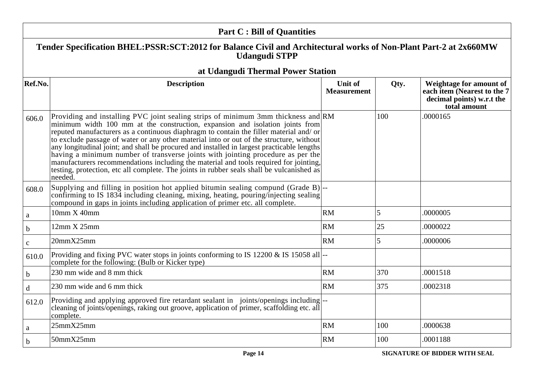|              | <b>Part C: Bill of Quantities</b>                                                                                                                                                                                                                                                                                                                                                                                                                                                                                                                                                                                                                                                                                                        |                               |      |                                                                                                     |
|--------------|------------------------------------------------------------------------------------------------------------------------------------------------------------------------------------------------------------------------------------------------------------------------------------------------------------------------------------------------------------------------------------------------------------------------------------------------------------------------------------------------------------------------------------------------------------------------------------------------------------------------------------------------------------------------------------------------------------------------------------------|-------------------------------|------|-----------------------------------------------------------------------------------------------------|
|              | Tender Specification BHEL:PSSR:SCT:2012 for Balance Civil and Architectural works of Non-Plant Part-2 at 2x660MW<br><b>Udangudi STPP</b>                                                                                                                                                                                                                                                                                                                                                                                                                                                                                                                                                                                                 |                               |      |                                                                                                     |
|              | at Udangudi Thermal Power Station                                                                                                                                                                                                                                                                                                                                                                                                                                                                                                                                                                                                                                                                                                        |                               |      |                                                                                                     |
| Ref.No.      | <b>Description</b>                                                                                                                                                                                                                                                                                                                                                                                                                                                                                                                                                                                                                                                                                                                       | Unit of<br><b>Measurement</b> | Qty. | Weightage for amount of<br>each item (Nearest to the 7<br>decimal points) w.r.t the<br>total amount |
| 606.0        | Providing and installing PVC joint sealing strips of minimum 3mm thickness and RM<br>minimum width 100 mm at the construction, expansion and isolation joints from<br>reputed manufacturers as a continuous diaphragm to contain the filler material and/or<br>to exclude passage of water or any other material into or out of the structure, without<br>any longitudinal joint; and shall be procured and installed in largest practicable lengths<br>having a minimum number of transverse joints with jointing procedure as per the<br>manufacturers recommendations including the material and tools required for jointing,<br>testing, protection, etc all complete. The joints in rubber seals shall be vulcanished as<br>needed. |                               | 100  | .0000165                                                                                            |
| 608.0        | Supplying and filling in position hot applied bitumin sealing compund (Grade $B$ ) $\left[-\right]$<br>confirming to IS 1834 including cleaning, mixing, heating, pouring/injecting sealing<br>compound in gaps in joints including application of primer etc. all complete.                                                                                                                                                                                                                                                                                                                                                                                                                                                             |                               |      |                                                                                                     |
| $\mathbf{a}$ | 10mm X 40mm                                                                                                                                                                                                                                                                                                                                                                                                                                                                                                                                                                                                                                                                                                                              | <b>RM</b>                     | 5    | .0000005                                                                                            |
| b            | 12mm X 25mm                                                                                                                                                                                                                                                                                                                                                                                                                                                                                                                                                                                                                                                                                                                              | <b>RM</b>                     | 25   | .0000022                                                                                            |
| $\mathbf{C}$ | 20mmX25mm                                                                                                                                                                                                                                                                                                                                                                                                                                                                                                                                                                                                                                                                                                                                | <b>RM</b>                     | 5    | .0000006                                                                                            |
| 610.0        | Providing and fixing PVC water stops in joints conforming to IS 12200 & IS 15058 all-<br>complete for the following: (Bulb or Kicker type)                                                                                                                                                                                                                                                                                                                                                                                                                                                                                                                                                                                               |                               |      |                                                                                                     |
| $\mathbf b$  | 230 mm wide and 8 mm thick                                                                                                                                                                                                                                                                                                                                                                                                                                                                                                                                                                                                                                                                                                               | <b>RM</b>                     | 370  | .0001518                                                                                            |
| $\mathbf d$  | 230 mm wide and 6 mm thick                                                                                                                                                                                                                                                                                                                                                                                                                                                                                                                                                                                                                                                                                                               | <b>RM</b>                     | 375  | .0002318                                                                                            |
| 612.0        | Providing and applying approved fire retardant sealant in joints/openings including  --<br>cleaning of joints/openings, raking out groove, application of primer, scaffolding etc. all<br>complete.                                                                                                                                                                                                                                                                                                                                                                                                                                                                                                                                      |                               |      |                                                                                                     |
| $\rm{a}$     | 25mmX25mm                                                                                                                                                                                                                                                                                                                                                                                                                                                                                                                                                                                                                                                                                                                                | <b>RM</b>                     | 100  | .0000638                                                                                            |
| $\mathbf b$  | 50mmX25mm                                                                                                                                                                                                                                                                                                                                                                                                                                                                                                                                                                                                                                                                                                                                | <b>RM</b>                     | 100  | .0001188                                                                                            |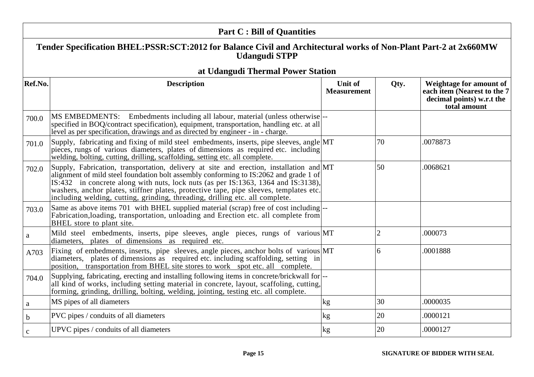| <b>Part C: Bill of Quantities</b> |                                                                                                                                                                                                                                                                                                                                                                                                                                                 |                                      |                |                                                                                                     |
|-----------------------------------|-------------------------------------------------------------------------------------------------------------------------------------------------------------------------------------------------------------------------------------------------------------------------------------------------------------------------------------------------------------------------------------------------------------------------------------------------|--------------------------------------|----------------|-----------------------------------------------------------------------------------------------------|
|                                   | Tender Specification BHEL:PSSR:SCT:2012 for Balance Civil and Architectural works of Non-Plant Part-2 at 2x660MW<br><b>Udangudi STPP</b>                                                                                                                                                                                                                                                                                                        |                                      |                |                                                                                                     |
|                                   | at Udangudi Thermal Power Station                                                                                                                                                                                                                                                                                                                                                                                                               |                                      |                |                                                                                                     |
| Ref.No.                           | <b>Description</b>                                                                                                                                                                                                                                                                                                                                                                                                                              | <b>Unit of</b><br><b>Measurement</b> | Qty.           | Weightage for amount of<br>each item (Nearest to the 7<br>decimal points) w.r.t the<br>total amount |
| 700.0                             | MS EMBEDMENTS: Embedments including all labour, material (unless otherwise <sup>---</sup><br>specified in BOQ/contract specification), equipment, transportation, handling etc. at all<br>level as per specification, drawings and as directed by engineer - in - charge.                                                                                                                                                                       |                                      |                |                                                                                                     |
| 701.0                             | Supply, fabricating and fixing of mild steel embedments, inserts, pipe sleeves, angle MT<br>pieces, rungs of various diameters, plates of dimensions as required etc. including<br>welding, bolting, cutting, drilling, scaffolding, setting etc. all complete.                                                                                                                                                                                 |                                      | 70             | .0078873                                                                                            |
| 702.0                             | Supply, Fabrication, transportation, delivery at site and erection, installation and MT<br>alignment of mild steel foundation bolt assembly conforming to IS:2062 and grade 1 of<br>IS:432 in concrete along with nuts, lock nuts (as per IS:1363, 1364 and IS:3138),<br>washers, anchor plates, stiffner plates, protective tape, pipe sleeves, templates etc.<br>including welding, cutting, grinding, threading, drilling etc. all complete. |                                      | 50             | .0068621                                                                                            |
| 703.0                             | Same as above items 701 with BHEL supplied material (scrap) free of cost including  --<br>Fabrication, loading, transportation, unloading and Erection etc. all complete from<br>BHEL store to plant site.                                                                                                                                                                                                                                      |                                      |                |                                                                                                     |
| a                                 | Mild steel embedments, inserts, pipe sleeves, angle pieces, rungs of various MT<br>diameters, plates of dimensions as required etc.                                                                                                                                                                                                                                                                                                             |                                      | $\overline{2}$ | .000073                                                                                             |
| A703                              | Fixing of embedments, inserts, pipe sleeves, angle pieces, anchor bolts of various MT<br>diameters, plates of dimensions as required etc. including scaffolding, setting in<br>position, transportation from BHEL site stores to work spot etc. all complete.                                                                                                                                                                                   |                                      | 6              | .0001888                                                                                            |
| 704.0                             | Supplying, fabricating, erecting and installing following items in concrete/brickwall for  --<br>all kind of works, including setting material in concrete, layout, scaffoling, cutting,<br>forming, grinding, drilling, bolting, welding, jointing, testing etc. all complete.                                                                                                                                                                 |                                      |                |                                                                                                     |
| $\mathbf a$                       | MS pipes of all diameters                                                                                                                                                                                                                                                                                                                                                                                                                       | kg                                   | 30             | .0000035                                                                                            |
| $\mathbf b$                       | PVC pipes / conduits of all diameters                                                                                                                                                                                                                                                                                                                                                                                                           | kg                                   | 20             | .0000121                                                                                            |
| $\mathbf c$                       | UPVC pipes / conduits of all diameters                                                                                                                                                                                                                                                                                                                                                                                                          | kg                                   | 20             | .0000127                                                                                            |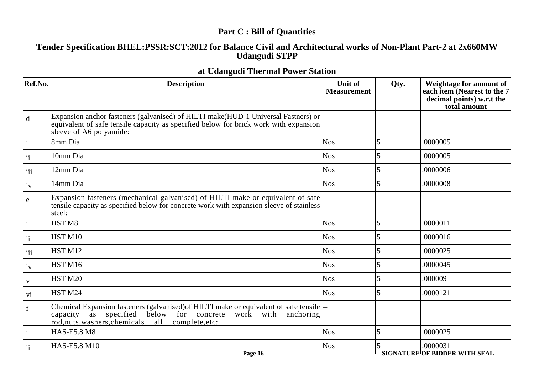| Tender Specification BHEL:PSSR:SCT:2012 for Balance Civil and Architectural works of Non-Plant Part-2 at 2x660MW<br><b>Udangudi STPP</b><br>at Udangudi Thermal Power Station<br>Ref.No.<br><b>Description</b><br>Unit of<br>Qty.<br><b>Measurement</b><br>total amount<br>Expansion anchor fasteners (galvanised) of HILTI make(HUD-1 Universal Fastners) or<br>$\mathbf d$<br>equivalent of safe tensile capacity as specified below for brick work with expansion<br>sleeve of A6 polyamide:<br>8mm Dia<br><b>Nos</b><br>5<br>.0000005<br>$\mathbf{i}$<br>5<br>10mm Dia<br><b>Nos</b><br>.0000005<br>$\ddot{\mathbf{i}}$<br>5<br>12mm Dia<br><b>Nos</b><br>.0000006<br>iii<br>14mm Dia<br><b>Nos</b><br>5<br>.0000008<br>iv<br>Expansion fasteners (mechanical galvanised) of HILTI make or equivalent of safe-<br>e<br>tensile capacity as specified below for concrete work with expansion sleeve of stainless<br>steel:<br>5<br>HST <sub>M8</sub><br><b>Nos</b><br>.0000011<br>HST <sub>M10</sub><br><b>Nos</b><br>.0000016<br>ii<br>5<br>HST <sub>M12</sub><br><b>Nos</b><br>.0000025<br>iii<br>HST <sub>M16</sub><br>5<br><b>Nos</b><br>.0000045<br>iv<br>HST <sub>M20</sub><br><b>Nos</b><br>.000009<br>$\mathbf{V}$<br>5<br>HST <sub>M24</sub><br><b>Nos</b><br>.0000121<br>vi<br>Chemical Expansion fasteners (galvanised) of HILTI make or equivalent of safe tensile  --<br>T | <b>Part C: Bill of Quantities</b>                            |  |  |                                                                                     |
|--------------------------------------------------------------------------------------------------------------------------------------------------------------------------------------------------------------------------------------------------------------------------------------------------------------------------------------------------------------------------------------------------------------------------------------------------------------------------------------------------------------------------------------------------------------------------------------------------------------------------------------------------------------------------------------------------------------------------------------------------------------------------------------------------------------------------------------------------------------------------------------------------------------------------------------------------------------------------------------------------------------------------------------------------------------------------------------------------------------------------------------------------------------------------------------------------------------------------------------------------------------------------------------------------------------------------------------------------------------------------------------------|--------------------------------------------------------------|--|--|-------------------------------------------------------------------------------------|
|                                                                                                                                                                                                                                                                                                                                                                                                                                                                                                                                                                                                                                                                                                                                                                                                                                                                                                                                                                                                                                                                                                                                                                                                                                                                                                                                                                                            |                                                              |  |  |                                                                                     |
|                                                                                                                                                                                                                                                                                                                                                                                                                                                                                                                                                                                                                                                                                                                                                                                                                                                                                                                                                                                                                                                                                                                                                                                                                                                                                                                                                                                            |                                                              |  |  |                                                                                     |
|                                                                                                                                                                                                                                                                                                                                                                                                                                                                                                                                                                                                                                                                                                                                                                                                                                                                                                                                                                                                                                                                                                                                                                                                                                                                                                                                                                                            |                                                              |  |  | Weightage for amount of<br>each item (Nearest to the 7<br>decimal points) w.r.t the |
|                                                                                                                                                                                                                                                                                                                                                                                                                                                                                                                                                                                                                                                                                                                                                                                                                                                                                                                                                                                                                                                                                                                                                                                                                                                                                                                                                                                            |                                                              |  |  |                                                                                     |
|                                                                                                                                                                                                                                                                                                                                                                                                                                                                                                                                                                                                                                                                                                                                                                                                                                                                                                                                                                                                                                                                                                                                                                                                                                                                                                                                                                                            |                                                              |  |  |                                                                                     |
|                                                                                                                                                                                                                                                                                                                                                                                                                                                                                                                                                                                                                                                                                                                                                                                                                                                                                                                                                                                                                                                                                                                                                                                                                                                                                                                                                                                            |                                                              |  |  |                                                                                     |
|                                                                                                                                                                                                                                                                                                                                                                                                                                                                                                                                                                                                                                                                                                                                                                                                                                                                                                                                                                                                                                                                                                                                                                                                                                                                                                                                                                                            |                                                              |  |  |                                                                                     |
|                                                                                                                                                                                                                                                                                                                                                                                                                                                                                                                                                                                                                                                                                                                                                                                                                                                                                                                                                                                                                                                                                                                                                                                                                                                                                                                                                                                            |                                                              |  |  |                                                                                     |
|                                                                                                                                                                                                                                                                                                                                                                                                                                                                                                                                                                                                                                                                                                                                                                                                                                                                                                                                                                                                                                                                                                                                                                                                                                                                                                                                                                                            |                                                              |  |  |                                                                                     |
|                                                                                                                                                                                                                                                                                                                                                                                                                                                                                                                                                                                                                                                                                                                                                                                                                                                                                                                                                                                                                                                                                                                                                                                                                                                                                                                                                                                            |                                                              |  |  |                                                                                     |
|                                                                                                                                                                                                                                                                                                                                                                                                                                                                                                                                                                                                                                                                                                                                                                                                                                                                                                                                                                                                                                                                                                                                                                                                                                                                                                                                                                                            |                                                              |  |  |                                                                                     |
|                                                                                                                                                                                                                                                                                                                                                                                                                                                                                                                                                                                                                                                                                                                                                                                                                                                                                                                                                                                                                                                                                                                                                                                                                                                                                                                                                                                            |                                                              |  |  |                                                                                     |
|                                                                                                                                                                                                                                                                                                                                                                                                                                                                                                                                                                                                                                                                                                                                                                                                                                                                                                                                                                                                                                                                                                                                                                                                                                                                                                                                                                                            |                                                              |  |  |                                                                                     |
|                                                                                                                                                                                                                                                                                                                                                                                                                                                                                                                                                                                                                                                                                                                                                                                                                                                                                                                                                                                                                                                                                                                                                                                                                                                                                                                                                                                            |                                                              |  |  |                                                                                     |
|                                                                                                                                                                                                                                                                                                                                                                                                                                                                                                                                                                                                                                                                                                                                                                                                                                                                                                                                                                                                                                                                                                                                                                                                                                                                                                                                                                                            |                                                              |  |  |                                                                                     |
| rod, nuts, washers, chemicals all complete, etc:                                                                                                                                                                                                                                                                                                                                                                                                                                                                                                                                                                                                                                                                                                                                                                                                                                                                                                                                                                                                                                                                                                                                                                                                                                                                                                                                           | capacity as specified below for concrete work with anchoring |  |  |                                                                                     |
| <b>Nos</b><br>$\overline{5}$<br><b>HAS-E5.8 M8</b><br>.0000025<br>$\mathbf{i}$                                                                                                                                                                                                                                                                                                                                                                                                                                                                                                                                                                                                                                                                                                                                                                                                                                                                                                                                                                                                                                                                                                                                                                                                                                                                                                             |                                                              |  |  |                                                                                     |
| HAS-E5.8 M10<br><b>Nos</b><br>.0000031<br>$\overline{\mathbf{u}}$<br><b>SIGNATURE OF BIDDER WITH SEAL</b><br>Page 16                                                                                                                                                                                                                                                                                                                                                                                                                                                                                                                                                                                                                                                                                                                                                                                                                                                                                                                                                                                                                                                                                                                                                                                                                                                                       |                                                              |  |  |                                                                                     |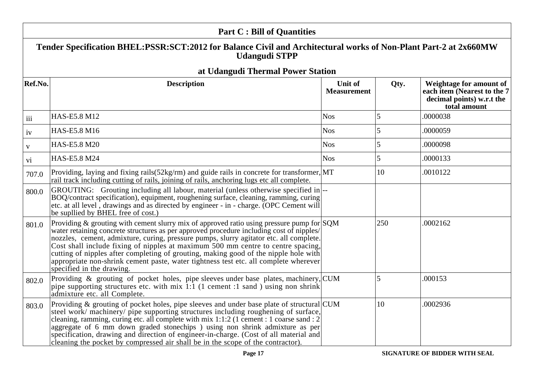|              | <b>Part C: Bill of Quantities</b>                                                                                                                                                                                                                                                                                                                                                                                                                                                                                                                                                         |                                      |      |                                                                                                     |
|--------------|-------------------------------------------------------------------------------------------------------------------------------------------------------------------------------------------------------------------------------------------------------------------------------------------------------------------------------------------------------------------------------------------------------------------------------------------------------------------------------------------------------------------------------------------------------------------------------------------|--------------------------------------|------|-----------------------------------------------------------------------------------------------------|
|              | Tender Specification BHEL:PSSR:SCT:2012 for Balance Civil and Architectural works of Non-Plant Part-2 at 2x660MW<br><b>Udangudi STPP</b>                                                                                                                                                                                                                                                                                                                                                                                                                                                  |                                      |      |                                                                                                     |
|              | at Udangudi Thermal Power Station                                                                                                                                                                                                                                                                                                                                                                                                                                                                                                                                                         |                                      |      |                                                                                                     |
| Ref.No.      | <b>Description</b>                                                                                                                                                                                                                                                                                                                                                                                                                                                                                                                                                                        | <b>Unit of</b><br><b>Measurement</b> | Qty. | Weightage for amount of<br>each item (Nearest to the 7<br>decimal points) w.r.t the<br>total amount |
| iii          | HAS-E5.8 M12                                                                                                                                                                                                                                                                                                                                                                                                                                                                                                                                                                              | <b>Nos</b>                           | 5    | .0000038                                                                                            |
| iv           | HAS-E5.8 M16                                                                                                                                                                                                                                                                                                                                                                                                                                                                                                                                                                              | <b>Nos</b>                           | 5    | .0000059                                                                                            |
| $\mathbf{V}$ | HAS-E5.8 M20                                                                                                                                                                                                                                                                                                                                                                                                                                                                                                                                                                              | <b>Nos</b>                           | 5    | .0000098                                                                                            |
| vi           | HAS-E5.8 M24                                                                                                                                                                                                                                                                                                                                                                                                                                                                                                                                                                              | <b>Nos</b>                           |      | .0000133                                                                                            |
| 707.0        | Providing, laying and fixing rails(52kg/rm) and guide rails in concrete for transformer, MT<br>rail track including cutting of rails, joining of rails, anchoring lugs etc all complete.                                                                                                                                                                                                                                                                                                                                                                                                  |                                      | 10   | .0010122                                                                                            |
| 800.0        | GROUTING: Grouting including all labour, material (unless otherwise specified in  --<br>BOQ/contract specification), equipment, roughening surface, cleaning, ramming, curing<br>etc. at all level, drawings and as directed by engineer - in - charge. (OPC Cement will<br>be supllied by BHEL free of cost.)                                                                                                                                                                                                                                                                            |                                      |      |                                                                                                     |
| 801.0        | Providing & grouting with cement slurry mix of approved ratio using pressure pump for $\text{SQM}$<br>water retaining concrete structures as per approved procedure including cost of nipples/<br>nozzles, cement, admixture, curing, pressure pumps, slurry agitator etc. all complete.<br>Cost shall include fixing of nipples at maximum 500 mm centre to centre spacing,<br>cutting of nipples after completing of grouting, making good of the nipple hole with<br>appropriate non-shrink cement paste, water tightness test etc. all complete wherever<br>specified in the drawing. |                                      | 250  | .0002162                                                                                            |
| 802.0        | Providing & grouting of pocket holes, pipe sleeves under base plates, machinery, CUM<br>pipe supporting structures etc. with $mix$ 1:1 (1 cement :1 sand) using non shrink<br>admixture etc. all Complete.                                                                                                                                                                                                                                                                                                                                                                                |                                      | 5    | .000153                                                                                             |
| 803.0        | Providing & grouting of pocket holes, pipe sleeves and under base plate of structural CUM<br>steel work/ machinery/ pipe supporting structures including roughening of surface,<br>cleaning, ramming, curing etc. all complete with mix 1:1:2 (1 cement : 1 coarse sand : 2<br>aggregate of 6 mm down graded stonechips) using non shrink admixture as per<br>specification, drawing and direction of engineer-in-charge. (Cost of all material and<br>cleaning the pocket by compressed air shall be in the scope of the contractor).                                                    |                                      | 10   | .0002936                                                                                            |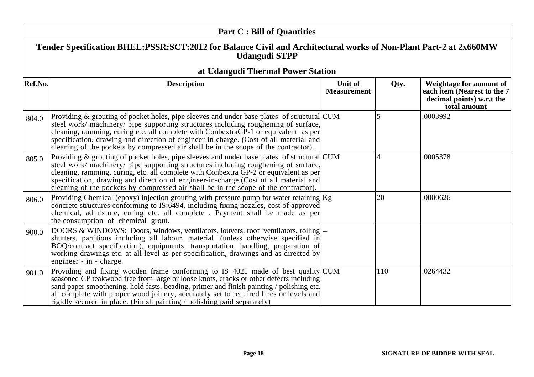| <b>Part C: Bill of Quantities</b> |                                                                                                                                                                                                                                                                                                                                                                                                                                                           |                               |      |                                                                                                     |  |
|-----------------------------------|-----------------------------------------------------------------------------------------------------------------------------------------------------------------------------------------------------------------------------------------------------------------------------------------------------------------------------------------------------------------------------------------------------------------------------------------------------------|-------------------------------|------|-----------------------------------------------------------------------------------------------------|--|
|                                   | Tender Specification BHEL:PSSR:SCT:2012 for Balance Civil and Architectural works of Non-Plant Part-2 at 2x660MW<br><b>Udangudi STPP</b>                                                                                                                                                                                                                                                                                                                  |                               |      |                                                                                                     |  |
|                                   | at Udangudi Thermal Power Station                                                                                                                                                                                                                                                                                                                                                                                                                         |                               |      |                                                                                                     |  |
| Ref.No.                           | <b>Description</b>                                                                                                                                                                                                                                                                                                                                                                                                                                        | Unit of<br><b>Measurement</b> | Qty. | Weightage for amount of<br>each item (Nearest to the 7<br>decimal points) w.r.t the<br>total amount |  |
| 804.0                             | Providing & grouting of pocket holes, pipe sleeves and under base plates of structural CUM<br>steel work/ machinery/ pipe supporting structures including roughening of surface,<br>cleaning, ramming, curing etc. all complete with ConbextraGP-1 or equivalent as per<br>specification, drawing and direction of engineer-in-charge. (Cost of all material and<br>cleaning of the pockets by compressed air shall be in the scope of the contractor).   |                               | 5    | .0003992                                                                                            |  |
| 805.0                             | Providing & grouting of pocket holes, pipe sleeves and under base plates of structural CUM<br>steel work/ machinery/ pipe supporting structures including roughening of surface,<br>cleaning, ramming, curing, etc. all complete with Conbextra GP-2 or equivalent as per<br>specification, drawing and direction of engineer-in-charge. (Cost of all material and<br>cleaning of the pockets by compressed air shall be in the scope of the contractor). |                               | 4    | .0005378                                                                                            |  |
| 806.0                             | Providing Chemical (epoxy) injection grouting with pressure pump for water retaining $Kg$<br>concrete structures conforming to IS:6494, including fixing nozzles, cost of approved<br>chemical, admixture, curing etc. all complete. Payment shall be made as per<br>the consumption of chemical grout.                                                                                                                                                   |                               | 20   | .0000626                                                                                            |  |
| 900.0                             | DOORS & WINDOWS: Doors, windows, ventilators, louvers, roof ventilators, rolling-<br>shutters, partitions including all labour, material (unless otherwise specified in<br>BOQ/contract specification), equipments, transportation, handling, preparation of<br>working drawings etc. at all level as per specification, drawings and as directed by<br>engineer - in - charge.                                                                           |                               |      |                                                                                                     |  |
| 901.0                             | Providing and fixing wooden frame conforming to IS 4021 made of best quality CUM<br>seasoned CP teakwood free from large or loose knots, cracks or other defects including<br>sand paper smoothening, hold fasts, beading, primer and finish painting / polishing etc.<br>all complete with proper wood joinery, accurately set to required lines or levels and<br>rigidly secured in place. (Finish painting / polishing paid separately)                |                               | 110  | .0264432                                                                                            |  |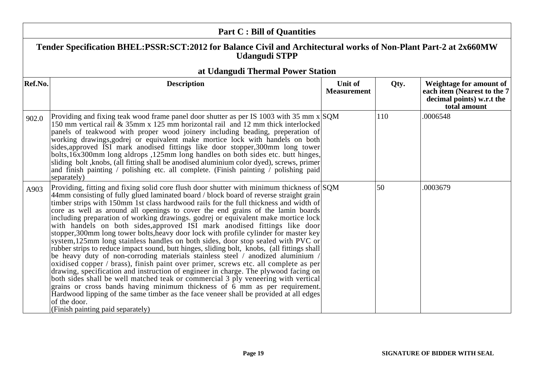| <b>Part C: Bill of Quantities</b> |                                                                                                                                                                                                                                                                                                                                                                                                                                                                                                                                                                                                                                                                                                                                                                                                                                                                                                                                                                                                                                                                                                                                                                                                                                                                                                                                                                                                 |                               |      |                                                                                                     |
|-----------------------------------|-------------------------------------------------------------------------------------------------------------------------------------------------------------------------------------------------------------------------------------------------------------------------------------------------------------------------------------------------------------------------------------------------------------------------------------------------------------------------------------------------------------------------------------------------------------------------------------------------------------------------------------------------------------------------------------------------------------------------------------------------------------------------------------------------------------------------------------------------------------------------------------------------------------------------------------------------------------------------------------------------------------------------------------------------------------------------------------------------------------------------------------------------------------------------------------------------------------------------------------------------------------------------------------------------------------------------------------------------------------------------------------------------|-------------------------------|------|-----------------------------------------------------------------------------------------------------|
|                                   | Tender Specification BHEL:PSSR:SCT:2012 for Balance Civil and Architectural works of Non-Plant Part-2 at 2x660MW<br><b>Udangudi STPP</b>                                                                                                                                                                                                                                                                                                                                                                                                                                                                                                                                                                                                                                                                                                                                                                                                                                                                                                                                                                                                                                                                                                                                                                                                                                                        |                               |      |                                                                                                     |
|                                   | at Udangudi Thermal Power Station                                                                                                                                                                                                                                                                                                                                                                                                                                                                                                                                                                                                                                                                                                                                                                                                                                                                                                                                                                                                                                                                                                                                                                                                                                                                                                                                                               |                               |      |                                                                                                     |
| Ref.No.                           | <b>Description</b>                                                                                                                                                                                                                                                                                                                                                                                                                                                                                                                                                                                                                                                                                                                                                                                                                                                                                                                                                                                                                                                                                                                                                                                                                                                                                                                                                                              | Unit of<br><b>Measurement</b> | Qty. | Weightage for amount of<br>each item (Nearest to the 7<br>decimal points) w.r.t the<br>total amount |
| 902.0                             | Providing and fixing teak wood frame panel door shutter as per IS 1003 with 35 mm $x$ SQM<br>150 mm vertical rail & 35mm x 125 mm horizontal rail and 12 mm thick interlocked<br>panels of teakwood with proper wood joinery including beading, preperation of<br>working drawings, godrej or equivalent make mortice lock with handels on both<br>sides, approved ISI mark anodised fittings like door stopper, 300mm long tower<br>bolts, 16x300mm long aldrops , 125mm long handles on both sides etc. butt hinges,<br>sliding bolt , knobs, (all fitting shall be anodised aluminium color dyed), screws, primer<br>and finish painting / polishing etc. all complete. (Finish painting / polishing paid<br>separately)                                                                                                                                                                                                                                                                                                                                                                                                                                                                                                                                                                                                                                                                     |                               | 110  | .0006548                                                                                            |
| A903                              | Providing, fitting and fixing solid core flush door shutter with minimum thickness of SQM<br>44mm consisting of fully glued laminated board / block board of reverse straight grain<br>timber strips with 150mm 1st class hardwood rails for the full thickness and width of<br>core as well as around all openings to cover the end grains of the lamin boards<br>including preparation of working drawings. godrej or equivalent make mortice lock<br>with handels on both sides, approved ISI mark anodised fittings like door<br>stopper, 300mm long tower bolts, heavy door lock with profile cylinder for master key<br>system, 125mm long stainless handles on both sides, door stop sealed with PVC or<br>rubber strips to reduce impact sound, butt hinges, sliding bolt, knobs, (all fittings shall<br>be heavy duty of non-corroding materials stainless steel / anodized aluminium /<br>oxidised copper / brass), finish paint over primer, screws etc. all complete as per<br>drawing, specification and instruction of engineer in charge. The plywood facing on<br>both sides shall be well matched teak or commercial 3 ply veneering with vertical<br>grains or cross bands having minimum thickness of 6 mm as per requirement.<br>Hardwood lipping of the same timber as the face veneer shall be provided at all edges<br>of the door.<br>(Finish painting paid separately) |                               | 50   | .0003679                                                                                            |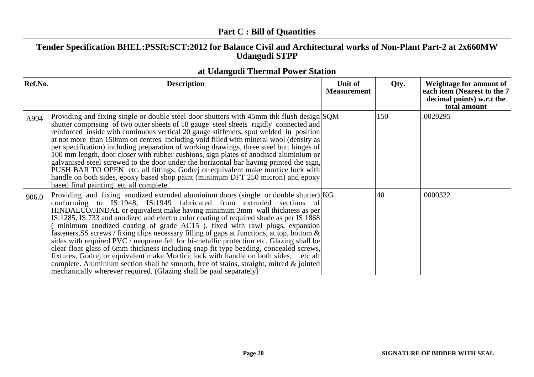|         | <b>Part C: Bill of Quantities</b>                                                                                                                                                                                                                                                                                                                                                                                                                                                                                                                                                                                                                                                                                                                                                                                                                                                                                                                                       |                               |      |                                                                                                      |  |
|---------|-------------------------------------------------------------------------------------------------------------------------------------------------------------------------------------------------------------------------------------------------------------------------------------------------------------------------------------------------------------------------------------------------------------------------------------------------------------------------------------------------------------------------------------------------------------------------------------------------------------------------------------------------------------------------------------------------------------------------------------------------------------------------------------------------------------------------------------------------------------------------------------------------------------------------------------------------------------------------|-------------------------------|------|------------------------------------------------------------------------------------------------------|--|
|         | Tender Specification BHEL:PSSR:SCT:2012 for Balance Civil and Architectural works of Non-Plant Part-2 at 2x660MW<br><b>Udangudi STPP</b>                                                                                                                                                                                                                                                                                                                                                                                                                                                                                                                                                                                                                                                                                                                                                                                                                                |                               |      |                                                                                                      |  |
|         | at Udangudi Thermal Power Station                                                                                                                                                                                                                                                                                                                                                                                                                                                                                                                                                                                                                                                                                                                                                                                                                                                                                                                                       |                               |      |                                                                                                      |  |
| Ref.No. | <b>Description</b>                                                                                                                                                                                                                                                                                                                                                                                                                                                                                                                                                                                                                                                                                                                                                                                                                                                                                                                                                      | Unit of<br><b>Measurement</b> | Qty. | Weightage for amount of<br>each item (Nearest to the 7)<br>decimal points) w.r.t the<br>total amount |  |
| A904    | Providing and fixing single or double steel door shutters with 45mm thk flush design SQM<br>shutter comprising of two outer sheets of 18 gauge steel sheets rigidly connected and<br>reinforced inside with continuous vertical 20 gauge stiffeners, spot welded in position<br>at not more than 150mm on centres including void filled with mineral wool (density as<br>per specification) including preparation of working drawings, three steel butt hinges of<br>100 mm length, door closer with rubber cushions, sign plates of anodised aluminium or<br>galvanised steel screwed to the door under the horizontal bar having printed the sign,<br>PUSH BAR TO OPEN etc. all fittings, Godrej or equivalent make mortice lock with<br>handle on both sides, epoxy based shop paint (minimum DFT 250 micron) and epoxy<br>based final painting etc all complete.                                                                                                    |                               | 150  | .0020295                                                                                             |  |
| 906.0   | Providing and fixing anodized extruded aluminium doors (single or double shutter) $ KG $<br>conforming to IS:1948, IS:1949 fabricated from extruded sections of<br>HINDALCO/JINDAL or equivalent make having minimum 3mm wall thickness as per<br>IS:1285, IS:733 and anodized and electro color coating of required shade as per IS 1868<br>minimum anodized coating of grade AC15 ). fixed with rawl plugs, expansion<br>fasteners, SS screws / fixing clips necessary filling of gaps at Junctions, at top, bottom $\&$<br>sides with required PVC / neoprene felt for bi-metallic protection etc. Glazing shall be<br>clear float glass of 6mm thickness including snap fit type beading, concealed screws,<br>fixtures, Godrej or equivalent make Mortice lock with handle on both sides, etc all<br>complete. Aluminium section shall be smooth, free of stains, straight, mitred & jointed<br>mechanically wherever required. (Glazing shall be paid separately) |                               | 40   | .0000322                                                                                             |  |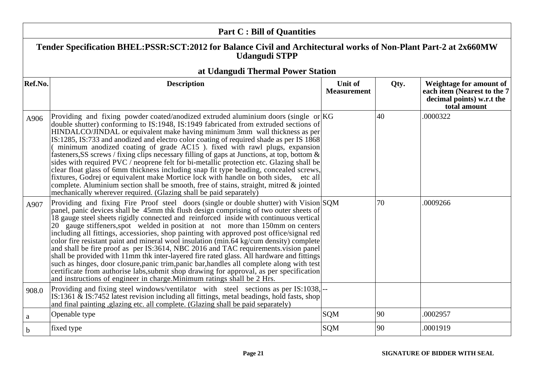|         | <b>Part C: Bill of Quantities</b>                                                                                                                                                                                                                                                                                                                                                                                                                                                                                                                                                                                                                                                                                                                                                                                                                                                                                                                                                                        |                                      |      |                                                                                                     |
|---------|----------------------------------------------------------------------------------------------------------------------------------------------------------------------------------------------------------------------------------------------------------------------------------------------------------------------------------------------------------------------------------------------------------------------------------------------------------------------------------------------------------------------------------------------------------------------------------------------------------------------------------------------------------------------------------------------------------------------------------------------------------------------------------------------------------------------------------------------------------------------------------------------------------------------------------------------------------------------------------------------------------|--------------------------------------|------|-----------------------------------------------------------------------------------------------------|
|         | Tender Specification BHEL:PSSR:SCT:2012 for Balance Civil and Architectural works of Non-Plant Part-2 at 2x660MW<br><b>Udangudi STPP</b>                                                                                                                                                                                                                                                                                                                                                                                                                                                                                                                                                                                                                                                                                                                                                                                                                                                                 |                                      |      |                                                                                                     |
|         | at Udangudi Thermal Power Station                                                                                                                                                                                                                                                                                                                                                                                                                                                                                                                                                                                                                                                                                                                                                                                                                                                                                                                                                                        |                                      |      |                                                                                                     |
| Ref.No. | <b>Description</b>                                                                                                                                                                                                                                                                                                                                                                                                                                                                                                                                                                                                                                                                                                                                                                                                                                                                                                                                                                                       | <b>Unit of</b><br><b>Measurement</b> | Qty. | Weightage for amount of<br>each item (Nearest to the 7<br>decimal points) w.r.t the<br>total amount |
| A906    | Providing and fixing powder coated/anodized extruded aluminium doors (single or $ KG $<br>double shutter) conforming to IS:1948, IS:1949 fabricated from extruded sections of<br>HINDALCO/JINDAL or equivalent make having minimum 3mm wall thickness as per<br>IS:1285, IS:733 and anodized and electro color coating of required shade as per IS 1868<br>minimum anodized coating of grade AC15 ). fixed with rawl plugs, expansion<br>fasteners, SS screws / fixing clips necessary filling of gaps at Junctions, at top, bottom $\&$<br>sides with required PVC / neoprene felt for bi-metallic protection etc. Glazing shall be<br>clear float glass of 6mm thickness including snap fit type beading, concealed screws,<br>fixtures, Godrej or equivalent make Mortice lock with handle on both sides, etc all<br>complete. Aluminium section shall be smooth, free of stains, straight, mitred $\&$ jointed<br>mechanically wherever required. (Glazing shall be paid separately)                 |                                      | 40   | .0000322                                                                                            |
| A907    | Providing and fixing Fire Proof steel doors (single or double shutter) with Vision SQM<br>panel, panic devices shall be 45mm thk flush design comprising of two outer sheets of<br>18 gauge steel sheets rigidly connected and reinforced inside with continuous vertical<br>20 gauge stiffeners, spot welded in position at not more than 150mm on centers<br>including all fittings, accessiories, shop painting with approved post office/signal red<br>color fire resistant paint and mineral wool insulation (min.64 kg/cum density) complete<br>and shall be fire proof as per IS:3614, NBC 2016 and TAC requirements vision panel<br>shall be provided with 11mm thk inter-layered fire rated glass. All hardware and fittings<br>such as hinges, door closure, panic trim, panic bar, handles all complete along with test<br>certificate from authorise labs, submit shop drawing for approval, as per specification<br>and instructions of engineer in charge. Minimum ratings shall be 2 Hrs. |                                      | 70   | .0009266                                                                                            |
| 908.0   | Providing and fixing steel windows/ventilator with steel sections as per IS:1038,<br>IS:1361 & IS:7452 latest revision including all fittings, metal beadings, hold fasts, shop<br>and final painting, glazing etc. all complete. (Glazing shall be paid separately)                                                                                                                                                                                                                                                                                                                                                                                                                                                                                                                                                                                                                                                                                                                                     |                                      |      |                                                                                                     |
| a       | Openable type                                                                                                                                                                                                                                                                                                                                                                                                                                                                                                                                                                                                                                                                                                                                                                                                                                                                                                                                                                                            | <b>SQM</b>                           | 90   | .0002957                                                                                            |
| b       | fixed type                                                                                                                                                                                                                                                                                                                                                                                                                                                                                                                                                                                                                                                                                                                                                                                                                                                                                                                                                                                               | <b>SQM</b>                           | 90   | .0001919                                                                                            |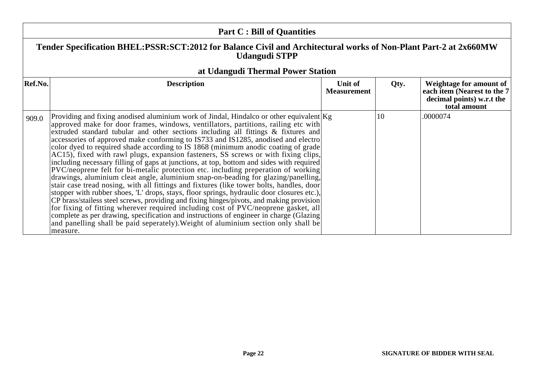|         | <b>Part C: Bill of Quantities</b>                                                                                                                                                                                                                                                                                                                                                                                                                                                                                                                                                                                                                                                                                                                                                                                                                                                                                                                                                                                                                                                                                                                                                                                                                                                                                                                                                     |                               |              |                                                                                                      |
|---------|---------------------------------------------------------------------------------------------------------------------------------------------------------------------------------------------------------------------------------------------------------------------------------------------------------------------------------------------------------------------------------------------------------------------------------------------------------------------------------------------------------------------------------------------------------------------------------------------------------------------------------------------------------------------------------------------------------------------------------------------------------------------------------------------------------------------------------------------------------------------------------------------------------------------------------------------------------------------------------------------------------------------------------------------------------------------------------------------------------------------------------------------------------------------------------------------------------------------------------------------------------------------------------------------------------------------------------------------------------------------------------------|-------------------------------|--------------|------------------------------------------------------------------------------------------------------|
|         | Tender Specification BHEL:PSSR:SCT:2012 for Balance Civil and Architectural works of Non-Plant Part-2 at 2x660MW<br><b>Udangudi STPP</b>                                                                                                                                                                                                                                                                                                                                                                                                                                                                                                                                                                                                                                                                                                                                                                                                                                                                                                                                                                                                                                                                                                                                                                                                                                              |                               |              |                                                                                                      |
|         | at Udangudi Thermal Power Station                                                                                                                                                                                                                                                                                                                                                                                                                                                                                                                                                                                                                                                                                                                                                                                                                                                                                                                                                                                                                                                                                                                                                                                                                                                                                                                                                     |                               |              |                                                                                                      |
| Ref.No. | <b>Description</b>                                                                                                                                                                                                                                                                                                                                                                                                                                                                                                                                                                                                                                                                                                                                                                                                                                                                                                                                                                                                                                                                                                                                                                                                                                                                                                                                                                    | Unit of<br><b>Measurement</b> | Qty.         | Weightage for amount of<br>each item (Nearest to the 7)<br>decimal points) w.r.t the<br>total amount |
| 909.0   | Providing and fixing anodised aluminium work of Jindal, Hindalco or other equivalent $Kg$<br>approved make for door frames, windows, ventillators, partitions, railing etc with<br>extruded standard tubular and other sections including all fittings & fixtures and<br>accessories of approved make conforming to IS733 and IS1285, anodised and electro<br>color dyed to required shade according to IS 1868 (minimum anodic coating of grade<br>AC15), fixed with rawl plugs, expansion fasteners, SS screws or with fixing clips,<br>including necessary filling of gaps at junctions, at top, bottom and sides with required<br>PVC/neoprene felt for bi-metalic protection etc. including preperation of working<br>drawings, aluminium cleat angle, aluminium snap-on-beading for glazing/panelling,<br>stair case tread nosing, with all fittings and fixtures (like tower bolts, handles, door<br>stopper with rubber shoes, 'L' drops, stays, floor springs, hydraulic door closures etc.),<br>CP brass/stailess steel screws, providing and fixing hinges/pivots, and making provision<br>for fixing of fitting wherever required including cost of PVC/neoprene gasket, all<br>complete as per drawing, specification and instructions of engineer in charge (Glazing)<br>and panelling shall be paid seperately). Weight of aluminium section only shall be<br>measure. |                               | $ 10\rangle$ | .0000074                                                                                             |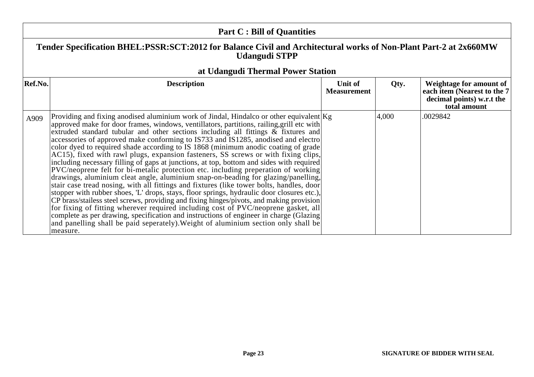|         | <b>Part C: Bill of Quantities</b>                                                                                                                                                                                                                                                                                                                                                                                                                                                                                                                                                                                                                                                                                                                                                                                                                                                                                                                                                                                                                                                                                                                                                                                                                                                                                                                                                            |                               |       |                                                                                                     |  |
|---------|----------------------------------------------------------------------------------------------------------------------------------------------------------------------------------------------------------------------------------------------------------------------------------------------------------------------------------------------------------------------------------------------------------------------------------------------------------------------------------------------------------------------------------------------------------------------------------------------------------------------------------------------------------------------------------------------------------------------------------------------------------------------------------------------------------------------------------------------------------------------------------------------------------------------------------------------------------------------------------------------------------------------------------------------------------------------------------------------------------------------------------------------------------------------------------------------------------------------------------------------------------------------------------------------------------------------------------------------------------------------------------------------|-------------------------------|-------|-----------------------------------------------------------------------------------------------------|--|
|         | Tender Specification BHEL:PSSR:SCT:2012 for Balance Civil and Architectural works of Non-Plant Part-2 at 2x660MW<br><b>Udangudi STPP</b>                                                                                                                                                                                                                                                                                                                                                                                                                                                                                                                                                                                                                                                                                                                                                                                                                                                                                                                                                                                                                                                                                                                                                                                                                                                     |                               |       |                                                                                                     |  |
| Ref.No. | at Udangudi Thermal Power Station<br><b>Description</b>                                                                                                                                                                                                                                                                                                                                                                                                                                                                                                                                                                                                                                                                                                                                                                                                                                                                                                                                                                                                                                                                                                                                                                                                                                                                                                                                      | Unit of<br><b>Measurement</b> | Qty.  | Weightage for amount of<br>each item (Nearest to the 7<br>decimal points) w.r.t the<br>total amount |  |
| A909    | Providing and fixing anodised aluminium work of Jindal, Hindalco or other equivalent $Kg$<br>approved make for door frames, windows, ventillators, partitions, railing, grill etc with<br>extruded standard tubular and other sections including all fittings $\&$ fixtures and<br>accessories of approved make conforming to IS733 and IS1285, anodised and electro<br>color dyed to required shade according to IS 1868 (minimum anodic coating of grade<br>AC15), fixed with rawl plugs, expansion fasteners, SS screws or with fixing clips,<br>including necessary filling of gaps at junctions, at top, bottom and sides with required<br>PVC/neoprene felt for bi-metalic protection etc. including preperation of working<br>drawings, aluminium cleat angle, aluminium snap-on-beading for glazing/panelling,<br>stair case tread nosing, with all fittings and fixtures (like tower bolts, handles, door<br>stopper with rubber shoes, 'L' drops, stays, floor springs, hydraulic door closures etc.), CP brass/stailess steel screws, providing and fixing hinges/pivots, and making provision<br>for fixing of fitting wherever required including cost of PVC/neoprene gasket, all<br>complete as per drawing, specification and instructions of engineer in charge (Glazing)<br>and panelling shall be paid seperately). Weight of aluminium section only shall be<br>measure. |                               | 4,000 | .0029842                                                                                            |  |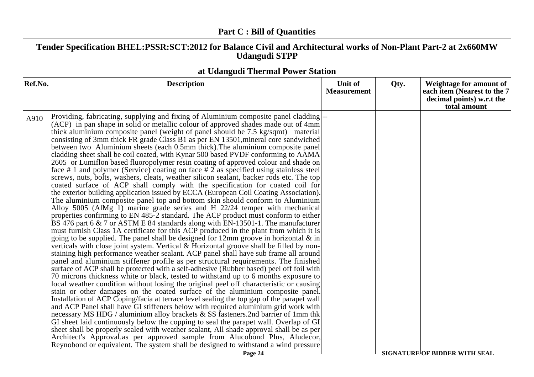| <b>Part C: Bill of Quantities</b> |                                                                                                                                                                                                                                                                                                                                                                                                                                                                                                                                                                                                                                                                                                                                                                                                                                                                                                                                                                                                                                                                                                                                                                                                                                                                                                                                                                                                                                                                                                                                                                                                                                                                                                                                                                                                                                                                                                                                                                                                                                                                                                                                                                                                                                                                                                                                                                                                                                                                                                                                                                                                                                                                                                                                                                                                         |                               |      |                                                                                                     |  |  |
|-----------------------------------|---------------------------------------------------------------------------------------------------------------------------------------------------------------------------------------------------------------------------------------------------------------------------------------------------------------------------------------------------------------------------------------------------------------------------------------------------------------------------------------------------------------------------------------------------------------------------------------------------------------------------------------------------------------------------------------------------------------------------------------------------------------------------------------------------------------------------------------------------------------------------------------------------------------------------------------------------------------------------------------------------------------------------------------------------------------------------------------------------------------------------------------------------------------------------------------------------------------------------------------------------------------------------------------------------------------------------------------------------------------------------------------------------------------------------------------------------------------------------------------------------------------------------------------------------------------------------------------------------------------------------------------------------------------------------------------------------------------------------------------------------------------------------------------------------------------------------------------------------------------------------------------------------------------------------------------------------------------------------------------------------------------------------------------------------------------------------------------------------------------------------------------------------------------------------------------------------------------------------------------------------------------------------------------------------------------------------------------------------------------------------------------------------------------------------------------------------------------------------------------------------------------------------------------------------------------------------------------------------------------------------------------------------------------------------------------------------------------------------------------------------------------------------------------------------------|-------------------------------|------|-----------------------------------------------------------------------------------------------------|--|--|
|                                   | Tender Specification BHEL:PSSR:SCT:2012 for Balance Civil and Architectural works of Non-Plant Part-2 at 2x660MW<br><b>Udangudi STPP</b>                                                                                                                                                                                                                                                                                                                                                                                                                                                                                                                                                                                                                                                                                                                                                                                                                                                                                                                                                                                                                                                                                                                                                                                                                                                                                                                                                                                                                                                                                                                                                                                                                                                                                                                                                                                                                                                                                                                                                                                                                                                                                                                                                                                                                                                                                                                                                                                                                                                                                                                                                                                                                                                                |                               |      |                                                                                                     |  |  |
|                                   | at Udangudi Thermal Power Station                                                                                                                                                                                                                                                                                                                                                                                                                                                                                                                                                                                                                                                                                                                                                                                                                                                                                                                                                                                                                                                                                                                                                                                                                                                                                                                                                                                                                                                                                                                                                                                                                                                                                                                                                                                                                                                                                                                                                                                                                                                                                                                                                                                                                                                                                                                                                                                                                                                                                                                                                                                                                                                                                                                                                                       |                               |      |                                                                                                     |  |  |
| Ref.No.                           | <b>Description</b>                                                                                                                                                                                                                                                                                                                                                                                                                                                                                                                                                                                                                                                                                                                                                                                                                                                                                                                                                                                                                                                                                                                                                                                                                                                                                                                                                                                                                                                                                                                                                                                                                                                                                                                                                                                                                                                                                                                                                                                                                                                                                                                                                                                                                                                                                                                                                                                                                                                                                                                                                                                                                                                                                                                                                                                      | Unit of<br><b>Measurement</b> | Qty. | Weightage for amount of<br>each item (Nearest to the 7<br>decimal points) w.r.t the<br>total amount |  |  |
| A910                              | Providing, fabricating, supplying and fixing of Aluminium composite panel cladding-<br>(ACP) in pan shape in solid or metallic colour of approved shades made out of 4mm<br>thick aluminium composite panel (weight of panel should be 7.5 kg/sqmt) material<br>consisting of 3mm thick FR grade Class B1 as per EN 13501, mineral core sandwiched<br>between two Aluminium sheets (each 0.5mm thick). The aluminium composite panel<br>cladding sheet shall be coil coated, with Kynar 500 based PVDF conforming to AAMA<br>2605 or Lumiflon based fluoropolymer resin coating of approved colour and shade on<br>face # 1 and polymer (Service) coating on face # 2 as specified using stainless steel<br>screws, nuts, bolts, washers, cleats, weather silicon sealant, backer rods etc. The top<br>coated surface of ACP shall comply with the specification for coated coil for<br>the exterior building application issued by ECCA (European Coil Coating Association).<br>The aluminium composite panel top and bottom skin should conform to Aluminium<br>Alloy 5005 (AlMg 1) marine grade series and H 22/24 temper with mechanical<br>properties confirming to EN 485-2 standard. The ACP product must conform to either<br>BS 476 part 6 & 7 or ASTM E 84 standards along with EN-13501-1. The manufacturer<br>must furnish Class 1A certificate for this ACP produced in the plant from which it is<br>going to be supplied. The panel shall be designed for $12 \text{mm}$ groove in horizontal $\&$ in<br>verticals with close joint system. Vertical & Horizontal groove shall be filled by non-<br>staining high performance weather sealant. ACP panel shall have sub frame all around<br>panel and aluminium stiffener profile as per structural requirements. The finished<br>surface of ACP shall be protected with a self-adhesive (Rubber based) peel off foil with<br>70 microns thickness white or black, tested to withstand up to 6 months exposure to<br>local weather condition without losing the original peel off characteristic or causing<br>stain or other damages on the coated surface of the aluminium composite panel.<br>Installation of ACP Coping/facia at terrace level sealing the top gap of the parapet wall<br>and ACP Panel shall have GI stiffeners below with required aluminium grid work with<br>necessary MS HDG / aluminium alloy brackets & SS fasteners.2nd barrier of 1mm thk<br>GI sheet laid continuously below the copping to seal the parapet wall. Overlap of GI<br>sheet shall be properly sealed with weather sealant, All shade approval shall be as per<br>Architect's Approval.as per approved sample from Alucobond Plus, Aludecor,<br>Reynobond or equivalent. The system shall be designed to withstand a wind pressure<br>Page 24 |                               |      | <b>SIGNATURE OF BIDDER WITH SEAL</b>                                                                |  |  |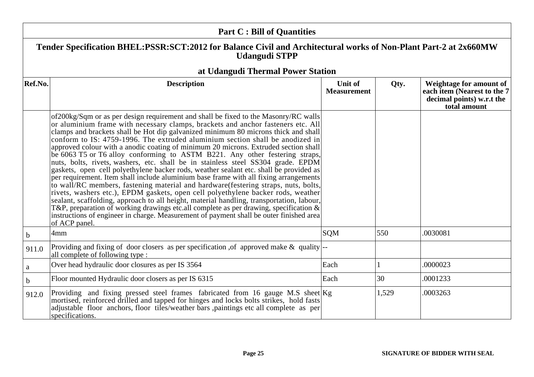| <b>Part C: Bill of Quantities</b>                                                                                                        |                                                                                                                                                                                                                                                                                                                                                                                                                                                                                                                                                                                                                                                                                                                                                                                                                                                                                                                                                                                                                                                                                                                                                                                                                                                                             |                               |       |                                                                                                     |
|------------------------------------------------------------------------------------------------------------------------------------------|-----------------------------------------------------------------------------------------------------------------------------------------------------------------------------------------------------------------------------------------------------------------------------------------------------------------------------------------------------------------------------------------------------------------------------------------------------------------------------------------------------------------------------------------------------------------------------------------------------------------------------------------------------------------------------------------------------------------------------------------------------------------------------------------------------------------------------------------------------------------------------------------------------------------------------------------------------------------------------------------------------------------------------------------------------------------------------------------------------------------------------------------------------------------------------------------------------------------------------------------------------------------------------|-------------------------------|-------|-----------------------------------------------------------------------------------------------------|
| Tender Specification BHEL:PSSR:SCT:2012 for Balance Civil and Architectural works of Non-Plant Part-2 at 2x660MW<br><b>Udangudi STPP</b> |                                                                                                                                                                                                                                                                                                                                                                                                                                                                                                                                                                                                                                                                                                                                                                                                                                                                                                                                                                                                                                                                                                                                                                                                                                                                             |                               |       |                                                                                                     |
|                                                                                                                                          | at Udangudi Thermal Power Station                                                                                                                                                                                                                                                                                                                                                                                                                                                                                                                                                                                                                                                                                                                                                                                                                                                                                                                                                                                                                                                                                                                                                                                                                                           |                               |       |                                                                                                     |
| Ref.No.                                                                                                                                  | <b>Description</b>                                                                                                                                                                                                                                                                                                                                                                                                                                                                                                                                                                                                                                                                                                                                                                                                                                                                                                                                                                                                                                                                                                                                                                                                                                                          | Unit of<br><b>Measurement</b> | Qty.  | Weightage for amount of<br>each item (Nearest to the 7<br>decimal points) w.r.t the<br>total amount |
|                                                                                                                                          | of 200kg/Sqm or as per design requirement and shall be fixed to the Masonry/RC walls<br>or aluminium frame with necessary clamps, brackets and anchor fasteners etc. All<br>clamps and brackets shall be Hot dip galvanized minimum 80 microns thick and shall<br>conform to IS: 4759-1996. The extruded aluminium section shall be anodized in<br>approved colour with a anodic coating of minimum 20 microns. Extruded section shall<br>be 6063 T5 or T6 alloy conforming to ASTM B221. Any other festering straps,<br>nuts, bolts, rivets, washers, etc. shall be in stainless steel SS304 grade. EPDM<br>gaskets, open cell polyethylene backer rods, weather sealant etc. shall be provided as<br>per requirement. Item shall include aluminium base frame with all fixing arrangements<br>to wall/RC members, fastening material and hardware (festering straps, nuts, bolts,<br>rivets, washers etc.), EPDM gaskets, open cell polyethylene backer rods, weather<br>sealant, scaffolding, approach to all height, material handling, transportation, labour,<br>T&P, preparation of working drawings etc.all complete as per drawing, specification $\&$<br>instructions of engineer in charge. Measurement of payment shall be outer finished area<br>of ACP panel. |                               |       |                                                                                                     |
| b.                                                                                                                                       | 4mm                                                                                                                                                                                                                                                                                                                                                                                                                                                                                                                                                                                                                                                                                                                                                                                                                                                                                                                                                                                                                                                                                                                                                                                                                                                                         | <b>SQM</b>                    | 550   | .0030081                                                                                            |
| 911.0                                                                                                                                    | Providing and fixing of door closers as per specification, of approved make $\&$ quality.<br>all complete of following type :                                                                                                                                                                                                                                                                                                                                                                                                                                                                                                                                                                                                                                                                                                                                                                                                                                                                                                                                                                                                                                                                                                                                               |                               |       |                                                                                                     |
| $\mathbf{a}$                                                                                                                             | Over head hydraulic door closures as per IS 3564                                                                                                                                                                                                                                                                                                                                                                                                                                                                                                                                                                                                                                                                                                                                                                                                                                                                                                                                                                                                                                                                                                                                                                                                                            | Each                          |       | .0000023                                                                                            |
| $\mathbf b$                                                                                                                              | Floor mounted Hydraulic door closers as per IS 6315                                                                                                                                                                                                                                                                                                                                                                                                                                                                                                                                                                                                                                                                                                                                                                                                                                                                                                                                                                                                                                                                                                                                                                                                                         | Each                          | 30    | .0001233                                                                                            |
| 912.0                                                                                                                                    | Providing and fixing pressed steel frames fabricated from 16 gauge M.S sheet $ Kg $<br>mortised, reinforced drilled and tapped for hinges and locks bolts strikes, hold fasts<br>adjustable floor anchors, floor tiles/weather bars ,paintings etc all complete as per<br>specifications.                                                                                                                                                                                                                                                                                                                                                                                                                                                                                                                                                                                                                                                                                                                                                                                                                                                                                                                                                                                   |                               | 1,529 | .0003263                                                                                            |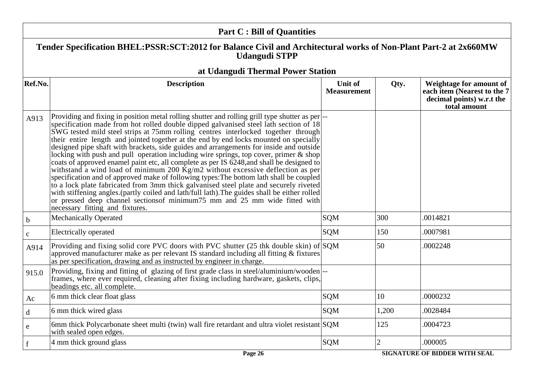| <b>Part C: Bill of Quantities</b>                                                                                                        |                                                                                                                                                                                                                                                                                                                                                                                                                                                                                                                                                                                                                                                                                                                                                                                                                                                                                                                                                                                                                                                                                                                                                             |                               |                |                                                                                                     |
|------------------------------------------------------------------------------------------------------------------------------------------|-------------------------------------------------------------------------------------------------------------------------------------------------------------------------------------------------------------------------------------------------------------------------------------------------------------------------------------------------------------------------------------------------------------------------------------------------------------------------------------------------------------------------------------------------------------------------------------------------------------------------------------------------------------------------------------------------------------------------------------------------------------------------------------------------------------------------------------------------------------------------------------------------------------------------------------------------------------------------------------------------------------------------------------------------------------------------------------------------------------------------------------------------------------|-------------------------------|----------------|-----------------------------------------------------------------------------------------------------|
| Tender Specification BHEL:PSSR:SCT:2012 for Balance Civil and Architectural works of Non-Plant Part-2 at 2x660MW<br><b>Udangudi STPP</b> |                                                                                                                                                                                                                                                                                                                                                                                                                                                                                                                                                                                                                                                                                                                                                                                                                                                                                                                                                                                                                                                                                                                                                             |                               |                |                                                                                                     |
|                                                                                                                                          | at Udangudi Thermal Power Station                                                                                                                                                                                                                                                                                                                                                                                                                                                                                                                                                                                                                                                                                                                                                                                                                                                                                                                                                                                                                                                                                                                           |                               |                |                                                                                                     |
| Ref.No.                                                                                                                                  | <b>Description</b>                                                                                                                                                                                                                                                                                                                                                                                                                                                                                                                                                                                                                                                                                                                                                                                                                                                                                                                                                                                                                                                                                                                                          | Unit of<br><b>Measurement</b> | Qty.           | Weightage for amount of<br>each item (Nearest to the 7<br>decimal points) w.r.t the<br>total amount |
| A913                                                                                                                                     | Providing and fixing in position metal rolling shutter and rolling grill type shutter as per<br>specification made from hot rolled double dipped galvanised steel lath section of 18<br>SWG tested mild steel strips at 75mm rolling centres interlocked together through<br>their entire length and jointed together at the end by end locks mounted on specially<br>designed pipe shaft with brackets, side guides and arrangements for inside and outside<br>locking with push and pull operation including wire springs, top cover, primer $\&$ shop<br>coats of approved enamel paint etc, all complete as per IS 6248, and shall be designed to<br>withstand a wind load of minimum 200 $\overline{Kg}/m2$ without excessive deflection as per<br>specification and of approved make of following types: The bottom lath shall be coupled<br>to a lock plate fabricated from 3mm thick galvanised steel plate and securely riveted<br>with stiffening angles.(partly coiled and lath/full lath). The guides shall be either rolled<br>or pressed deep channel sections of minimum 75 mm and 25 mm wide fitted with<br>necessary fitting and fixtures. |                               |                |                                                                                                     |
| $\mathbf b$                                                                                                                              | <b>Mechanically Operated</b>                                                                                                                                                                                                                                                                                                                                                                                                                                                                                                                                                                                                                                                                                                                                                                                                                                                                                                                                                                                                                                                                                                                                | <b>SQM</b>                    | 300            | .0014821                                                                                            |
| $\mathbf c$                                                                                                                              | Electrically operated                                                                                                                                                                                                                                                                                                                                                                                                                                                                                                                                                                                                                                                                                                                                                                                                                                                                                                                                                                                                                                                                                                                                       | <b>SQM</b>                    | 150            | .0007981                                                                                            |
| A914                                                                                                                                     | Providing and fixing solid core PVC doors with PVC shutter $(25$ thk double skin) of SQM<br>approved manufacturer make as per relevant IS standard including all fitting & fixtures<br>as per specification, drawing and as instructed by engineer in charge.                                                                                                                                                                                                                                                                                                                                                                                                                                                                                                                                                                                                                                                                                                                                                                                                                                                                                               |                               | 50             | .0002248                                                                                            |
| 915.0                                                                                                                                    | Providing, fixing and fitting of glazing of first grade class in steel/aluminium/wooden --<br>frames, where ever required, cleaning after fixing including hardware, gaskets, clips,<br>beadings etc. all complete.                                                                                                                                                                                                                                                                                                                                                                                                                                                                                                                                                                                                                                                                                                                                                                                                                                                                                                                                         |                               |                |                                                                                                     |
| Ac                                                                                                                                       | 6 mm thick clear float glass                                                                                                                                                                                                                                                                                                                                                                                                                                                                                                                                                                                                                                                                                                                                                                                                                                                                                                                                                                                                                                                                                                                                | <b>SQM</b>                    | 10             | .0000232                                                                                            |
| $\mathbf d$                                                                                                                              | 6 mm thick wired glass                                                                                                                                                                                                                                                                                                                                                                                                                                                                                                                                                                                                                                                                                                                                                                                                                                                                                                                                                                                                                                                                                                                                      | <b>SQM</b>                    | 1,200          | .0028484                                                                                            |
| e                                                                                                                                        | 6mm thick Polycarbonate sheet multi (twin) wall fire retardant and ultra violet resistant SQM<br>with sealed open edges.                                                                                                                                                                                                                                                                                                                                                                                                                                                                                                                                                                                                                                                                                                                                                                                                                                                                                                                                                                                                                                    |                               | 125            | .0004723                                                                                            |
| $\mathbf f$                                                                                                                              | 4 mm thick ground glass                                                                                                                                                                                                                                                                                                                                                                                                                                                                                                                                                                                                                                                                                                                                                                                                                                                                                                                                                                                                                                                                                                                                     | <b>SQM</b>                    | $\overline{2}$ | .000005                                                                                             |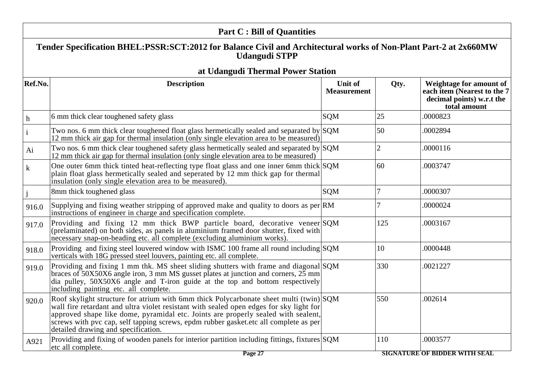| <b>Part C: Bill of Quantities</b> |                                                                                                                                                                                                                                                                                                                                                                                                       |                               |                |                                                                                                     |  |
|-----------------------------------|-------------------------------------------------------------------------------------------------------------------------------------------------------------------------------------------------------------------------------------------------------------------------------------------------------------------------------------------------------------------------------------------------------|-------------------------------|----------------|-----------------------------------------------------------------------------------------------------|--|
|                                   | Tender Specification BHEL:PSSR:SCT:2012 for Balance Civil and Architectural works of Non-Plant Part-2 at 2x660MW<br><b>Udangudi STPP</b>                                                                                                                                                                                                                                                              |                               |                |                                                                                                     |  |
|                                   | at Udangudi Thermal Power Station                                                                                                                                                                                                                                                                                                                                                                     |                               |                |                                                                                                     |  |
| Ref.No.                           | <b>Description</b>                                                                                                                                                                                                                                                                                                                                                                                    | Unit of<br><b>Measurement</b> | Qty.           | Weightage for amount of<br>each item (Nearest to the 7<br>decimal points) w.r.t the<br>total amount |  |
| $\mathbf h$                       | 6 mm thick clear toughened safety glass                                                                                                                                                                                                                                                                                                                                                               | <b>SQM</b>                    | $ 25\rangle$   | .0000823                                                                                            |  |
| $\mathbf{i}$                      | Two nos. 6 mm thick clear toughened float glass hermetically sealed and separated by $ SQM $<br>12 mm thick air gap for thermal insulation (only single elevation area to be measured)                                                                                                                                                                                                                |                               | 50             | .0002894                                                                                            |  |
| Ai                                | Two nos. 6 mm thick clear toughened safety glass hermetically sealed and separated by $\text{SQM}$<br>12 mm thick air gap for thermal insulation (only single elevation area to be measured)                                                                                                                                                                                                          |                               | $\overline{2}$ | .0000116                                                                                            |  |
| $\bf k$                           | One outer 6mm thick tinted heat-reflecting type float glass and one inner 6mm thick SQM<br>plain float glass hermetically sealed and seperated by 12 mm thick gap for thermal<br>insulation (only single elevation area to be measured).                                                                                                                                                              |                               | 60             | .0003747                                                                                            |  |
|                                   | 8mm thick toughened glass                                                                                                                                                                                                                                                                                                                                                                             | <b>SQM</b>                    | $\overline{7}$ | .0000307                                                                                            |  |
| 916.0                             | Supplying and fixing weather stripping of approved make and quality to doors as per RM<br>instructions of engineer in charge and specification complete.                                                                                                                                                                                                                                              |                               | 7              | .0000024                                                                                            |  |
| 917.0                             | Providing and fixing 12 mm thick BWP particle board, decorative veneer SQM<br>(prelaminated) on both sides, as panels in aluminium framed door shutter, fixed with<br>necessary snap-on-beading etc. all complete (excluding aluminium works).                                                                                                                                                        |                               | 125            | .0003167                                                                                            |  |
| 918.0                             | Providing and fixing steel louvered window with ISMC 100 frame all round including $\text{SQM}$<br>verticals with 18G pressed steel louvers, painting etc. all complete.                                                                                                                                                                                                                              |                               | 10             | .0000448                                                                                            |  |
| 919.0                             | Providing and fixing 1 mm thk. MS sheet sliding shutters with frame and diagonal SQM<br>braces of 50X50X6 angle iron, 3 mm MS gusset plates at junction and corners, 25 mm<br>dia pulley, 50X50X6 angle and T-iron guide at the top and bottom respectively<br>including painting etc. all complete.                                                                                                  |                               | 330            | .0021227                                                                                            |  |
| 920.0                             | Roof skylight structure for atrium with 6mm thick Polycarbonate sheet multi (twin) SQM<br>wall fire retardant and ultra violet resistant with sealed open edges for sky light for<br>approved shape like dome, pyramidal etc. Joints are properly sealed with sealent,<br>screws with pvc cap, self tapping screws, epdm rubber gasket.etc all complete as per<br>detailed drawing and specification. |                               | 550            | .002614                                                                                             |  |
| A921                              | Providing and fixing of wooden panels for interior partition including fittings, fixtures SQM<br>etc all complete.                                                                                                                                                                                                                                                                                    |                               | 110            | .0003577                                                                                            |  |

**SIGNATURE OF BIDDER WITH SEAL**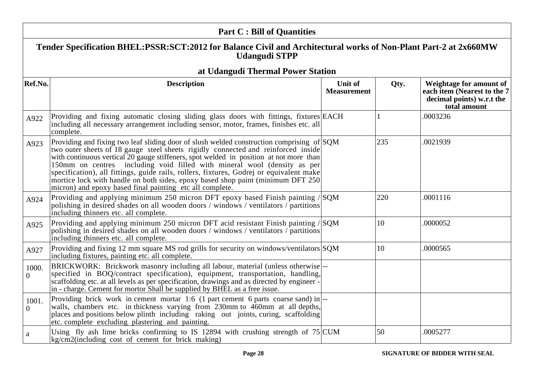#### **Part C : Bill of QuantitiesTender Specification BHEL:PSSR:SCT:2012 for Balance Civil and Architectural works of Non-Plant Part-2 at 2x660MWUdangudi STPPat Udangudi Thermal Power StationRef.No. Descriptionu** Unit of **MeasurementQty. Weightage for amount of each item (Nearest to the 7 decimal points) w.r.t thetotal amount**A9222 Providing and fixing automatic closing sliding glass doors with fittings, fixtures EACH<br>including all necessary arrangement including sensor motor frames finishes etc. all including all necessary arrangement including sensor, motor, frames, finishes etc. allcomplete.0003236 A9233 Providing and fixing two leaf sliding door of slush welded construction comprising of SQM two outer sheets of 18 gauge steel sheets rigidly connected and reinforced inside with continuous vertical 20 gauge stiffeners, spot welded in position at not more than 150mm on centres including void filled with mineral wool (density as per specification), all fittings, guide rails, rollers, fixtures, Godrej or equivalent make mortice lock with handle on both sides, epoxy based shop paint (minimum DFT 250 $\ln(\text{arccosh})$  and epoxy based final painting etc all complete. M  $235$  .0021939 A9244 Providing and applying minimum 250 micron DFT epoxy based Finish painting /SQM polishing in desired shades on all wooden doors / windows / ventilators / partitionsincluding thinners etc. all complete. $|220|$  .0001116 A9255 Providing and applying minimum 250 micron DFT acid resistant Finish painting /SQM polishing in desired shades on all wooden doors / windows / ventilators / partitionsincluding thinners etc. all complete.10 .0000052 A9277 Providing and fixing 12 mm square MS rod grills for security on windows/ventilators SQM including fixtures, painting etc. all complete.  $\mathbf{M}$   $\begin{vmatrix} 10 & 0.0000565 \end{vmatrix}$ 1000. $\Omega$ BRICKWORK: Brickwork masonry including all labour, material (unless otherwiseBRICKWOKK. BICKWOK masomy including an labour, material (uness otherwise)---<br>specified in BOQ/contract specification), equipment, transportation, handling,<br>scaffolding etc. at all levels as per specification, drawings and scaffolding etc. at all levels as per specification, drawings and as directed by engineer in - charge. Cement for mortor Shall be supplied by BHEL as a free issue.1001. $\Omega$ Providing brick work in cement mortar 1:6 (1 part cement 6 parts coarse sand) in  $\left| \cdot \right|$  walls, chambers etc. in thickness varying from 230mm to 460mm at all depths, places and positions below plinth including raking out joints, curing, scaffolding $\det$  complete excluding plastering and painting. part centent 6 parts coarse sand) in<br>
1 230mm to 460mm at all depths,<br>
mg out joints, curing, scaffolding aa [Using fly ash lime bricks confirming to IS 12894 with crushing strength of 75 CUM kg/cm2(including cost of cement for brick making)M  $50$  .0005277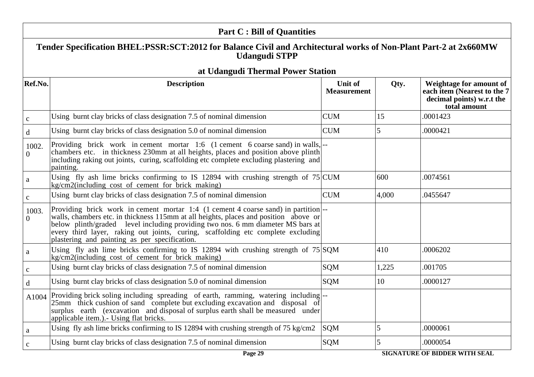|                                                                                                                                          | <b>Part C: Bill of Quantities</b>                                                                                                                                                                                                                                                                                                                                                               |                                      |       |                                                                                                     |
|------------------------------------------------------------------------------------------------------------------------------------------|-------------------------------------------------------------------------------------------------------------------------------------------------------------------------------------------------------------------------------------------------------------------------------------------------------------------------------------------------------------------------------------------------|--------------------------------------|-------|-----------------------------------------------------------------------------------------------------|
| Tender Specification BHEL:PSSR:SCT:2012 for Balance Civil and Architectural works of Non-Plant Part-2 at 2x660MW<br><b>Udangudi STPP</b> |                                                                                                                                                                                                                                                                                                                                                                                                 |                                      |       |                                                                                                     |
|                                                                                                                                          | at Udangudi Thermal Power Station                                                                                                                                                                                                                                                                                                                                                               |                                      |       |                                                                                                     |
| Ref.No.                                                                                                                                  | <b>Description</b>                                                                                                                                                                                                                                                                                                                                                                              | <b>Unit of</b><br><b>Measurement</b> | Qty.  | Weightage for amount of<br>each item (Nearest to the 7<br>decimal points) w.r.t the<br>total amount |
| $\mathbf c$                                                                                                                              | Using burnt clay bricks of class designation 7.5 of nominal dimension                                                                                                                                                                                                                                                                                                                           | <b>CUM</b>                           | 15    | .0001423                                                                                            |
| $\mathbf d$                                                                                                                              | Using burnt clay bricks of class designation 5.0 of nominal dimension                                                                                                                                                                                                                                                                                                                           | <b>CUM</b>                           | 5     | .0000421                                                                                            |
| 1002.<br>$\overline{0}$                                                                                                                  | Providing brick work in cement mortar 1:6 (1 cement 6 coarse sand) in walls,<br>chambers etc. in thickness 230mm at all heights, places and position above plinth<br>including raking out joints, curing, scaffolding etc complete excluding plastering and<br>painting.                                                                                                                        |                                      |       |                                                                                                     |
| $\mathbf{a}$                                                                                                                             | Using fly ash lime bricks confirming to IS 12894 with crushing strength of $75$ CUM<br>kg/cm2(including cost of cement for brick making)                                                                                                                                                                                                                                                        |                                      | 600   | .0074561                                                                                            |
| $\mathbf{c}$                                                                                                                             | Using burnt clay bricks of class designation 7.5 of nominal dimension                                                                                                                                                                                                                                                                                                                           | <b>CUM</b>                           | 4,000 | .0455647                                                                                            |
| 1003.<br>$\Omega$                                                                                                                        | Providing brick work in cement mortar 1:4 (1 cement 4 coarse sand) in partition<br>walls, chambers etc. in thickness 115mm at all heights, places and position above or<br>below plinth/graded level including providing two nos. 6 mm diameter MS bars at<br>every third layer, raking out joints, curing, scaffolding etc complete excluding<br>plastering and painting as per specification. |                                      |       |                                                                                                     |
| $\mathbf{a}$                                                                                                                             | Using fly ash lime bricks confirming to IS 12894 with crushing strength of $75 SQM$<br>kg/cm2(including cost of cement for brick making)                                                                                                                                                                                                                                                        |                                      | 410   | .0006202                                                                                            |
| $\mathbf C$                                                                                                                              | Using burnt clay bricks of class designation 7.5 of nominal dimension                                                                                                                                                                                                                                                                                                                           | <b>SQM</b>                           | 1,225 | .001705                                                                                             |
| d                                                                                                                                        | Using burnt clay bricks of class designation 5.0 of nominal dimension                                                                                                                                                                                                                                                                                                                           | SQM                                  | 10    | .0000127                                                                                            |
| A1004                                                                                                                                    | Providing brick soling including spreading of earth, ramming, watering including-<br>25mm thick cushion of sand complete but excluding excavation and disposal of<br>surplus earth (excavation and disposal of surplus earth shall be measured under<br>applicable item.). Using flat bricks.                                                                                                   |                                      |       |                                                                                                     |
| a                                                                                                                                        | Using fly ash lime bricks confirming to IS 12894 with crushing strength of 75 kg/cm2                                                                                                                                                                                                                                                                                                            | SQM                                  | 5     | .0000061                                                                                            |
| $\mathbf C$                                                                                                                              | Using burnt clay bricks of class designation 7.5 of nominal dimension                                                                                                                                                                                                                                                                                                                           | <b>SQM</b>                           | 5     | .0000054                                                                                            |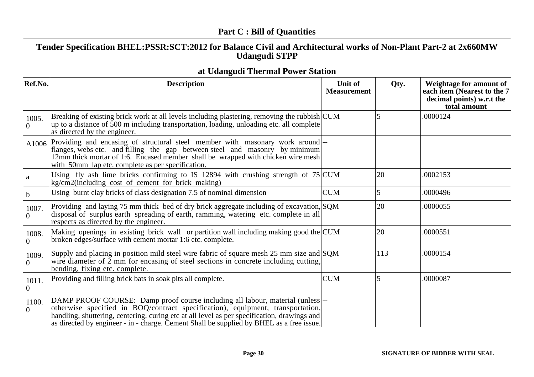| <b>Part C: Bill of Quantities</b>                                                                                                        |                                                                                                                                                                                                                                                                                                                                                             |                                      |                 |                                                                                                            |
|------------------------------------------------------------------------------------------------------------------------------------------|-------------------------------------------------------------------------------------------------------------------------------------------------------------------------------------------------------------------------------------------------------------------------------------------------------------------------------------------------------------|--------------------------------------|-----------------|------------------------------------------------------------------------------------------------------------|
| Tender Specification BHEL:PSSR:SCT:2012 for Balance Civil and Architectural works of Non-Plant Part-2 at 2x660MW<br><b>Udangudi STPP</b> |                                                                                                                                                                                                                                                                                                                                                             |                                      |                 |                                                                                                            |
|                                                                                                                                          | at Udangudi Thermal Power Station                                                                                                                                                                                                                                                                                                                           |                                      |                 |                                                                                                            |
| Ref.No.                                                                                                                                  | <b>Description</b>                                                                                                                                                                                                                                                                                                                                          | <b>Unit of</b><br><b>Measurement</b> | Qty.            | <b>Weightage for amount of</b><br>each item (Nearest to the 7<br>decimal points) w.r.t the<br>total amount |
| 1005.<br>$\Omega$                                                                                                                        | Breaking of existing brick work at all levels including plastering, removing the rubbish CUM<br>up to a distance of 500 m including transportation, loading, unloading etc. all complete<br>as directed by the engineer.                                                                                                                                    |                                      | 5               | .0000124                                                                                                   |
| A1006                                                                                                                                    | Providing and encasing of structural steel member with masonary work around-<br>flanges, webs etc. and filling the gap between steel and masonry by minimum<br>12mm thick mortar of 1:6. Encased member shall be wrapped with chicken wire mesh<br>with 50mm lap etc. complete as per specification.                                                        |                                      |                 |                                                                                                            |
| a                                                                                                                                        | Using fly ash lime bricks confirming to IS 12894 with crushing strength of $75$ CUM<br>kg/cm2(including cost of cement for brick making)                                                                                                                                                                                                                    |                                      | 20              | .0002153                                                                                                   |
| $\mathbf b$                                                                                                                              | Using burnt clay bricks of class designation 7.5 of nominal dimension                                                                                                                                                                                                                                                                                       | <b>CUM</b>                           | $\vert 5 \vert$ | .0000496                                                                                                   |
| 1007.<br>$\overline{0}$                                                                                                                  | Providing and laying 75 mm thick bed of dry brick aggregate including of excavation, SQM<br>disposal of surplus earth spreading of earth, ramming, watering etc. complete in all<br>respects as directed by the engineer.                                                                                                                                   |                                      | 20              | .0000055                                                                                                   |
| 1008.<br>$\overline{0}$                                                                                                                  | Making openings in existing brick wall or partition wall including making good the CUM<br>broken edges/surface with cement mortar 1:6 etc. complete.                                                                                                                                                                                                        |                                      | 20              | .0000551                                                                                                   |
| 1009.<br>$\overline{0}$                                                                                                                  | Supply and placing in position mild steel wire fabric of square mesh 25 mm size and SQM<br>wire diameter of $\overline{2}$ mm for encasing of steel sections in concrete including cutting,<br>bending, fixing etc. complete.                                                                                                                               |                                      | 113             | .0000154                                                                                                   |
| 1011.<br>$\Omega$                                                                                                                        | Providing and filling brick bats in soak pits all complete.                                                                                                                                                                                                                                                                                                 | <b>CUM</b>                           | 5               | .0000087                                                                                                   |
| 1100.<br>$\overline{0}$                                                                                                                  | DAMP PROOF COURSE: Damp proof course including all labour, material (unless)--<br>otherwise specified in BOQ/contract specification), equipment, transportation,<br>handling, shuttering, centering, curing etc at all level as per specification, drawings and<br>as directed by engineer - in - charge. Cement Shall be supplied by BHEL as a free issue. |                                      |                 |                                                                                                            |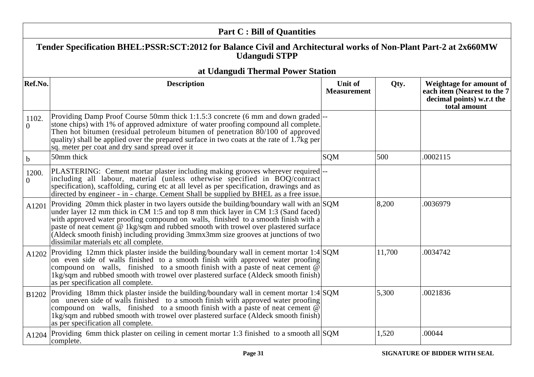| <b>Part C: Bill of Quantities</b>                                                                                                        |                                                                                                                                                                                                                                                                                                                                                                                                                                                                                              |                                      |        |                                                                                                     |
|------------------------------------------------------------------------------------------------------------------------------------------|----------------------------------------------------------------------------------------------------------------------------------------------------------------------------------------------------------------------------------------------------------------------------------------------------------------------------------------------------------------------------------------------------------------------------------------------------------------------------------------------|--------------------------------------|--------|-----------------------------------------------------------------------------------------------------|
| Tender Specification BHEL:PSSR:SCT:2012 for Balance Civil and Architectural works of Non-Plant Part-2 at 2x660MW<br><b>Udangudi STPP</b> |                                                                                                                                                                                                                                                                                                                                                                                                                                                                                              |                                      |        |                                                                                                     |
|                                                                                                                                          | at Udangudi Thermal Power Station                                                                                                                                                                                                                                                                                                                                                                                                                                                            |                                      |        |                                                                                                     |
| Ref.No.                                                                                                                                  | <b>Description</b>                                                                                                                                                                                                                                                                                                                                                                                                                                                                           | <b>Unit of</b><br><b>Measurement</b> | Qty.   | Weightage for amount of<br>each item (Nearest to the 7<br>decimal points) w.r.t the<br>total amount |
| 1102.<br>$\overline{0}$                                                                                                                  | Providing Damp Proof Course 50mm thick 1:1.5:3 concrete (6 mm and down graded)--<br>stone chips) with 1% of approved admixture of water proofing compound all complete.<br>Then hot bitumen (residual petroleum bitumen of penetration $80/100$ of approved<br>quality) shall be applied over the prepared surface in two coats at the rate of 1.7 $kg$ per<br>sq. meter per coat and dry sand spread over it                                                                                |                                      |        |                                                                                                     |
| $\mathbf b$                                                                                                                              | 50mm thick                                                                                                                                                                                                                                                                                                                                                                                                                                                                                   | SQM                                  | 500    | .0002115                                                                                            |
| 1200.<br>$\overline{0}$                                                                                                                  | PLASTERING: Cement mortar plaster including making grooves wherever required  --<br>including all labour, material (unless otherwise specified in BOQ/contract<br>specification), scaffolding, curing etc at all level as per specification, drawings and as<br>directed by engineer - in - charge. Cement Shall be supplied by BHEL as a free issue.                                                                                                                                        |                                      |        |                                                                                                     |
| A1201                                                                                                                                    | Providing 20mm thick plaster in two layers outside the building/boundary wall with an SQM<br>under layer 12 mm thick in CM 1:5 and top 8 mm thick layer in CM 1:3 (Sand faced)<br>with approved water proofing compound on walls, finished to a smooth finish with a<br>paste of neat cement @ 1kg/sqm and rubbed smooth with trowel over plastered surface<br>(Aldeck smooth finish) including providing 3mmx3mm size grooves at junctions of two<br>dissimilar materials etc all complete. |                                      | 8,200  | .0036979                                                                                            |
| A1202                                                                                                                                    | Providing 12mm thick plaster inside the building/boundary wall in cement mortar 1:4 $\text{SQM}$<br>on even side of walls finished to a smooth finish with approved water proofing<br>compound on walls, finished to a smooth finish with a paste of neat cement $\overline{\omega}$<br>1kg/sqm and rubbed smooth with trowel over plastered surface (Aldeck smooth finish)<br>as per specification all complete.                                                                            |                                      | 11,700 | .0034742                                                                                            |
| B1202                                                                                                                                    | Providing 18mm thick plaster inside the building/boundary wall in cement mortar 1:4 SQM<br>on uneven side of walls finished to a smooth finish with approved water proofing<br>compound on walls, finished to a smooth finish with a paste of neat cement $\overline{\omega}$<br>1kg/sqm and rubbed smooth with trowel over plastered surface (Aldeck smooth finish)<br>as per specification all complete.                                                                                   |                                      | 5,300  | .0021836                                                                                            |
| A1204                                                                                                                                    | Providing 6mm thick plaster on ceiling in cement mortar 1:3 finished to a smooth all SQM<br>complete.                                                                                                                                                                                                                                                                                                                                                                                        |                                      | 1,520  | .00044                                                                                              |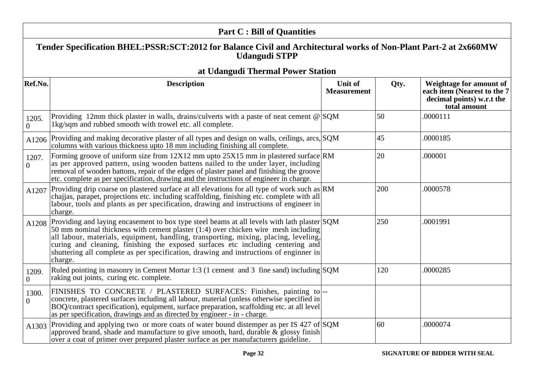| <b>Part C: Bill of Quantities</b>                                                                                                        |                                                                                                                                                                                                                                                                                                                                                                                                                                                                  |                                      |              |                                                                                                     |
|------------------------------------------------------------------------------------------------------------------------------------------|------------------------------------------------------------------------------------------------------------------------------------------------------------------------------------------------------------------------------------------------------------------------------------------------------------------------------------------------------------------------------------------------------------------------------------------------------------------|--------------------------------------|--------------|-----------------------------------------------------------------------------------------------------|
| Tender Specification BHEL:PSSR:SCT:2012 for Balance Civil and Architectural works of Non-Plant Part-2 at 2x660MW<br><b>Udangudi STPP</b> |                                                                                                                                                                                                                                                                                                                                                                                                                                                                  |                                      |              |                                                                                                     |
|                                                                                                                                          | at Udangudi Thermal Power Station                                                                                                                                                                                                                                                                                                                                                                                                                                |                                      |              |                                                                                                     |
| Ref.No.                                                                                                                                  | <b>Description</b>                                                                                                                                                                                                                                                                                                                                                                                                                                               | <b>Unit of</b><br><b>Measurement</b> | Qty.         | Weightage for amount of<br>each item (Nearest to the 7<br>decimal points) w.r.t the<br>total amount |
| 1205.<br>$\overline{0}$                                                                                                                  | Providing 12mm thick plaster in walls, drains/culverts with a paste of neat cement $\omega$ SQM<br>1kg/sqm and rubbed smooth with trowel etc. all complete.                                                                                                                                                                                                                                                                                                      |                                      | 50           | .0000111                                                                                            |
| A1206                                                                                                                                    | Providing and making decorative plaster of all types and design on walls, ceilings, arcs, SQM<br>columns with various thickness upto 18 mm including finishing all complete.                                                                                                                                                                                                                                                                                     |                                      | $ 45\rangle$ | .0000185                                                                                            |
| 1207.<br>$\Omega$                                                                                                                        | Forming groove of uniform size from 12X12 mm upto 25X15 mm in plastered surface RM<br>as per approved pattern, using wooden battens nailed to the under layer, including<br>removal of wooden battons, repair of the edges of plaster panel and finishing the groove<br>etc. complete as per specification, drawing and the instructions of engineer in charge.                                                                                                  |                                      | 20           | .000001                                                                                             |
| A1207                                                                                                                                    | Providing drip coarse on plastered surface at all elevations for all type of work such as RM<br>chajjas, parapet, projections etc. including scaffolding, finishing etc. complete with all<br>labour, tools and plants as per specification, drawing and instructions of engineer in<br>charge.                                                                                                                                                                  |                                      | 200          | .0000578                                                                                            |
| A1208                                                                                                                                    | Providing and laying encasement to box type steel beams at all levels with lath plaster SQM<br>50 mm nominal thickness with cement plaster (1:4) over chicken wire mesh including<br>all labour, materials, equipment, handling, transporting, mixing, placing, leveling,<br>curing and cleaning, finishing the exposed surfaces etc including centering and<br>shuttering all complete as per specification, drawing and instructions of engineer in<br>charge. |                                      | 250          | .0001991                                                                                            |
| 1209.<br>$\overline{0}$                                                                                                                  | Ruled pointing in masonry in Cement Mortar 1:3 (1 cement and 3 fine sand) including $SQM$<br>raking out joints, curing etc. complete.                                                                                                                                                                                                                                                                                                                            |                                      | 120          | .0000285                                                                                            |
| 1300.<br>$\Omega$                                                                                                                        | FINISHES TO CONCRETE / PLASTERED SURFACES: Finishes, painting to<br>concrete, plastered surfaces including all labour, material (unless otherwise specified in<br>BOQ/contract specification), equipment, surface preparation, scaffolding etc. at all level<br>as per specification, drawings and as directed by engineer - in - charge.                                                                                                                        |                                      |              |                                                                                                     |
| A1303                                                                                                                                    | Providing and applying two or more coats of water bound distemper as per IS 427 of SQM<br>approved brand, shade and manufacture to give smooth, hard, durable $\&$ glossy finish<br>over a coat of primer over prepared plaster surface as per manufacturers guideline.                                                                                                                                                                                          |                                      | 60           | .0000074                                                                                            |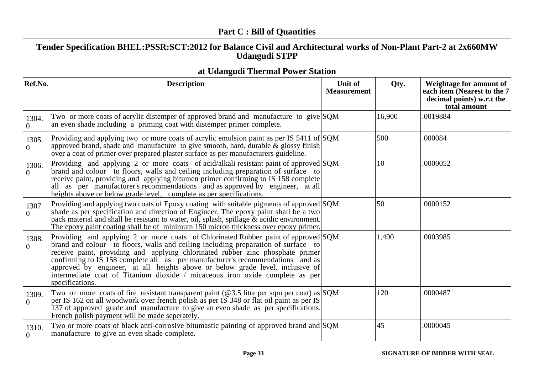| <b>Part C: Bill of Quantities</b> |                                                                                                                                                                                                                                                                                                                                                                                                                                                                                                                                 |                               |              |                                                                                                     |
|-----------------------------------|---------------------------------------------------------------------------------------------------------------------------------------------------------------------------------------------------------------------------------------------------------------------------------------------------------------------------------------------------------------------------------------------------------------------------------------------------------------------------------------------------------------------------------|-------------------------------|--------------|-----------------------------------------------------------------------------------------------------|
|                                   | Tender Specification BHEL:PSSR:SCT:2012 for Balance Civil and Architectural works of Non-Plant Part-2 at 2x660MW<br><b>Udangudi STPP</b>                                                                                                                                                                                                                                                                                                                                                                                        |                               |              |                                                                                                     |
|                                   | at Udangudi Thermal Power Station                                                                                                                                                                                                                                                                                                                                                                                                                                                                                               |                               |              |                                                                                                     |
| Ref.No.                           | <b>Description</b>                                                                                                                                                                                                                                                                                                                                                                                                                                                                                                              | Unit of<br><b>Measurement</b> | Qty.         | Weightage for amount of<br>each item (Nearest to the 7<br>decimal points) w.r.t the<br>total amount |
| 1304.<br>$\overline{0}$           | Two or more coats of acrylic distemper of approved brand and manufacture to give $ SQM $<br>an even shade including a priming coat with distemper primer complete.                                                                                                                                                                                                                                                                                                                                                              |                               | 16,900       | .0019884                                                                                            |
| 1305.<br>$\overline{0}$           | Providing and applying two or more coats of acrylic emulsion paint as per IS 5411 of SQM<br>approved brand, shade and manufacture to give smooth, hard, durable $\&$ glossy finish<br>over a coat of primer over prepared plaster surface as per manufacturers guideline.                                                                                                                                                                                                                                                       |                               | 500          | .000084                                                                                             |
| 1306.<br>$\Omega$                 | Providing and applying 2 or more coats of acid/alkali resistant paint of approved SQM<br>brand and colour to floors, walls and ceiling including preparation of surface to<br>receive paint, providing and applying bitumen primer confirming to IS 158 complete<br>all as per manufacturer's recommendations and as approved by engineer, at all<br>heights above or below grade level, complete as per specifications.                                                                                                        |                               | 10           | .0000052                                                                                            |
| 1307.<br>$\Omega$                 | Providing and applying two coats of Epoxy coating with suitable pigments of approved SQM<br>shade as per specification and direction of Engineer. The epoxy paint shall be a two<br>pack material and shall be resistant to water, oil, splash, spillage $\&$ acidic environment.<br>The epoxy paint coating shall be of minimum 150 micron thickness over epoxy primer.                                                                                                                                                        |                               | 50           | .0000152                                                                                            |
| 1308.<br>$\Omega$                 | Providing and applying 2 or more coats of Chlorinated Rubber paint of approved SQM<br>brand and colour to floors, walls and ceiling including preparation of surface to<br>receive paint, providing and applying chlorinated rubber zinc phosphate primer<br>confirming to IS 158 complete all as per manufacturer's recommendations and as<br>approved by engineer, at all heights above or below grade level, inclusive of<br>intermediate coat of Titanium dioxide / micaceous iron oxide complete as per<br>specifications. |                               | 1,400        | .0003985                                                                                            |
| 1309.<br>$\overline{0}$           | Two or more coats of fire resistant transparent paint ( $@3.5$ litre per sqm per coat) as SQM<br>per IS 162 on all woodwork over french polish as per IS 348 or flat oil paint as per IS<br>137 of approved grade and manufacture to give an even shade as per specifications.<br>French polish payment will be made seperately.                                                                                                                                                                                                |                               | 120          | .0000487                                                                                            |
| 1310.<br>$\Omega$                 | Two or more coats of black anti-corrosive bitumastic painting of approved brand and SQM<br>manufacture to give an even shade complete.                                                                                                                                                                                                                                                                                                                                                                                          |                               | $ 45\rangle$ | .0000045                                                                                            |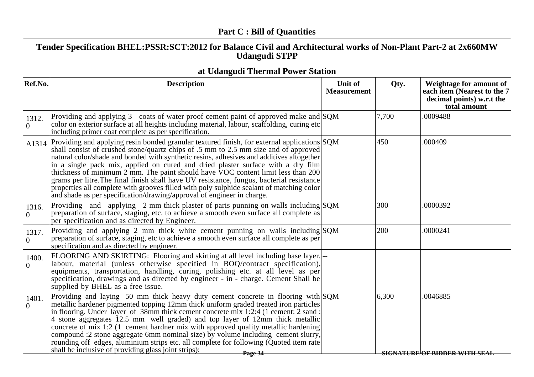|                         | <b>Part C : Bill of Quantities</b>                                                                                                                                                                                                                                                                                                                                                                                                                                                                                                                                                                                                                                                                                       |                               |       |                                                                                                     |  |
|-------------------------|--------------------------------------------------------------------------------------------------------------------------------------------------------------------------------------------------------------------------------------------------------------------------------------------------------------------------------------------------------------------------------------------------------------------------------------------------------------------------------------------------------------------------------------------------------------------------------------------------------------------------------------------------------------------------------------------------------------------------|-------------------------------|-------|-----------------------------------------------------------------------------------------------------|--|
|                         | Tender Specification BHEL:PSSR:SCT:2012 for Balance Civil and Architectural works of Non-Plant Part-2 at 2x660MW<br><b>Udangudi STPP</b>                                                                                                                                                                                                                                                                                                                                                                                                                                                                                                                                                                                 |                               |       |                                                                                                     |  |
|                         | at Udangudi Thermal Power Station                                                                                                                                                                                                                                                                                                                                                                                                                                                                                                                                                                                                                                                                                        |                               |       |                                                                                                     |  |
| Ref.No.                 | <b>Description</b>                                                                                                                                                                                                                                                                                                                                                                                                                                                                                                                                                                                                                                                                                                       | Unit of<br><b>Measurement</b> | Qty.  | Weightage for amount of<br>each item (Nearest to the 7<br>decimal points) w.r.t the<br>total amount |  |
| 1312.<br>$\overline{0}$ | Providing and applying 3 coats of water proof cement paint of approved make and SQM<br>color on exterior surface at all heights including material, labour, scaffolding, curing etc<br>including primer coat complete as per specification.                                                                                                                                                                                                                                                                                                                                                                                                                                                                              |                               | 7,700 | .0009488                                                                                            |  |
| A1314                   | Providing and applying resin bonded granular textured finish, for external applications SQM<br>shall consist of crushed stone/quartz chips of .5 mm to 2.5 mm size and of approved<br>natural color/shade and bonded with synthetic resins, adhesives and additives altogether<br>in a single pack mix, applied on cured and dried plaster surface with a dry film<br>thickness of minimum 2 mm. The paint should have VOC content limit less than 200<br>grams per litre. The final finish shall have UV resistance, fungus, bacterial resistance<br>properties all complete with grooves filled with poly sulphide sealant of matching color<br>and shade as per specification/drawing/approval of engineer in charge. |                               | 450   | .000409                                                                                             |  |
| 1316.<br>$\Omega$       | Providing and applying 2 mm thick plaster of paris punning on walls including SQM<br>preparation of surface, staging, etc. to achieve a smooth even surface all complete as<br>per specification and as directed by Engineer.                                                                                                                                                                                                                                                                                                                                                                                                                                                                                            |                               | 300   | .0000392                                                                                            |  |
| 1317.<br>$\overline{0}$ | Providing and applying 2 mm thick white cement punning on walls including SQM<br>preparation of surface, staging, etc to achieve a smooth even surface all complete as per<br>specification and as directed by engineer.                                                                                                                                                                                                                                                                                                                                                                                                                                                                                                 |                               | 200   | .0000241                                                                                            |  |
| 1400.<br>$\overline{0}$ | FLOORING AND SKIRTING: Flooring and skirting at all level including base layer,  --<br>labour, material (unless otherwise specified in BOQ/contract specification),<br>equipments, transportation, handling, curing, polishing etc. at all level as per<br>specification, drawings and as directed by engineer - in - charge. Cement Shall be<br>supplied by BHEL as a free issue.                                                                                                                                                                                                                                                                                                                                       |                               |       |                                                                                                     |  |
| 1401.<br>∩              | Providing and laying 50 mm thick heavy duty cement concrete in flooring with SQM<br>metallic hardener pigmented topping 12mm thick uniform graded treated iron particles<br>in flooring. Under layer of 38mm thick cement concrete mix 1:2:4 (1 cement: 2 sand :<br>4 stone aggregates 12.5 mm well graded) and top layer of 12mm thick metallic<br>concrete of mix 1:2 (1 cement hardner mix with approved quality metallic hardening<br>compound :2 stone aggregate 6mm nominal size) by volume including cement slurry,<br>rounding off edges, aluminium strips etc. all complete for following (Quoted item rate<br>shall be inclusive of providing glass joint strips):<br>Page 34                                  |                               | 6,300 | .0046885<br><b>SIGNATURE OF BIDDER WITH SEAL</b>                                                    |  |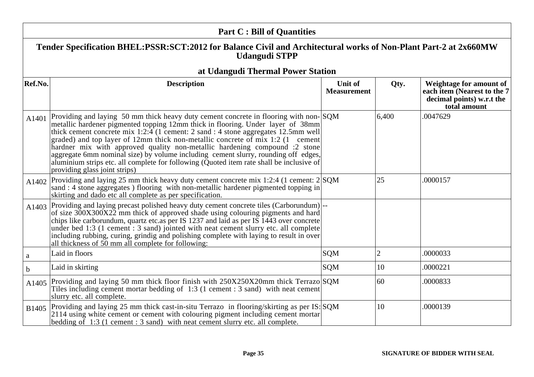|             | <b>Part C: Bill of Quantities</b>                                                                                                                                                                                                                                                                                                                                                                                                                                                                                                                                                                                                                            |                               |                |                                                                                                     |
|-------------|--------------------------------------------------------------------------------------------------------------------------------------------------------------------------------------------------------------------------------------------------------------------------------------------------------------------------------------------------------------------------------------------------------------------------------------------------------------------------------------------------------------------------------------------------------------------------------------------------------------------------------------------------------------|-------------------------------|----------------|-----------------------------------------------------------------------------------------------------|
|             | Tender Specification BHEL:PSSR:SCT:2012 for Balance Civil and Architectural works of Non-Plant Part-2 at 2x660MW<br><b>Udangudi STPP</b>                                                                                                                                                                                                                                                                                                                                                                                                                                                                                                                     |                               |                |                                                                                                     |
|             | at Udangudi Thermal Power Station                                                                                                                                                                                                                                                                                                                                                                                                                                                                                                                                                                                                                            |                               |                |                                                                                                     |
| Ref.No.     | <b>Description</b>                                                                                                                                                                                                                                                                                                                                                                                                                                                                                                                                                                                                                                           | Unit of<br><b>Measurement</b> | Qty.           | Weightage for amount of<br>each item (Nearest to the 7<br>decimal points) w.r.t the<br>total amount |
| A1401       | Providing and laying 50 mm thick heavy duty cement concrete in flooring with non-SQM<br>metallic hardener pigmented topping 12mm thick in flooring. Under layer of 38mm<br>thick cement concrete mix $1:2:\overline{4}$ (1 cement: 2 sand: 4 stone aggregates 12.5mm well<br>graded) and top layer of 12mm thick non-metallic concrete of mix 1:2 (1 cement<br>hardner mix with approved quality non-metallic hardening compound :2 stone<br>aggregate 6mm nominal size) by volume including cement slurry, rounding off edges,<br>aluminium strips etc. all complete for following (Quoted item rate shall be inclusive of<br>providing glass joint strips) |                               | 6,400          | 0047629                                                                                             |
| A1402       | Providing and laying 25 mm thick heavy duty cement concrete mix 1:2:4 (1 cement: 2 SQM<br>sand : 4 stone aggregates ) flooring with non-metallic hardener pigmented topping in<br>skirting and dado etc all complete as per specification.                                                                                                                                                                                                                                                                                                                                                                                                                   |                               | 25             | .0000157                                                                                            |
| A1403       | Providing and laying precast polished heavy duty cement concrete tiles (Carborundum)<br>of size 300X300X22 mm thick of approved shade using colouring pigments and hard<br>chips like carborundum, quartz etc. as per IS 1237 and laid as per IS 1443 over concrete<br>under bed 1:3 (1 cement : 3 sand) jointed with neat cement slurry etc. all complete<br>including rubbing, curing, grindig and polishing complete with laying to result in over<br>all thickness of 50 mm all complete for following:                                                                                                                                                  |                               |                |                                                                                                     |
| a           | Laid in floors                                                                                                                                                                                                                                                                                                                                                                                                                                                                                                                                                                                                                                               | <b>SQM</b>                    | $\overline{2}$ | .0000033                                                                                            |
| $\mathbf b$ | Laid in skirting                                                                                                                                                                                                                                                                                                                                                                                                                                                                                                                                                                                                                                             | <b>SQM</b>                    | 10             | .0000221                                                                                            |
| A1405       | Providing and laying 50 mm thick floor finish with 250X250X20mm thick Terrazo SQM<br>Tiles including cement mortar bedding of 1:3 (1 cement : 3 sand) with neat cement<br>slurry etc. all complete.                                                                                                                                                                                                                                                                                                                                                                                                                                                          |                               | 60             | .0000833                                                                                            |
| B1405       | Providing and laying 25 mm thick cast-in-situ Terrazo in flooring/skirting as per IS: SQM<br>2114 using white cement or cement with colouring pigment including cement mortar<br>bedding of $1:3$ (1 cement : 3 sand) with neat cement slurry etc. all complete.                                                                                                                                                                                                                                                                                                                                                                                             |                               | 10             | .0000139                                                                                            |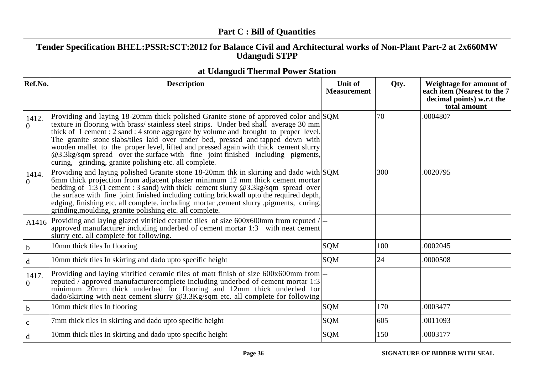|                         | <b>Part C: Bill of Quantities</b>                                                                                                                                                                                                                                                                                                                                                                                                                                                                                                                                                            |                               |      |                                                                                                     |
|-------------------------|----------------------------------------------------------------------------------------------------------------------------------------------------------------------------------------------------------------------------------------------------------------------------------------------------------------------------------------------------------------------------------------------------------------------------------------------------------------------------------------------------------------------------------------------------------------------------------------------|-------------------------------|------|-----------------------------------------------------------------------------------------------------|
|                         | Tender Specification BHEL:PSSR:SCT:2012 for Balance Civil and Architectural works of Non-Plant Part-2 at 2x660MW<br><b>Udangudi STPP</b>                                                                                                                                                                                                                                                                                                                                                                                                                                                     |                               |      |                                                                                                     |
|                         | at Udangudi Thermal Power Station                                                                                                                                                                                                                                                                                                                                                                                                                                                                                                                                                            |                               |      |                                                                                                     |
| Ref.No.                 | <b>Description</b>                                                                                                                                                                                                                                                                                                                                                                                                                                                                                                                                                                           | Unit of<br><b>Measurement</b> | Qty. | Weightage for amount of<br>each item (Nearest to the 7<br>decimal points) w.r.t the<br>total amount |
| 1412.<br>$\overline{0}$ | Providing and laying 18-20mm thick polished Granite stone of approved color and SQM<br>texture in flooring with brass/stainless steel strips. Under bed shall average 30 mm<br>thick of 1 cement : 2 sand : 4 stone aggregate by volume and brought to proper level.<br>The granite stone slabs/tiles laid over under bed, pressed and tapped down with<br>wooden mallet to the proper level, lifted and pressed again with thick cement slurry<br>@3.3kg/sqm spread over the surface with fine joint finished including pigments,<br>curing, grinding, granite polishing etc. all complete. |                               | 70   | .0004807                                                                                            |
| 1414.<br>$\Omega$       | Providing and laying polished Granite stone 18-20mm thk in skirting and dado with SQM<br>6mm thick projection from adjacent plaster minimum 12 mm thick cement mortar<br>bedding of $\overline{1:3}$ (1 cement : 3 sand) with thick cement slurry @3.3kg/sqm spread over<br>the surface with fine joint finished including cutting brickwall upto the required depth,<br>edging, finishing etc. all complete. including mortar , cement slurry , pigments, curing,<br>grinding, moulding, granite polishing etc. all complete.                                                               |                               | 300  | .0020795                                                                                            |
| A1416                   | Providing and laying glazed vitrified ceramic tiles of size 600x600mm from reputed / --<br>approved manufacturer including underbed of cement mortar 1:3 with neat cement<br>slurry etc. all complete for following.                                                                                                                                                                                                                                                                                                                                                                         |                               |      |                                                                                                     |
| $\mathbf b$             | 10mm thick tiles In flooring                                                                                                                                                                                                                                                                                                                                                                                                                                                                                                                                                                 | <b>SQM</b>                    | 100  | .0002045                                                                                            |
| $\mathbf d$             | 10mm thick tiles In skirting and dado upto specific height                                                                                                                                                                                                                                                                                                                                                                                                                                                                                                                                   | <b>SQM</b>                    | 24   | .0000508                                                                                            |
| 1417.<br>$\overline{0}$ | Providing and laying vitrified ceramic tiles of matt finish of size 600x600mm from  --<br>reputed $\bar{\ }$ approved manufacturer complete including underbed of cement mortar 1:3<br>minimum 20mm thick underbed for flooring and 12mm thick underbed for<br>dado/skirting with neat cement slurry @3.3Kg/sqm etc. all complete for following                                                                                                                                                                                                                                              |                               |      |                                                                                                     |
| $\mathbf b$             | 10mm thick tiles In flooring                                                                                                                                                                                                                                                                                                                                                                                                                                                                                                                                                                 | SQM                           | 170  | .0003477                                                                                            |
| $\mathbf c$             | 7mm thick tiles In skirting and dado upto specific height                                                                                                                                                                                                                                                                                                                                                                                                                                                                                                                                    | <b>SQM</b>                    | 605  | .0011093                                                                                            |
| d                       | 10mm thick tiles In skirting and dado upto specific height                                                                                                                                                                                                                                                                                                                                                                                                                                                                                                                                   | <b>SQM</b>                    | 150  | .0003177                                                                                            |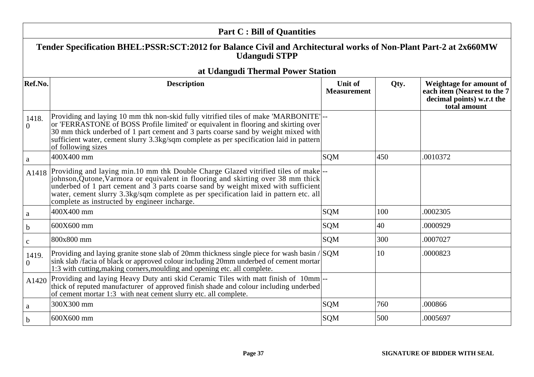|                   | <b>Part C: Bill of Quantities</b>                                                                                                                                                                                                                                                                                                                                                                 |                               |      |                                                                                                     |
|-------------------|---------------------------------------------------------------------------------------------------------------------------------------------------------------------------------------------------------------------------------------------------------------------------------------------------------------------------------------------------------------------------------------------------|-------------------------------|------|-----------------------------------------------------------------------------------------------------|
|                   | Tender Specification BHEL:PSSR:SCT:2012 for Balance Civil and Architectural works of Non-Plant Part-2 at 2x660MW<br><b>Udangudi STPP</b>                                                                                                                                                                                                                                                          |                               |      |                                                                                                     |
|                   | at Udangudi Thermal Power Station                                                                                                                                                                                                                                                                                                                                                                 |                               |      |                                                                                                     |
| Ref.No.           | <b>Description</b>                                                                                                                                                                                                                                                                                                                                                                                | Unit of<br><b>Measurement</b> | Qty. | Weightage for amount of<br>each item (Nearest to the 7<br>decimal points) w.r.t the<br>total amount |
| 1418.<br>$\Omega$ | Providing and laying 10 mm thk non-skid fully vitrified tiles of make 'MARBONITE' --<br>or 'FERRASTONE of BOSS Profile limited' or equivalent in flooring and skirting over<br>30 mm thick underbed of 1 part cement and 3 parts coarse sand by weight mixed with<br>sufficient water, cement slurry 3.3kg/sqm complete as per specification laid in pattern<br>of following sizes                |                               |      |                                                                                                     |
| a                 | 400X400 mm                                                                                                                                                                                                                                                                                                                                                                                        | <b>SQM</b>                    | 450  | .0010372                                                                                            |
| A1418             | Providing and laying min.10 mm thk Double Charge Glazed vitrified tiles of make<br>johnson, Qutone, Varmora or equivalent in flooring and skirting over 38 mm thick<br>underbed of 1 part cement and 3 parts coarse sand by weight mixed with sufficient<br>water, cement slurry 3.3kg/sqm complete as per specification laid in pattern etc. all<br>complete as instructed by engineer incharge. |                               |      |                                                                                                     |
| a                 | 400X400 mm                                                                                                                                                                                                                                                                                                                                                                                        | <b>SQM</b>                    | 100  | .0002305                                                                                            |
| b                 | 600X600 mm                                                                                                                                                                                                                                                                                                                                                                                        | <b>SQM</b>                    | 40   | .0000929                                                                                            |
| $\mathbf{C}$      | 800x800 mm                                                                                                                                                                                                                                                                                                                                                                                        | <b>SQM</b>                    | 300  | .0007027                                                                                            |
| 1419.<br>$\Omega$ | Providing and laying granite stone slab of 20mm thickness single piece for wash basin / SQM<br>sink slab /facia of black or approved colour including 20mm underbed of cement mortar<br>1:3 with cutting, making corners, moulding and opening etc. all complete.                                                                                                                                 |                               | 10   | .0000823                                                                                            |
| A1420             | Providing and laying Heavy Duty anti skid Ceramic Tiles with matt finish of 10mm --<br>thick of reputed manufacturer of approved finish shade and colour including underbed<br>of cement mortar 1:3 with neat cement slurry etc. all complete.                                                                                                                                                    |                               |      |                                                                                                     |
| a                 | 300X300 mm                                                                                                                                                                                                                                                                                                                                                                                        | <b>SQM</b>                    | 760  | .000866                                                                                             |
| b                 | 600X600 mm                                                                                                                                                                                                                                                                                                                                                                                        | <b>SQM</b>                    | 500  | .0005697                                                                                            |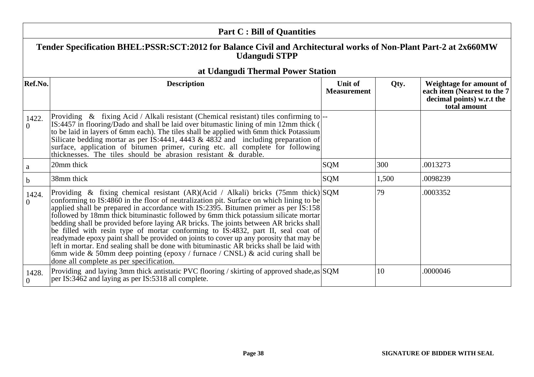|                   | <b>Part C: Bill of Quantities</b>                                                                                                                                                                                                                                                                                                                                                                                                                                                                                                                                                                                                                                                                                                                                                                                                                                           |                               |       |                                                                                                     |  |
|-------------------|-----------------------------------------------------------------------------------------------------------------------------------------------------------------------------------------------------------------------------------------------------------------------------------------------------------------------------------------------------------------------------------------------------------------------------------------------------------------------------------------------------------------------------------------------------------------------------------------------------------------------------------------------------------------------------------------------------------------------------------------------------------------------------------------------------------------------------------------------------------------------------|-------------------------------|-------|-----------------------------------------------------------------------------------------------------|--|
|                   | Tender Specification BHEL:PSSR:SCT:2012 for Balance Civil and Architectural works of Non-Plant Part-2 at 2x660MW<br><b>Udangudi STPP</b>                                                                                                                                                                                                                                                                                                                                                                                                                                                                                                                                                                                                                                                                                                                                    |                               |       |                                                                                                     |  |
|                   | at Udangudi Thermal Power Station                                                                                                                                                                                                                                                                                                                                                                                                                                                                                                                                                                                                                                                                                                                                                                                                                                           |                               |       |                                                                                                     |  |
| Ref.No.           | <b>Description</b>                                                                                                                                                                                                                                                                                                                                                                                                                                                                                                                                                                                                                                                                                                                                                                                                                                                          | Unit of<br><b>Measurement</b> | Qty.  | Weightage for amount of<br>each item (Nearest to the 7<br>decimal points) w.r.t the<br>total amount |  |
| 1422.<br>$\Omega$ | Providing $\&$ fixing Acid / Alkali resistant (Chemical resistant) tiles confirming to $\left -\right $<br>IS:4457 in flooring/Dado and shall be laid over bitumastic lining of min 12mm thick (<br>to be laid in layers of 6mm each). The tiles shall be applied with 6mm thick Potassium<br>Silicate bedding mortar as per IS:4441, 4443 $\&$ 4832 and including preparation of<br>surface, application of bitumen primer, curing etc. all complete for following<br>thicknesses. The tiles should be abrasion resistant & durable.                                                                                                                                                                                                                                                                                                                                       |                               |       |                                                                                                     |  |
| a                 | 20mm thick                                                                                                                                                                                                                                                                                                                                                                                                                                                                                                                                                                                                                                                                                                                                                                                                                                                                  | SQM                           | 300   | .0013273                                                                                            |  |
| $\mathbf b$       | 38mm thick                                                                                                                                                                                                                                                                                                                                                                                                                                                                                                                                                                                                                                                                                                                                                                                                                                                                  | SQM                           | 1,500 | .0098239                                                                                            |  |
| 1424.<br>$\theta$ | Providing & fixing chemical resistant (AR)(Acid / Alkali) bricks (75mm thick) SQM<br>conforming to IS:4860 in the floor of neutralization pit. Surface on which lining to be<br>applied shall be prepared in accordance with IS:2395. Bitumen primer as per IS:158<br>followed by 18mm thick bituminastic followed by 6mm thick potassium silicate mortar<br>bedding shall be provided before laying AR bricks. The joints between AR bricks shall<br>be filled with resin type of mortar conforming to IS:4832, part II, seal coat of<br>readymade epoxy paint shall be provided on joints to cover up any porosity that may be<br>left in mortar. End sealing shall be done with bituminastic $\overrightarrow{AR}$ bricks shall be laid with<br>6mm wide & 50mm deep pointing (epoxy / furnace / CNSL) & acid curing shall be<br>done all complete as per specification. |                               | 79    | .0003352                                                                                            |  |
| 1428.<br>$\Omega$ | Providing and laying 3mm thick antistatic PVC flooring / skirting of approved shade, as SQM<br>per IS:3462 and laying as per IS:5318 all complete.                                                                                                                                                                                                                                                                                                                                                                                                                                                                                                                                                                                                                                                                                                                          |                               | 10    | .0000046                                                                                            |  |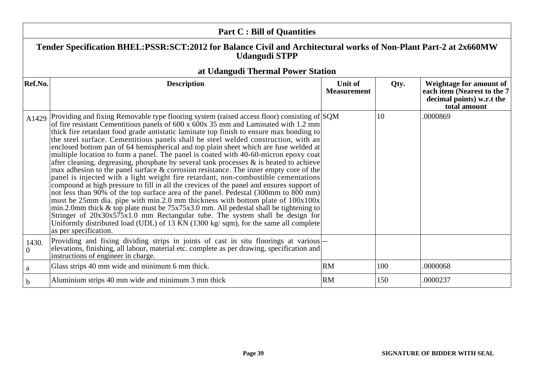|                         | <b>Part C: Bill of Quantities</b>                                                                                                                                                                                                                                                                                                                                                                                                                                                                                                                                                                                                                                                                                                                                                                                                                                                                                                                                                                                                                                                                                                                                                                                                                                                                                                                                                                         |                               |      |                                                                                                     |  |
|-------------------------|-----------------------------------------------------------------------------------------------------------------------------------------------------------------------------------------------------------------------------------------------------------------------------------------------------------------------------------------------------------------------------------------------------------------------------------------------------------------------------------------------------------------------------------------------------------------------------------------------------------------------------------------------------------------------------------------------------------------------------------------------------------------------------------------------------------------------------------------------------------------------------------------------------------------------------------------------------------------------------------------------------------------------------------------------------------------------------------------------------------------------------------------------------------------------------------------------------------------------------------------------------------------------------------------------------------------------------------------------------------------------------------------------------------|-------------------------------|------|-----------------------------------------------------------------------------------------------------|--|
|                         | Tender Specification BHEL:PSSR:SCT:2012 for Balance Civil and Architectural works of Non-Plant Part-2 at 2x660MW<br><b>Udangudi STPP</b>                                                                                                                                                                                                                                                                                                                                                                                                                                                                                                                                                                                                                                                                                                                                                                                                                                                                                                                                                                                                                                                                                                                                                                                                                                                                  |                               |      |                                                                                                     |  |
|                         | at Udangudi Thermal Power Station                                                                                                                                                                                                                                                                                                                                                                                                                                                                                                                                                                                                                                                                                                                                                                                                                                                                                                                                                                                                                                                                                                                                                                                                                                                                                                                                                                         |                               |      |                                                                                                     |  |
| Ref.No.                 | <b>Description</b>                                                                                                                                                                                                                                                                                                                                                                                                                                                                                                                                                                                                                                                                                                                                                                                                                                                                                                                                                                                                                                                                                                                                                                                                                                                                                                                                                                                        | Unit of<br><b>Measurement</b> | Qty. | Weightage for amount of<br>each item (Nearest to the 7<br>decimal points) w.r.t the<br>total amount |  |
| A1429                   | Providing and fixing Removable type flooring system (raised access floor) consisting of SQM<br>of fire resistant Cementitious panels of 600 x 600x 35 mm and Laminated with 1.2 mm<br>thick fire retardant food grade antistatic laminate top finish to ensure max bonding to<br>the steel surface. Cementitious panels shall be steel welded construction, with an<br>enclosed bottom pan of 64 hemispherical and top plain sheet which are fuse welded at<br>multiple location to form a panel. The panel is coated with 40-60-micron epoxy coat<br>after cleaning, degreasing, phosphate by several tank processes $\&$ is heated to achieve<br>max adhesion to the panel surface & corrosion resistance. The inner empty core of the<br>panel is injected with a light weight fire retardant, non-combustible cementations<br>compound at high pressure to fill in all the crevices of the panel and ensures support of<br>not less than 90% of the top surface area of the panel. Pedestal (300mm to 800 mm)<br>must be 25mm dia. pipe with min.2.0 mm thickness with bottom plate of 100x100x<br>min.2.0mm thick $\&$ top plate must be $75x75x3.0$ mm. All pedestal shall be tightening to<br>Stringer of 20x30x575x1.0 mm Rectangular tube. The system shall be design for<br>Uniformly distributed load (UDL) of 13 $\bar{K}N$ (1300 kg/sqm), for the same all complete<br>as per specification. |                               | 10   | .0000869                                                                                            |  |
| 1430.<br>$\overline{0}$ | Providing and fixing dividing strips in joints of cast in situ floorings at various --<br>elevations, finishing, all labour, material etc. complete as per drawing, specification and<br>instructions of engineer in charge.                                                                                                                                                                                                                                                                                                                                                                                                                                                                                                                                                                                                                                                                                                                                                                                                                                                                                                                                                                                                                                                                                                                                                                              |                               |      |                                                                                                     |  |
| a                       | Glass strips 40 mm wide and minimum 6 mm thick.                                                                                                                                                                                                                                                                                                                                                                                                                                                                                                                                                                                                                                                                                                                                                                                                                                                                                                                                                                                                                                                                                                                                                                                                                                                                                                                                                           | <b>RM</b>                     | 100  | .0000068                                                                                            |  |
| $\mathbf b$             | Aluminium strips 40 mm wide and minimum 3 mm thick                                                                                                                                                                                                                                                                                                                                                                                                                                                                                                                                                                                                                                                                                                                                                                                                                                                                                                                                                                                                                                                                                                                                                                                                                                                                                                                                                        | <b>RM</b>                     | 150  | .0000237                                                                                            |  |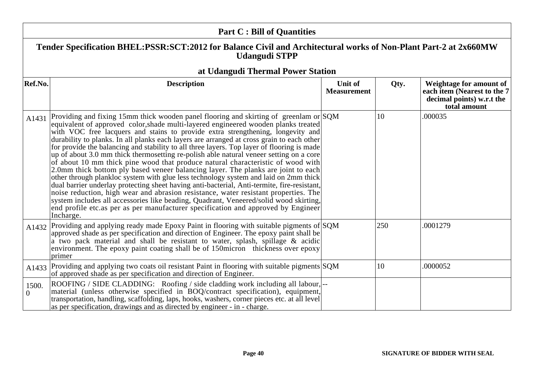|                         | <b>Part C: Bill of Quantities</b>                                                                                                                                                                                                                                                                                                                                                                                                                                                                                                                                                                                                                                                                                                                                                                                                                                                                                                                                                                                                                                                                                                                                                                    |                               |      |                                                                                                     |
|-------------------------|------------------------------------------------------------------------------------------------------------------------------------------------------------------------------------------------------------------------------------------------------------------------------------------------------------------------------------------------------------------------------------------------------------------------------------------------------------------------------------------------------------------------------------------------------------------------------------------------------------------------------------------------------------------------------------------------------------------------------------------------------------------------------------------------------------------------------------------------------------------------------------------------------------------------------------------------------------------------------------------------------------------------------------------------------------------------------------------------------------------------------------------------------------------------------------------------------|-------------------------------|------|-----------------------------------------------------------------------------------------------------|
|                         | Tender Specification BHEL:PSSR:SCT:2012 for Balance Civil and Architectural works of Non-Plant Part-2 at 2x660MW<br><b>Udangudi STPP</b>                                                                                                                                                                                                                                                                                                                                                                                                                                                                                                                                                                                                                                                                                                                                                                                                                                                                                                                                                                                                                                                             |                               |      |                                                                                                     |
|                         | at Udangudi Thermal Power Station                                                                                                                                                                                                                                                                                                                                                                                                                                                                                                                                                                                                                                                                                                                                                                                                                                                                                                                                                                                                                                                                                                                                                                    |                               |      |                                                                                                     |
| Ref.No.                 | <b>Description</b>                                                                                                                                                                                                                                                                                                                                                                                                                                                                                                                                                                                                                                                                                                                                                                                                                                                                                                                                                                                                                                                                                                                                                                                   | Unit of<br><b>Measurement</b> | Qty. | Weightage for amount of<br>each item (Nearest to the 7<br>decimal points) w.r.t the<br>total amount |
| A1431                   | Providing and fixing 15mm thick wooden panel flooring and skirting of greenlam or SQM<br>equivalent of approved color, shade multi-layered engineered wooden planks treated<br>with VOC free lacquers and stains to provide extra strengthening, longevity and<br>durability to planks. In all planks each layers are arranged at cross grain to each other<br>for provide the balancing and stability to all three layers. Top layer of flooring is made<br>up of about 3.0 mm thick thermosetting re-polish able natural veneer setting on a core<br>of about 10 mm thick pine wood that produce natural characteristic of wood with<br>2.0mm thick bottom ply based veneer balancing layer. The planks are joint to each<br>other through plankloc system with glue less technology system and laid on 2mm thick<br>dual barrier underlay protecting sheet having anti-bacterial, Anti-termite, fire-resistant,<br>noise reduction, high wear and abrasion resistance, water resistant properties. The<br>system includes all accessories like beading, Quadrant, Veneered/solid wood skirting,<br>end profile etc.as per as per manufacturer specification and approved by Engineer<br>Incharge. |                               | 10   | .000035                                                                                             |
| A1432                   | Providing and applying ready made Epoxy Paint in flooring with suitable pigments of $SQM$<br>approved shade as per specification and direction of Engineer. The epoxy paint shall be<br>a two pack material and shall be resistant to water, splash, spillage & acidic<br>environment. The epoxy paint coating shall be of 150micron thickness over epoxy<br>primer                                                                                                                                                                                                                                                                                                                                                                                                                                                                                                                                                                                                                                                                                                                                                                                                                                  |                               | 250  | .0001279                                                                                            |
| A1433                   | Providing and applying two coats oil resistant Paint in flooring with suitable pigments SQM<br>of approved shade as per specification and direction of Engineer.                                                                                                                                                                                                                                                                                                                                                                                                                                                                                                                                                                                                                                                                                                                                                                                                                                                                                                                                                                                                                                     |                               | 10   | .0000052                                                                                            |
| 1500.<br>$\overline{0}$ | ROOFING / SIDE CLADDING: Roofing / side cladding work including all labour, --<br>material (unless otherwise specified in BOQ/contract specification), equipment,<br>transportation, handling, scaffolding, laps, hooks, washers, corner pieces etc. at all level<br>as per specification, drawings and as directed by engineer - in - charge.                                                                                                                                                                                                                                                                                                                                                                                                                                                                                                                                                                                                                                                                                                                                                                                                                                                       |                               |      |                                                                                                     |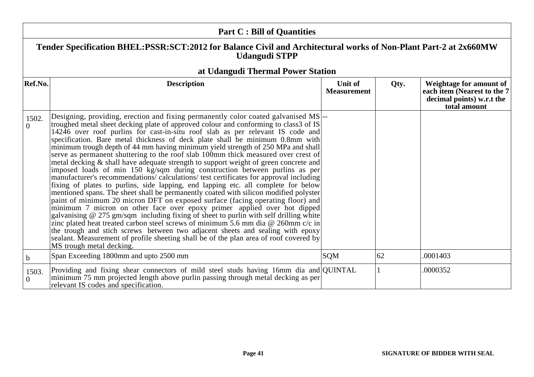| <b>Part C: Bill of Quantities</b> |                                                                                                                                                                                                                                                                                                                                                                                                                                                                                                                                                                                                                                                                                                                                                                                                                                                                                                                                                                                                                                                                                                                                                                                                                                                                                                                                                                                                                                                                                                                          |                               |      |                                                                                                     |  |
|-----------------------------------|--------------------------------------------------------------------------------------------------------------------------------------------------------------------------------------------------------------------------------------------------------------------------------------------------------------------------------------------------------------------------------------------------------------------------------------------------------------------------------------------------------------------------------------------------------------------------------------------------------------------------------------------------------------------------------------------------------------------------------------------------------------------------------------------------------------------------------------------------------------------------------------------------------------------------------------------------------------------------------------------------------------------------------------------------------------------------------------------------------------------------------------------------------------------------------------------------------------------------------------------------------------------------------------------------------------------------------------------------------------------------------------------------------------------------------------------------------------------------------------------------------------------------|-------------------------------|------|-----------------------------------------------------------------------------------------------------|--|
|                                   | Tender Specification BHEL:PSSR:SCT:2012 for Balance Civil and Architectural works of Non-Plant Part-2 at 2x660MW<br><b>Udangudi STPP</b>                                                                                                                                                                                                                                                                                                                                                                                                                                                                                                                                                                                                                                                                                                                                                                                                                                                                                                                                                                                                                                                                                                                                                                                                                                                                                                                                                                                 |                               |      |                                                                                                     |  |
|                                   | at Udangudi Thermal Power Station                                                                                                                                                                                                                                                                                                                                                                                                                                                                                                                                                                                                                                                                                                                                                                                                                                                                                                                                                                                                                                                                                                                                                                                                                                                                                                                                                                                                                                                                                        |                               |      |                                                                                                     |  |
| Ref.No.                           | <b>Description</b>                                                                                                                                                                                                                                                                                                                                                                                                                                                                                                                                                                                                                                                                                                                                                                                                                                                                                                                                                                                                                                                                                                                                                                                                                                                                                                                                                                                                                                                                                                       | Unit of<br><b>Measurement</b> | Qty. | Weightage for amount of<br>each item (Nearest to the 7<br>decimal points) w.r.t the<br>total amount |  |
| 1502.<br>$\overline{0}$           | Designing, providing, erection and fixing permanently color coated galvanised MS--<br>troughed metal sheet decking plate of approved colour and conforming to class3 of IS<br>14246 over roof purlins for cast-in-situ roof slab as per relevant IS code and<br>specification. Bare metal thickness of deck plate shall be minimum 0.8mm with<br>minimum trough depth of 44 mm having minimum yield strength of 250 MPa and shall<br>serve as permanent shuttering to the roof slab 100mm thick measured over crest of<br>metal decking & shall have adequate strength to support weight of green concrete and<br>imposed loads of min 150 kg/sqm during construction between purlins as per<br>manufacturer's recommendations/ calculations/ test certificates for approval including<br>fixing of plates to purlins, side lapping, end lapping etc. all complete for below<br>mentioned spans. The sheet shall be permanently coated with silicon modified polyster<br>paint of minimum 20 micron DFT on exposed surface (facing operating floor) and<br>minimum 7 micron on other face over epoxy primer applied over hot dipped<br>galvanising @ 275 gm/sqm including fixing of sheet to purlin with self drilling white<br>zinc plated heat treated carbon steel screws of minimum 5.6 mm dia @ 260mm c/c in<br>the trough and stich screws between two adjacent sheets and sealing with epoxy<br>sealant. Measurement of profile sheeting shall be of the plan area of roof covered by<br>MS trough metal decking. |                               |      |                                                                                                     |  |
| $\mathbf b$                       | Span Exceeding 1800mm and upto 2500 mm                                                                                                                                                                                                                                                                                                                                                                                                                                                                                                                                                                                                                                                                                                                                                                                                                                                                                                                                                                                                                                                                                                                                                                                                                                                                                                                                                                                                                                                                                   | SQM                           | 62   | .0001403                                                                                            |  |
| 1503.<br>$\overline{0}$           | Providing and fixing shear connectors of mild steel studs having 16mm dia and QUINTAL<br>minimum 75 mm projected length above purlin passing through metal decking as per<br>relevant IS codes and specification.                                                                                                                                                                                                                                                                                                                                                                                                                                                                                                                                                                                                                                                                                                                                                                                                                                                                                                                                                                                                                                                                                                                                                                                                                                                                                                        |                               |      | .0000352                                                                                            |  |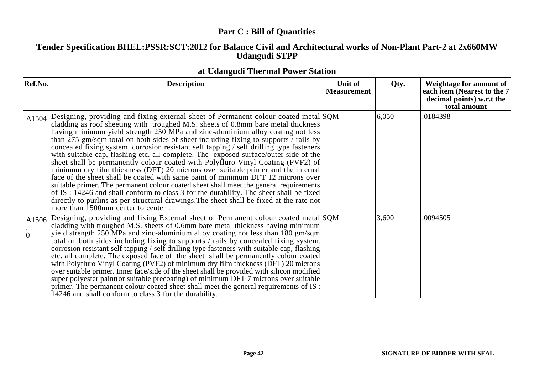| <b>Part C: Bill of Quantities</b> |                                                                                                                                                                                                                                                                                                                                                                                                                                                                                                                                                                                                                                                                                                                                                                                                                                                                                                                                                                                                                                                                                                                             |                               |       |                                                                                                            |  |
|-----------------------------------|-----------------------------------------------------------------------------------------------------------------------------------------------------------------------------------------------------------------------------------------------------------------------------------------------------------------------------------------------------------------------------------------------------------------------------------------------------------------------------------------------------------------------------------------------------------------------------------------------------------------------------------------------------------------------------------------------------------------------------------------------------------------------------------------------------------------------------------------------------------------------------------------------------------------------------------------------------------------------------------------------------------------------------------------------------------------------------------------------------------------------------|-------------------------------|-------|------------------------------------------------------------------------------------------------------------|--|
|                                   | Tender Specification BHEL:PSSR:SCT:2012 for Balance Civil and Architectural works of Non-Plant Part-2 at 2x660MW<br><b>Udangudi STPP</b>                                                                                                                                                                                                                                                                                                                                                                                                                                                                                                                                                                                                                                                                                                                                                                                                                                                                                                                                                                                    |                               |       |                                                                                                            |  |
|                                   | at Udangudi Thermal Power Station                                                                                                                                                                                                                                                                                                                                                                                                                                                                                                                                                                                                                                                                                                                                                                                                                                                                                                                                                                                                                                                                                           |                               |       |                                                                                                            |  |
| Ref.No.                           | <b>Description</b>                                                                                                                                                                                                                                                                                                                                                                                                                                                                                                                                                                                                                                                                                                                                                                                                                                                                                                                                                                                                                                                                                                          | Unit of<br><b>Measurement</b> | Qty.  | <b>Weightage for amount of</b><br>each item (Nearest to the 7<br>decimal points) w.r.t the<br>total amount |  |
| A1504                             | Designing, providing and fixing external sheet of Permanent colour coated metal SQM<br>cladding as roof sheeting with troughed M.S. sheets of 0.8mm bare metal thickness<br>having minimum yield strength 250 MPa and zinc-aluminium alloy coating not less<br>than $275$ gm/sqm total on both sides of sheet including fixing to supports / rails by<br>concealed fixing system, corrosion resistant self tapping / self drilling type fasteners<br>with suitable cap, flashing etc. all complete. The exposed surface/outer side of the<br>sheet shall be permanently colour coated with Polyfluro Vinyl Coating (PVF2) of<br>minimum dry film thickness (DFT) 20 microns over suitable primer and the internal<br>face of the sheet shall be coated with same paint of minimum DFT 12 microns over<br>suitable primer. The permanent colour coated sheet shall meet the general requirements<br>of IS: 14246 and shall conform to class 3 for the durability. The sheet shall be fixed<br>directly to purlins as per structural drawings. The sheet shall be fixed at the rate not<br>more than 1500mm center to center. |                               | 6,050 | .0184398                                                                                                   |  |
| A1506<br>$\overline{0}$           | Designing, providing and fixing External sheet of Permanent colour coated metal SQM<br>cladding with troughed M.S. sheets of 0.6mm bare metal thickness having minimum<br>yield strength 250 MPa and zinc-aluminium alloy coating not less than 180 gm/sqm<br>total on both sides including fixing to supports / rails by concealed fixing system,<br>corrosion resistant self tapping / self drilling type fasteners with suitable cap, flashing<br>etc. all complete. The exposed face of the sheet shall be permanently colour coated<br>with Polyfluro Vinyl Coating (PVF2) of minimum dry film thickness (DFT) 20 microns<br>over suitable primer. Inner face/side of the sheet shall be provided with silicon modified<br>super polyester paint(or suitable precoating) of minimum DFT 7 microns over suitable<br>primer. The permanent colour coated sheet shall meet the general requirements of IS :<br>14246 and shall conform to class 3 for the durability.                                                                                                                                                     |                               | 3,600 | .0094505                                                                                                   |  |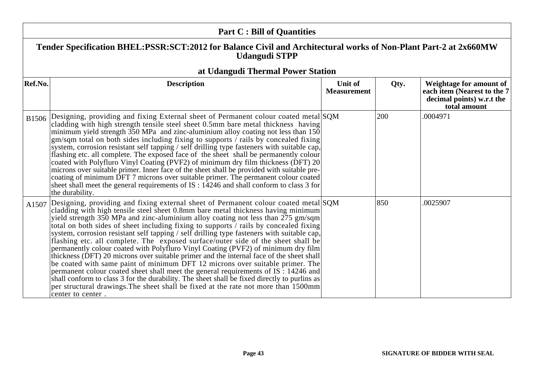|         | <b>Part C: Bill of Quantities</b>                                                                                                                                                                                                                                                                                                                                                                                                                                                                                                                                                                                                                                                                                                                                                                                                                                                                                                                                                                                                                                                                          |                               |      |                                                                                                     |  |
|---------|------------------------------------------------------------------------------------------------------------------------------------------------------------------------------------------------------------------------------------------------------------------------------------------------------------------------------------------------------------------------------------------------------------------------------------------------------------------------------------------------------------------------------------------------------------------------------------------------------------------------------------------------------------------------------------------------------------------------------------------------------------------------------------------------------------------------------------------------------------------------------------------------------------------------------------------------------------------------------------------------------------------------------------------------------------------------------------------------------------|-------------------------------|------|-----------------------------------------------------------------------------------------------------|--|
|         | Tender Specification BHEL:PSSR:SCT:2012 for Balance Civil and Architectural works of Non-Plant Part-2 at 2x660MW<br><b>Udangudi STPP</b>                                                                                                                                                                                                                                                                                                                                                                                                                                                                                                                                                                                                                                                                                                                                                                                                                                                                                                                                                                   |                               |      |                                                                                                     |  |
| Ref.No. | at Udangudi Thermal Power Station<br><b>Description</b>                                                                                                                                                                                                                                                                                                                                                                                                                                                                                                                                                                                                                                                                                                                                                                                                                                                                                                                                                                                                                                                    | Unit of<br><b>Measurement</b> | Qty. | Weightage for amount of<br>each item (Nearest to the 7<br>decimal points) w.r.t the<br>total amount |  |
|         | B1506 Designing, providing and fixing External sheet of Permanent colour coated metal SQM<br>cladding with high strength tensile steel sheet 0.5mm bare metal thickness having<br>minimum yield strength 350 MPa and zinc-aluminium alloy coating not less than 150<br>gm/sqm total on both sides including fixing to supports / rails by concealed fixing<br>system, corrosion resistant self tapping / self drilling type fasteners with suitable cap,<br>flashing etc. all complete. The exposed face of the sheet shall be permanently colour<br>coated with Polyfluro Vinyl Coating (PVF2) of minimum dry film thickness (DFT) 20<br>microns over suitable primer. Inner face of the sheet shall be provided with suitable pre-<br>coating of minimum DFT 7 microns over suitable primer. The permanent colour coated<br>sheet shall meet the general requirements of IS : 14246 and shall conform to class 3 for<br>the durability.                                                                                                                                                                  |                               | 200  | .0004971                                                                                            |  |
| A1507   | Designing, providing and fixing external sheet of Permanent colour coated metal SQM<br>cladding with high tensile steel sheet 0.8mm bare metal thickness having minimum<br>yield strength 350 MPa and zinc-aluminium alloy coating not less than 275 gm/sqm<br>total on both sides of sheet including fixing to supports / rails by concealed fixing<br>system, corrosion resistant self tapping / self drilling type fasteners with suitable cap,<br>flashing etc. all complete. The exposed surface/outer side of the sheet shall be<br>permanently colour coated with Polyfluro Vinyl Coating (PVF2) of minimum dry film<br>thickness (DFT) 20 microns over suitable primer and the internal face of the sheet shall<br>be coated with same paint of minimum DFT 12 microns over suitable primer. The<br>permanent colour coated sheet shall meet the general requirements of IS : 14246 and<br>shall conform to class 3 for the durability. The sheet shall be fixed directly to purlins as<br>per structural drawings. The sheet shall be fixed at the rate not more than 1500mm<br>center to center. |                               | 850  | .0025907                                                                                            |  |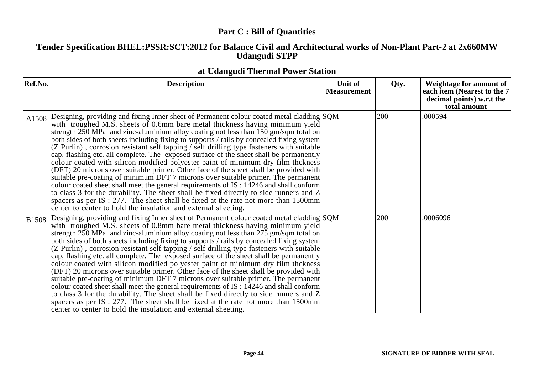| <b>Part C: Bill of Quantities</b> |                                                                                                                                                                                                                                                                                                                                                                                                                                                                                                                                                                                                                                                                                                                                                                                                                                                                                                                                                                                                                                                                                                                                                                            |                               |      |                                                                                                     |
|-----------------------------------|----------------------------------------------------------------------------------------------------------------------------------------------------------------------------------------------------------------------------------------------------------------------------------------------------------------------------------------------------------------------------------------------------------------------------------------------------------------------------------------------------------------------------------------------------------------------------------------------------------------------------------------------------------------------------------------------------------------------------------------------------------------------------------------------------------------------------------------------------------------------------------------------------------------------------------------------------------------------------------------------------------------------------------------------------------------------------------------------------------------------------------------------------------------------------|-------------------------------|------|-----------------------------------------------------------------------------------------------------|
|                                   | Tender Specification BHEL:PSSR:SCT:2012 for Balance Civil and Architectural works of Non-Plant Part-2 at 2x660MW<br><b>Udangudi STPP</b>                                                                                                                                                                                                                                                                                                                                                                                                                                                                                                                                                                                                                                                                                                                                                                                                                                                                                                                                                                                                                                   |                               |      |                                                                                                     |
|                                   | at Udangudi Thermal Power Station                                                                                                                                                                                                                                                                                                                                                                                                                                                                                                                                                                                                                                                                                                                                                                                                                                                                                                                                                                                                                                                                                                                                          |                               |      |                                                                                                     |
| Ref.No.                           | <b>Description</b>                                                                                                                                                                                                                                                                                                                                                                                                                                                                                                                                                                                                                                                                                                                                                                                                                                                                                                                                                                                                                                                                                                                                                         | Unit of<br><b>Measurement</b> | Qty. | Weightage for amount of<br>each item (Nearest to the 7<br>decimal points) w.r.t the<br>total amount |
| A1508                             | Designing, providing and fixing Inner sheet of Permanent colour coated metal cladding SQM<br>with troughed M.S. sheets of 0.6mm bare metal thickness having minimum yield<br>strength $250$ MPa and zinc-aluminium alloy coating not less than $150$ gm/sqm total on<br>both sides of both sheets including fixing to supports / rails by concealed fixing system<br>(Z Purlin), corrosion resistant self tapping / self drilling type fasteners with suitable<br>cap, flashing etc. all complete. The exposed surface of the sheet shall be permanently<br>colour coated with silicon modified polyester paint of minimum dry film thckness<br>(DFT) 20 microns over suitable primer. Other face of the sheet shall be provided with<br>suitable pre-coating of minimum DFT 7 microns over suitable primer. The permanent<br>colour coated sheet shall meet the general requirements of IS : 14246 and shall conform<br>to class 3 for the durability. The sheet shall be fixed directly to side runners and Z<br>spacers as per $IS: 277$ . The sheet shall be fixed at the rate not more than 1500 mm<br>center to center to hold the insulation and external sheeting. |                               | 200  | .000594                                                                                             |
| <b>B1508</b>                      | Designing, providing and fixing Inner sheet of Permanent colour coated metal cladding SQM<br>with troughed M.S. sheets of 0.8mm bare metal thickness having minimum yield<br>strength 250 MPa and zinc-aluminium alloy coating not less than 275 gm/sqm total on<br>both sides of both sheets including fixing to supports / rails by concealed fixing system<br>(Z Purlin), corrosion resistant self tapping / self drilling type fasteners with suitable<br>cap, flashing etc. all complete. The exposed surface of the sheet shall be permanently<br>colour coated with silicon modified polyester paint of minimum dry film thckness<br>(DFT) 20 microns over suitable primer. Other face of the sheet shall be provided with<br>suitable pre-coating of minimum DFT 7 microns over suitable primer. The permanent<br>colour coated sheet shall meet the general requirements of IS : 14246 and shall conform<br>to class 3 for the durability. The sheet shall be fixed directly to side runners and Z<br>spacers as per IS : $277$ . The sheet shall be fixed at the rate not more than 1500mm<br>center to center to hold the insulation and external sheeting.     |                               | 200  | .0006096                                                                                            |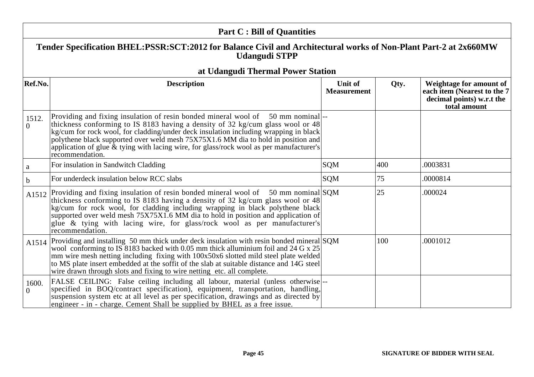| <b>Part C: Bill of Quantities</b> |                                                                                                                                                                                                                                                                                                                                                                                                                                                            |                                      |      |                                                                                                      |  |
|-----------------------------------|------------------------------------------------------------------------------------------------------------------------------------------------------------------------------------------------------------------------------------------------------------------------------------------------------------------------------------------------------------------------------------------------------------------------------------------------------------|--------------------------------------|------|------------------------------------------------------------------------------------------------------|--|
|                                   | Tender Specification BHEL:PSSR:SCT:2012 for Balance Civil and Architectural works of Non-Plant Part-2 at 2x660MW<br><b>Udangudi STPP</b>                                                                                                                                                                                                                                                                                                                   |                                      |      |                                                                                                      |  |
|                                   | at Udangudi Thermal Power Station                                                                                                                                                                                                                                                                                                                                                                                                                          |                                      |      |                                                                                                      |  |
| Ref.No.                           | <b>Description</b>                                                                                                                                                                                                                                                                                                                                                                                                                                         | <b>Unit of</b><br><b>Measurement</b> | Qty. | Weightage for amount of<br>each item (Nearest to the 7)<br>decimal points) w.r.t the<br>total amount |  |
| 1512.<br>$\overline{0}$           | Providing and fixing insulation of resin bonded mineral wool of 50 mm nominal<br>thickness conforming to IS 8183 having a density of 32 kg/cum glass wool or 48<br>kg/cum for rock wool, for cladding/under deck insulation including wrapping in black<br>polythene black supported over weld mesh 75X75X1.6 MM dia to hold in position and<br>application of glue & tying with lacing wire, for glass/rock wool as per manufacturer's<br>recommendation. |                                      |      |                                                                                                      |  |
| $\mathbf{a}$                      | For insulation in Sandwitch Cladding                                                                                                                                                                                                                                                                                                                                                                                                                       | SQM                                  | 400  | .0003831                                                                                             |  |
| b                                 | For underdeck insulation below RCC slabs                                                                                                                                                                                                                                                                                                                                                                                                                   | SQM                                  | 75   | .0000814                                                                                             |  |
| A <sub>1512</sub>                 | Providing and fixing insulation of resin bonded mineral wool of $\,$ 50 mm nominal SQM<br>thickness conforming to IS 8183 having a density of 32 kg/cum glass wool or 48<br>kg/cum for rock wool, for cladding including wrapping in black polythene black<br>supported over weld mesh 75X75X1.6 MM dia to hold in position and application of<br>glue & tying with lacing wire, for glass/rock wool as per manufacturer's<br>recommendation.              |                                      | 25   | .000024                                                                                              |  |
| A1514                             | Providing and installing 50 mm thick under deck insulation with resin bonded mineral SQM<br>wool conforming to IS 8183 backed with 0.05 mm thick alluminium foil and 24 G x 25<br>mm wire mesh netting including fixing with 100x50x6 slotted mild steel plate welded<br>to MS plate insert embedded at the soffit of the slab at suitable distance and 14G steel<br>wire drawn through slots and fixing to wire netting etc. all complete.                |                                      | 100  | .0001012                                                                                             |  |
| 1600.<br>$\theta$                 | FALSE CEILING: False ceiling including all labour, material (unless otherwise)--<br>specified in BOQ/contract specification), equipment, transportation, handling,<br>suspension system etc at all level as per specification, drawings and as directed by<br>engineer - in - charge. Cement Shall be supplied by BHEL as a free issue.                                                                                                                    |                                      |      |                                                                                                      |  |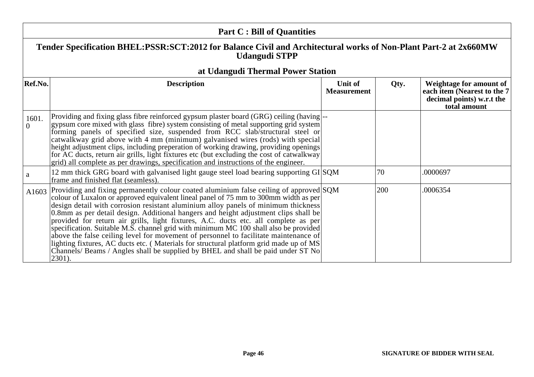|                   | <b>Part C: Bill of Quantities</b>                                                                                                                                                                                                                                                                                                                                                                                                                                                                                                                                                                                                                                                                                                                                                                                             |                               |      |                                                                                                     |
|-------------------|-------------------------------------------------------------------------------------------------------------------------------------------------------------------------------------------------------------------------------------------------------------------------------------------------------------------------------------------------------------------------------------------------------------------------------------------------------------------------------------------------------------------------------------------------------------------------------------------------------------------------------------------------------------------------------------------------------------------------------------------------------------------------------------------------------------------------------|-------------------------------|------|-----------------------------------------------------------------------------------------------------|
|                   | Tender Specification BHEL:PSSR:SCT:2012 for Balance Civil and Architectural works of Non-Plant Part-2 at 2x660MW<br><b>Udangudi STPP</b>                                                                                                                                                                                                                                                                                                                                                                                                                                                                                                                                                                                                                                                                                      |                               |      |                                                                                                     |
|                   | at Udangudi Thermal Power Station                                                                                                                                                                                                                                                                                                                                                                                                                                                                                                                                                                                                                                                                                                                                                                                             |                               |      |                                                                                                     |
| Ref.No.           | <b>Description</b>                                                                                                                                                                                                                                                                                                                                                                                                                                                                                                                                                                                                                                                                                                                                                                                                            | Unit of<br><b>Measurement</b> | Qty. | Weightage for amount of<br>each item (Nearest to the 7<br>decimal points) w.r.t the<br>total amount |
| 1601.<br>$\Omega$ | Providing and fixing glass fibre reinforced gypsum plaster board (GRG) ceiling (having  --<br>gypsum core mixed with glass fibre) system consisting of metal supporting grid system<br>forming panels of specified size, suspended from RCC slab/structural steel or<br>catwalkway grid above with 4 mm (minimum) galvanised wires (rods) with special<br>height adjustment clips, including preperation of working drawing, providing openings<br>for AC ducts, return air grills, light fixtures etc (but excluding the cost of catwalkway<br>grid) all complete as per drawings, specification and instructions of the engineer.                                                                                                                                                                                           |                               |      |                                                                                                     |
| a                 | 12 mm thick GRG board with galvanised light gauge steel load bearing supporting $GI SQM$<br>frame and finished flat (seamless).                                                                                                                                                                                                                                                                                                                                                                                                                                                                                                                                                                                                                                                                                               |                               | 70   | .0000697                                                                                            |
| A1603             | Providing and fixing permanently colour coated aluminium false ceiling of approved SQM<br>colour of Luxalon or approved equivalent lineal panel of 75 mm to 300mm width as per<br>design detail with corrosion resistant aluminium alloy panels of minimum thickness<br>0.8mm as per detail design. Additional hangers and height adjustment clips shall be<br>provided for return air grills, light fixtures, A.C. ducts etc. all complete as per<br>specification. Suitable M.S. channel grid with minimum MC 100 shall also be provided<br>above the false ceiling level for movement of personnel to facilitate maintenance of<br>lighting fixtures, AC ducts etc. (Materials for structural platform grid made up of MS<br>Channels/ Beams / Angles shall be supplied by BHEL and shall be paid under ST No<br>$2301$ ). |                               | 200  | .0006354                                                                                            |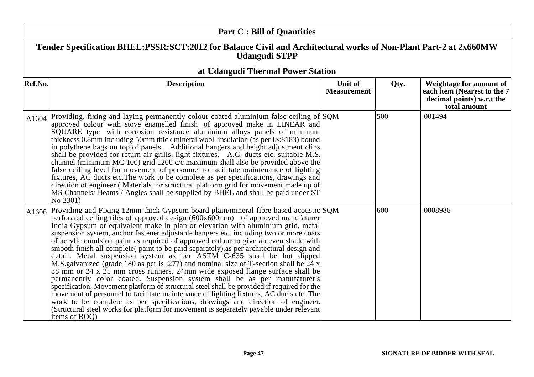| <b>Part C: Bill of Quantities</b> |                                                                                                                                                                                                                                                                                                                                                                                                                                                                                                                                                                                                                                                                                                                                                                                                                                                                                                                                                                                                                                                                                                                                                                                                                                                                          |                               |      |                                                                                                      |
|-----------------------------------|--------------------------------------------------------------------------------------------------------------------------------------------------------------------------------------------------------------------------------------------------------------------------------------------------------------------------------------------------------------------------------------------------------------------------------------------------------------------------------------------------------------------------------------------------------------------------------------------------------------------------------------------------------------------------------------------------------------------------------------------------------------------------------------------------------------------------------------------------------------------------------------------------------------------------------------------------------------------------------------------------------------------------------------------------------------------------------------------------------------------------------------------------------------------------------------------------------------------------------------------------------------------------|-------------------------------|------|------------------------------------------------------------------------------------------------------|
|                                   | Tender Specification BHEL:PSSR:SCT:2012 for Balance Civil and Architectural works of Non-Plant Part-2 at 2x660MW<br><b>Udangudi STPP</b>                                                                                                                                                                                                                                                                                                                                                                                                                                                                                                                                                                                                                                                                                                                                                                                                                                                                                                                                                                                                                                                                                                                                 |                               |      |                                                                                                      |
|                                   | at Udangudi Thermal Power Station                                                                                                                                                                                                                                                                                                                                                                                                                                                                                                                                                                                                                                                                                                                                                                                                                                                                                                                                                                                                                                                                                                                                                                                                                                        |                               |      |                                                                                                      |
| Ref.No.                           | <b>Description</b>                                                                                                                                                                                                                                                                                                                                                                                                                                                                                                                                                                                                                                                                                                                                                                                                                                                                                                                                                                                                                                                                                                                                                                                                                                                       | Unit of<br><b>Measurement</b> | Qty. | Weightage for amount of<br>each item (Nearest to the 7)<br>decimal points) w.r.t the<br>total amount |
| A1604                             | Providing, fixing and laying permanently colour coated aluminium false ceiling of SQM<br>approved colour with stove enamelled finish of approved make in LINEAR and<br>SQUARE type with corrosion resistance aluminium alloys panels of minimum<br>thickness 0.8mm including 50mm thick mineral wool insulation (as per IS:8183) bound<br>in polythene bags on top of panels. Additional hangers and height adjustment clips<br>shall be provided for return air grills, light fixtures. A.C. ducts etc. suitable M.S.<br>channel (minimum MC 100) grid 1200 $c/c$ maximum shall also be provided above the<br>false ceiling level for movement of personnel to facilitate maintenance of lighting<br>fixtures, AC ducts etc. The work to be complete as per specifications, drawings and<br>direction of engineer. (Materials for structural platform grid for movement made up of<br>MS Channels/ Beams / Angles shall be supplied by BHEL and shall be paid under ST<br>No 2301)                                                                                                                                                                                                                                                                                      |                               | 500  | .001494                                                                                              |
| A1606                             | Providing and Fixing 12mm thick Gypsum board plain/mineral fibre based acoustic SQM<br>perforated ceiling tiles of approved design (600x600mm) of approved manufaturer<br>India Gypsum or equivalent make in plan or elevation with aluminium grid, metal<br>suspension system, anchor fastener adjustable hangers etc. including two or more coats<br>of acrylic emulsion paint as required of approved colour to give an even shade with<br>smooth finish all complete(paint to be paid separately) as per architectural design and<br>detail. Metal suspension system as per ASTM C-635 shall be hot dipped<br>M.S. galvanized (grade 180 as per is :277) and nominal size of T-section shall be $\overline{24}$ x<br>38 mm or 24 x 25 mm cross runners. 24mm wide exposed flange surface shall be<br>permanently color coated. Suspension system shall be as per manufaturer's<br>specification. Movement platform of structural steel shall be provided if required for the<br>movement of personnel to facilitate maintenance of lighting fixtures, AC ducts etc. The<br>work to be complete as per specifications, drawings and direction of engineer.<br>(Structural steel works for platform for movement is separately payable under relevant<br>items of BOO) |                               | 600  | .0008986                                                                                             |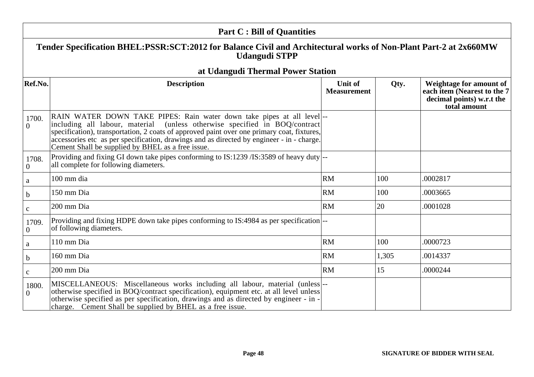|                         | <b>Part C: Bill of Quantities</b>                                                                                                                                                                                                                                                                                                                                                                  |                               |       |                                                                                                     |
|-------------------------|----------------------------------------------------------------------------------------------------------------------------------------------------------------------------------------------------------------------------------------------------------------------------------------------------------------------------------------------------------------------------------------------------|-------------------------------|-------|-----------------------------------------------------------------------------------------------------|
|                         | Tender Specification BHEL:PSSR:SCT:2012 for Balance Civil and Architectural works of Non-Plant Part-2 at 2x660MW<br><b>Udangudi STPP</b>                                                                                                                                                                                                                                                           |                               |       |                                                                                                     |
|                         | at Udangudi Thermal Power Station                                                                                                                                                                                                                                                                                                                                                                  |                               |       |                                                                                                     |
| Ref.No.                 | <b>Description</b>                                                                                                                                                                                                                                                                                                                                                                                 | Unit of<br><b>Measurement</b> | Qty.  | Weightage for amount of<br>each item (Nearest to the 7<br>decimal points) w.r.t the<br>total amount |
| 1700.<br>$\Omega$       | RAIN WATER DOWN TAKE PIPES: Rain water down take pipes at all level<br>including all labour, material (unless otherwise specified in BOQ/contract)<br>specification), transportation, 2 coats of approved paint over one primary coat, fixtures,<br>accessories etc as per specification, drawings and as directed by engineer - in - charge.<br>Cement Shall be supplied by BHEL as a free issue. |                               |       |                                                                                                     |
| 1708.<br>$\overline{0}$ | Providing and fixing GI down take pipes conforming to IS:1239 /IS:3589 of heavy duty $\left -\right $<br>all complete for following diameters.                                                                                                                                                                                                                                                     |                               |       |                                                                                                     |
| a                       | 100 mm dia                                                                                                                                                                                                                                                                                                                                                                                         | RM                            | 100   | .0002817                                                                                            |
| $\mathbf b$             | 150 mm Dia                                                                                                                                                                                                                                                                                                                                                                                         | <b>RM</b>                     | 100   | .0003665                                                                                            |
| $\mathbf{C}$            | 200 mm Dia                                                                                                                                                                                                                                                                                                                                                                                         | <b>RM</b>                     | 20    | .0001028                                                                                            |
| 1709.<br>$\mathbf{0}$   | Providing and fixing HDPE down take pipes conforming to IS:4984 as per specification --<br>of following diameters.                                                                                                                                                                                                                                                                                 |                               |       |                                                                                                     |
| a                       | 110 mm Dia                                                                                                                                                                                                                                                                                                                                                                                         | <b>RM</b>                     | 100   | 0000723                                                                                             |
| $\mathbf b$             | 160 mm Dia                                                                                                                                                                                                                                                                                                                                                                                         | <b>RM</b>                     | 1,305 | .0014337                                                                                            |
| $\mathbf{C}$            | 200 mm Dia                                                                                                                                                                                                                                                                                                                                                                                         | <b>RM</b>                     | 15    | .0000244                                                                                            |
| 1800.<br>$\Omega$       | MISCELLANEOUS: Miscellaneous works including all labour, material (unless)--<br>otherwise specified in BOQ/contract specification), equipment etc. at all level unless<br>otherwise specified as per specification, drawings and as directed by engineer - in -<br>charge. Cement Shall be supplied by BHEL as a free issue.                                                                       |                               |       |                                                                                                     |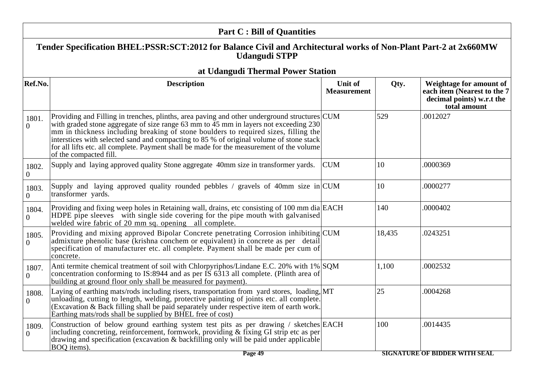|                         | <b>Part C: Bill of Quantities</b>                                                                                                                                                                                                                                                                                                                                                                                                                                                            |                               |        |                                                                                                     |
|-------------------------|----------------------------------------------------------------------------------------------------------------------------------------------------------------------------------------------------------------------------------------------------------------------------------------------------------------------------------------------------------------------------------------------------------------------------------------------------------------------------------------------|-------------------------------|--------|-----------------------------------------------------------------------------------------------------|
|                         | Tender Specification BHEL:PSSR:SCT:2012 for Balance Civil and Architectural works of Non-Plant Part-2 at 2x660MW<br><b>Udangudi STPP</b>                                                                                                                                                                                                                                                                                                                                                     |                               |        |                                                                                                     |
|                         | at Udangudi Thermal Power Station                                                                                                                                                                                                                                                                                                                                                                                                                                                            |                               |        |                                                                                                     |
| Ref.No.                 | <b>Description</b>                                                                                                                                                                                                                                                                                                                                                                                                                                                                           | Unit of<br><b>Measurement</b> | Qty.   | Weightage for amount of<br>each item (Nearest to the 7<br>decimal points) w.r.t the<br>total amount |
| 1801.<br>$\Omega$       | Providing and Filling in trenches, plinths, area paving and other underground structures CUM<br>with graded stone aggregate of size range 63 mm to 45 mm in layers not exceeding 230<br>mm in thickness including breaking of stone boulders to required sizes, filling the<br>interstices with selected sand and compacting to 85 % of original volume of stone stack<br>for all lifts etc. all complete. Payment shall be made for the measurement of the volume<br>of the compacted fill. |                               | 529    | .0012027                                                                                            |
| 1802.<br>$\overline{0}$ | Supply and laying approved quality Stone aggregate 40mm size in transformer yards.                                                                                                                                                                                                                                                                                                                                                                                                           | <b>CUM</b>                    | 10     | .0000369                                                                                            |
| 1803.<br>$\overline{0}$ | Supply and laying approved quality rounded pebbles / gravels of 40mm size in $\text{CUM}$<br>transformer yards.                                                                                                                                                                                                                                                                                                                                                                              |                               | 10     | .0000277                                                                                            |
| 1804.<br>$\overline{0}$ | Providing and fixing weep holes in Retaining wall, drains, etc consisting of 100 mm dia EACH<br>HDPE pipe sleeves with single side covering for the pipe mouth with galvanised<br>welded wire fabric of 20 mm sq. opening all complete.                                                                                                                                                                                                                                                      |                               | 140    | .0000402                                                                                            |
| 1805.<br>$\overline{0}$ | Providing and mixing approved Bipolar Concrete penetrating Corrosion inhibiting CUM<br>admixture phenolic base (krishna conchem or equivalent) in concrete as per detail<br>specification of manufacturer etc. all complete. Payment shall be made per cum of<br>concrete.                                                                                                                                                                                                                   |                               | 18,435 | .0243251                                                                                            |
| 1807.<br>$\overline{0}$ | Anti termite chemical treatment of soil with Chlorpyriphos/Lindane E.C. 20% with 1% SQM<br>concentration conforming to IS:8944 and as per IS 6313 all complete. (Plinth area of<br>building at ground floor only shall be measured for payment).                                                                                                                                                                                                                                             |                               | 1,100  | .0002532                                                                                            |
| 1808.<br>$\Omega$       | Laying of earthing mats/rods including risers, transportation from yard stores, loading, MT<br>unloading, cutting to length, welding, protective painting of joints etc. all complete.<br>(Excavation & Back filling shall be paid separately under respective item of earth work.<br>Earthing mats/rods shall be supplied by BHEL free of cost)                                                                                                                                             |                               | 25     | .0004268                                                                                            |
| 1809.<br>$\theta$       | Construction of below ground earthing system test pits as per drawing / sketches EACH<br>including concreting, reinforcement, formwork, providing & fixing GI strip etc as per<br>drawing and specification (excavation & backfilling only will be paid under applicable<br>BOQ items).<br>$\Gamma$ Dece 40                                                                                                                                                                                  |                               | 100    | .0014435<br>SIZNATIONE AF DINNED WATH SE                                                            |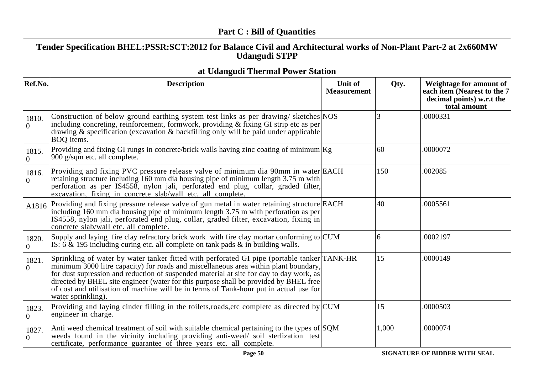|                         | <b>Part C: Bill of Quantities</b>                                                                                                                                                                                                                                                                                                                                                                                                                                                       |                               |       |                                                                                                     |
|-------------------------|-----------------------------------------------------------------------------------------------------------------------------------------------------------------------------------------------------------------------------------------------------------------------------------------------------------------------------------------------------------------------------------------------------------------------------------------------------------------------------------------|-------------------------------|-------|-----------------------------------------------------------------------------------------------------|
|                         | Tender Specification BHEL:PSSR:SCT:2012 for Balance Civil and Architectural works of Non-Plant Part-2 at 2x660MW<br><b>Udangudi STPP</b>                                                                                                                                                                                                                                                                                                                                                |                               |       |                                                                                                     |
|                         | at Udangudi Thermal Power Station                                                                                                                                                                                                                                                                                                                                                                                                                                                       |                               |       |                                                                                                     |
| Ref.No.                 | <b>Description</b>                                                                                                                                                                                                                                                                                                                                                                                                                                                                      | Unit of<br><b>Measurement</b> | Qty.  | Weightage for amount of<br>each item (Nearest to the 7<br>decimal points) w.r.t the<br>total amount |
| 1810.<br>$\overline{0}$ | Construction of below ground earthing system test links as per drawing/sketches NOS<br>including concreting, reinforcement, formwork, providing & fixing GI strip etc as per<br>drawing & specification (excavation & backfilling only will be paid under applicable<br>BOQ items.                                                                                                                                                                                                      |                               |       | .0000331                                                                                            |
| 1815.<br>$\Omega$       | Providing and fixing GI rungs in concrete/brick walls having zinc coating of minimum $Kg$<br>900 g/sqm etc. all complete.                                                                                                                                                                                                                                                                                                                                                               |                               | 60    | .0000072                                                                                            |
| 1816.<br>$\Omega$       | Providing and fixing PVC pressure release valve of minimum dia 90mm in water EACH<br>retaining structure including 160 mm dia housing pipe of minimum length 3.75 m with<br>perforation as per IS4558, nylon jali, perforated end plug, collar, graded filter,<br>excavation, fixing in concrete slab/wall etc. all complete.                                                                                                                                                           |                               | 150   | .002085                                                                                             |
| A1816                   | Providing and fixing pressure release valve of gun metal in water retaining structure EACH<br>including 160 mm dia housing pipe of minimum length 3.75 m with perforation as per<br>IS4558, nylon jali, perforated end plug, collar, graded filter, excavation, fixing in<br>concrete slab/wall etc. all complete.                                                                                                                                                                      |                               | 40    | .0005561                                                                                            |
| 1820.<br>$\overline{0}$ | Supply and laying fire clay refractory brick work with fire clay mortar conforming to $\text{CUM}$<br>IS: 6 & 195 including curing etc. all complete on tank pads $\&$ in building walls.                                                                                                                                                                                                                                                                                               |                               | 6     | .0002197                                                                                            |
| 1821.<br>$\Omega$       | Sprinkling of water by water tanker fitted with perforated GI pipe (portable tanker TANK-HR<br>minimum 3000 litre capacity) for roads and miscellaneous area within plant boundary,<br>for dust supression and reduction of suspended material at site for day to day work, as<br>directed by BHEL site engineer (water for this purpose shall be provided by BHEL free<br>of cost and utilisation of machine will be in terms of Tank-hour put in actual use for<br>water sprinkling). |                               | 15    | .0000149                                                                                            |
| 1823.<br>$\overline{0}$ | Providing and laying cinder filling in the toilets, roads, etc complete as directed by $ CUM $<br>engineer in charge.                                                                                                                                                                                                                                                                                                                                                                   |                               | 15    | .0000503                                                                                            |
| 1827.<br>$\overline{0}$ | Anti weed chemical treatment of soil with suitable chemical pertaining to the types of SQM<br>weeds found in the vicinity including providing anti-weed/ soil sterlization test<br>certificate, performance guarantee of three years etc. all complete.                                                                                                                                                                                                                                 |                               | 1,000 | .0000074                                                                                            |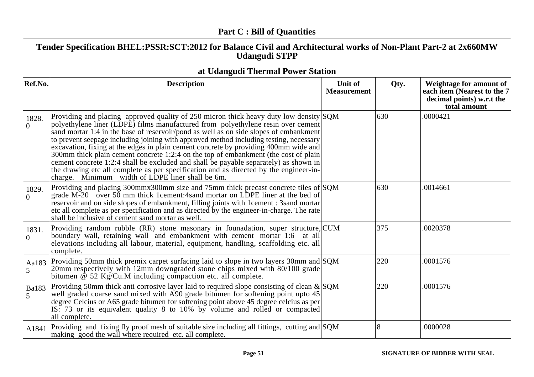|                   | <b>Part C: Bill of Quantities</b>                                                                                                                                                                                                                                                                                                                                                                                                                                                                                                                                                                                                                                                                                                                                                    |                               |      |                                                                                                     |
|-------------------|--------------------------------------------------------------------------------------------------------------------------------------------------------------------------------------------------------------------------------------------------------------------------------------------------------------------------------------------------------------------------------------------------------------------------------------------------------------------------------------------------------------------------------------------------------------------------------------------------------------------------------------------------------------------------------------------------------------------------------------------------------------------------------------|-------------------------------|------|-----------------------------------------------------------------------------------------------------|
|                   | Tender Specification BHEL:PSSR:SCT:2012 for Balance Civil and Architectural works of Non-Plant Part-2 at 2x660MW<br><b>Udangudi STPP</b>                                                                                                                                                                                                                                                                                                                                                                                                                                                                                                                                                                                                                                             |                               |      |                                                                                                     |
|                   | at Udangudi Thermal Power Station                                                                                                                                                                                                                                                                                                                                                                                                                                                                                                                                                                                                                                                                                                                                                    |                               |      |                                                                                                     |
| Ref.No.           | <b>Description</b>                                                                                                                                                                                                                                                                                                                                                                                                                                                                                                                                                                                                                                                                                                                                                                   | Unit of<br><b>Measurement</b> | Qty. | Weightage for amount of<br>each item (Nearest to the 7<br>decimal points) w.r.t the<br>total amount |
| 1828.<br>$\Omega$ | Providing and placing approved quality of 250 micron thick heavy duty low density $ SQM $<br>polyethylene liner (LDPE) films manufactured from polyethylene resin over cement<br>sand mortar 1:4 in the base of reservoir/pond as well as on side slopes of embankment<br>to prevent seepage including joining with approved method including testing, necessary<br>excavation, fixing at the edges in plain cement concrete by providing 400mm wide and<br>300mm thick plain cement concrete 1:2:4 on the top of embankment (the cost of plain<br>cement concrete 1:2:4 shall be excluded and shall be payable separately) as shown in<br>the drawing etc all complete as per specification and as directed by the engineer-in-<br>charge. Minimum width of LDPE liner shall be 6m. |                               | 630  | .0000421                                                                                            |
| 1829.<br>$\Omega$ | Providing and placing 300mmx300mm size and 75mm thick precast concrete tiles of $SQM$<br>grade M-20 over 50 mm thick 1 cement: 4 sand mortar on LDPE liner at the bed of<br>reservoir and on side slopes of embankment, filling joints with 1 cement : 3 sand mortar<br>etc all complete as per specification and as directed by the engineer-in-charge. The rate<br>shall be inclusive of cement sand mortar as well.                                                                                                                                                                                                                                                                                                                                                               |                               | 630  | .0014661                                                                                            |
| 1831.<br>$\theta$ | Providing random rubble (RR) stone masonary in founadation, super structure, CUM<br>boundary wall, retaining wall and embankment with cement mortar 1:6 at all<br>elevations including all labour, material, equipment, handling, scaffolding etc. all<br>complete.                                                                                                                                                                                                                                                                                                                                                                                                                                                                                                                  |                               | 375  | .0020378                                                                                            |
| Aa183<br>5        | Providing 50mm thick premix carpet surfacing laid to slope in two layers 30mm and SQM<br>20mm respectively with 12mm downgraded stone chips mixed with 80/100 grade<br>bitumen $\hat{\varphi}$ 52 Kg/Cu.M including compaction etc. all complete.                                                                                                                                                                                                                                                                                                                                                                                                                                                                                                                                    |                               | 220  | .0001576                                                                                            |
| <b>Ba183</b><br>5 | Providing 50mm thick anti-corrosive layer laid to required slope consisting of clean $\&$ SQM<br>well graded coarse sand mixed with A90 grade bitumen for softening point upto 45<br>degree Celcius or A65 grade bitumen for softening point above 45 degree celcius as per<br>IS: 73 or its equivalent quality 8 to 10% by volume and rolled or compacted<br>all complete.                                                                                                                                                                                                                                                                                                                                                                                                          |                               | 220  | .0001576                                                                                            |
| A1841             | Providing and fixing fly proof mesh of suitable size including all fittings, cutting and $SQM$<br>making good the wall where required etc. all complete.                                                                                                                                                                                                                                                                                                                                                                                                                                                                                                                                                                                                                             |                               | 8    | .0000028                                                                                            |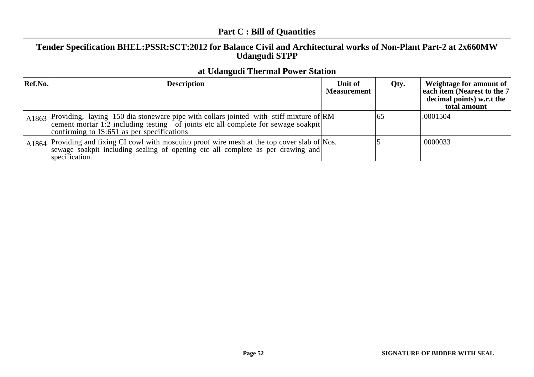| <b>Part C: Bill of Quantities</b>                                                                                                                                      |                                                                                                                                                                                                                                 |                    |      |                                                                          |
|------------------------------------------------------------------------------------------------------------------------------------------------------------------------|---------------------------------------------------------------------------------------------------------------------------------------------------------------------------------------------------------------------------------|--------------------|------|--------------------------------------------------------------------------|
| Tender Specification BHEL:PSSR:SCT:2012 for Balance Civil and Architectural works of Non-Plant Part-2 at 2x660MW<br>Udangudi STPP<br>at Udangudi Thermal Power Station |                                                                                                                                                                                                                                 |                    |      |                                                                          |
| <b>Ref.No.</b>                                                                                                                                                         | <b>Description</b>                                                                                                                                                                                                              | Unit of            | Qty. | Weightage for amount of                                                  |
|                                                                                                                                                                        |                                                                                                                                                                                                                                 | <b>Measurement</b> |      | each item (Nearest to the 7<br>decimal points) w.r.t the<br>total amount |
|                                                                                                                                                                        | A1863 Providing, laying 150 dia stoneware pipe with collars jointed with stiff mixture of RM<br>cement mortar 1.2 including testing of joints etc all complete for sewage soakpit<br>confirming to IS:651 as per specifications |                    | 65   | .0001504                                                                 |
| A1864                                                                                                                                                                  | Providing and fixing CI cowl with mosquito proof wire mesh at the top cover slab of Nos.<br>sewage soakpit including sealing of opening etc all complete as per drawing and<br>specification.                                   |                    |      | .0000033                                                                 |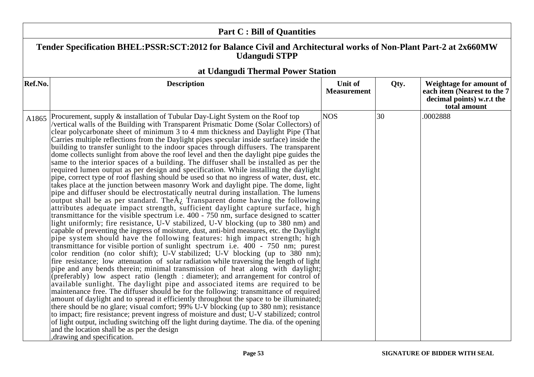|         | <b>Part C: Bill of Quantities</b>                                                                                                                                                                                                                                                                                                                                                                                                                                                                                                                                                                                                                                                                                                                                                                                                                                                                                                                                                                                                                                                                                                                                                                                                                                                                                                                                                                                                                                                                                                                                                                                                                                                                                                                                                                                                                                                                                                                                                                                                                                                                                                                                                                                                                                                                                                                                                                                                                                                                                                                                                                                               |                                      |      |                                                                                                     |  |
|---------|---------------------------------------------------------------------------------------------------------------------------------------------------------------------------------------------------------------------------------------------------------------------------------------------------------------------------------------------------------------------------------------------------------------------------------------------------------------------------------------------------------------------------------------------------------------------------------------------------------------------------------------------------------------------------------------------------------------------------------------------------------------------------------------------------------------------------------------------------------------------------------------------------------------------------------------------------------------------------------------------------------------------------------------------------------------------------------------------------------------------------------------------------------------------------------------------------------------------------------------------------------------------------------------------------------------------------------------------------------------------------------------------------------------------------------------------------------------------------------------------------------------------------------------------------------------------------------------------------------------------------------------------------------------------------------------------------------------------------------------------------------------------------------------------------------------------------------------------------------------------------------------------------------------------------------------------------------------------------------------------------------------------------------------------------------------------------------------------------------------------------------------------------------------------------------------------------------------------------------------------------------------------------------------------------------------------------------------------------------------------------------------------------------------------------------------------------------------------------------------------------------------------------------------------------------------------------------------------------------------------------------|--------------------------------------|------|-----------------------------------------------------------------------------------------------------|--|
|         | Tender Specification BHEL:PSSR:SCT:2012 for Balance Civil and Architectural works of Non-Plant Part-2 at 2x660MW<br><b>Udangudi STPP</b>                                                                                                                                                                                                                                                                                                                                                                                                                                                                                                                                                                                                                                                                                                                                                                                                                                                                                                                                                                                                                                                                                                                                                                                                                                                                                                                                                                                                                                                                                                                                                                                                                                                                                                                                                                                                                                                                                                                                                                                                                                                                                                                                                                                                                                                                                                                                                                                                                                                                                        |                                      |      |                                                                                                     |  |
|         | at Udangudi Thermal Power Station                                                                                                                                                                                                                                                                                                                                                                                                                                                                                                                                                                                                                                                                                                                                                                                                                                                                                                                                                                                                                                                                                                                                                                                                                                                                                                                                                                                                                                                                                                                                                                                                                                                                                                                                                                                                                                                                                                                                                                                                                                                                                                                                                                                                                                                                                                                                                                                                                                                                                                                                                                                               |                                      |      |                                                                                                     |  |
| Ref.No. | <b>Description</b>                                                                                                                                                                                                                                                                                                                                                                                                                                                                                                                                                                                                                                                                                                                                                                                                                                                                                                                                                                                                                                                                                                                                                                                                                                                                                                                                                                                                                                                                                                                                                                                                                                                                                                                                                                                                                                                                                                                                                                                                                                                                                                                                                                                                                                                                                                                                                                                                                                                                                                                                                                                                              | <b>Unit of</b><br><b>Measurement</b> | Qty. | Weightage for amount of<br>each item (Nearest to the 7<br>decimal points) w.r.t the<br>total amount |  |
| A1865   | Procurement, supply & installation of Tubular Day-Light System on the Roof top<br>/vertical walls of the Building with Transparent Prismatic Dome (Solar Collectors) of<br>clear polycarbonate sheet of minimum 3 to 4 mm thickness and Daylight Pipe (That<br>Carries multiple reflections from the Daylight pipes specular inside surface) inside the<br>building to transfer sunlight to the indoor spaces through diffusers. The transparent<br>dome collects sunlight from above the roof level and then the daylight pipe guides the<br>same to the interior spaces of a building. The diffuser shall be installed as per the<br>required lumen output as per design and specification. While installing the daylight<br>pipe, correct type of roof flashing should be used so that no ingress of water, dust, etc.<br>takes place at the junction between masonry Work and daylight pipe. The dome, light<br>pipe and diffuser should be electrostatically neutral during installation. The lumens<br>output shall be as per standard. The $\tilde{A}_i$ Transparent dome having the following<br>attributes adequate impact strength, sufficient daylight capture surface, high<br>transmittance for the visible spectrum i.e. 400 - 750 nm, surface designed to scatter<br>light uniformly; fire resistance, U-V stabilized, U-V blocking (up to 380 nm) and<br>capable of preventing the ingress of moisture, dust, anti-bird measures, etc. the Daylight<br>pipe system should have the following features: high impact strength; high<br>transmittance for visible portion of sunlight spectrum i.e. 400 - 750 nm; purest<br>color rendition (no color shift); U-V stabilized; U-V blocking (up to 380 nm);<br>fire resistance; low attenuation of solar radiation while traversing the length of light<br>pipe and any bends therein; minimal transmission of heat along with daylight;<br>(preferably) low aspect ratio (length : diameter); and arrangement for control of<br>available sunlight. The daylight pipe and associated items are required to be<br>maintenance free. The diffuser should be for the following: transmittance of required<br>amount of daylight and to spread it efficiently throughout the space to be illuminated;<br>there should be no glare; visual comfort; 99% U-V blocking (up to 380 nm); resistance<br>to impact; fire resistance; prevent ingress of moisture and dust; U-V stabilized; control<br>of light output, including switching off the light during daytime. The dia. of the opening<br>and the location shall be as per the design<br>drawing and specification. | <b>NOS</b>                           | 30   | .0002888                                                                                            |  |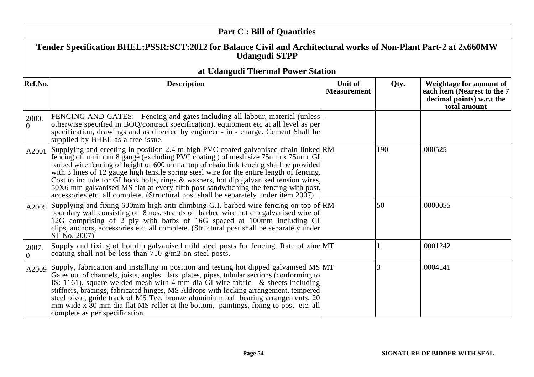| <b>Part C: Bill of Quantities</b> |                                                                                                                                                                                                                                                                                                                                                                                                                                                                                                                                                                                                                                         |                               |      |                                                                                                     |  |
|-----------------------------------|-----------------------------------------------------------------------------------------------------------------------------------------------------------------------------------------------------------------------------------------------------------------------------------------------------------------------------------------------------------------------------------------------------------------------------------------------------------------------------------------------------------------------------------------------------------------------------------------------------------------------------------------|-------------------------------|------|-----------------------------------------------------------------------------------------------------|--|
|                                   | Tender Specification BHEL:PSSR:SCT:2012 for Balance Civil and Architectural works of Non-Plant Part-2 at 2x660MW<br><b>Udangudi STPP</b>                                                                                                                                                                                                                                                                                                                                                                                                                                                                                                |                               |      |                                                                                                     |  |
|                                   | at Udangudi Thermal Power Station                                                                                                                                                                                                                                                                                                                                                                                                                                                                                                                                                                                                       |                               |      |                                                                                                     |  |
| Ref.No.                           | <b>Description</b>                                                                                                                                                                                                                                                                                                                                                                                                                                                                                                                                                                                                                      | Unit of<br><b>Measurement</b> | Qty. | Weightage for amount of<br>each item (Nearest to the 7<br>decimal points) w.r.t the<br>total amount |  |
| 2000.<br>$\theta$                 | FENCING AND GATES: Fencing and gates including all labour, material (unless)--<br>otherwise specified in BOQ/contract specification), equipment etc at all level as per<br>specification, drawings and as directed by engineer - in - charge. Cement Shall be<br>supplied by BHEL as a free issue.                                                                                                                                                                                                                                                                                                                                      |                               |      |                                                                                                     |  |
| A2001                             | Supplying and erecting in position 2.4 m high PVC coated galvanised chain linked RM<br>fencing of minimum 8 gauge (excluding PVC coating) of mesh size 75mm x 75mm. GI<br>barbed wire fencing of height of 600 mm at top of chain link fencing shall be provided<br>with 3 lines of 12 gauge high tensile spring steel wire for the entire length of fencing.<br>Cost to include for GI hook bolts, rings $\&$ washers, hot dip galvanised tension wires,<br>50X6 mm galvanised MS flat at every fifth post sandwitching the fencing with post,<br>accessories etc. all complete. (Structural post shall be separately under item 2007) |                               | 190  | .000525                                                                                             |  |
| A2005                             | Supplying and fixing 600mm high anti climbing G.I. barbed wire fencing on top of RM<br>boundary wall consisting of 8 nos. strands of barbed wire hot dip galvanised wire of<br>12G comprising of 2 ply with barbs of 16G spaced at 100mm including GI<br>clips, anchors, accessories etc. all complete. (Structural post shall be separately under<br>ST No. 2007)                                                                                                                                                                                                                                                                      |                               | 50   | .0000055                                                                                            |  |
| 2007.<br>$\Omega$                 | Supply and fixing of hot dip galvanised mild steel posts for fencing. Rate of zinc MT<br>coating shall not be less than $710$ g/m2 on steel posts.                                                                                                                                                                                                                                                                                                                                                                                                                                                                                      |                               |      | .0001242                                                                                            |  |
| A2009                             | Supply, fabrication and installing in position and testing hot dipped galvanised MS MT<br>Gates out of channels, joists, angles, flats, plates, pipes, tubular sections (conforming to<br>IS: 1161), square welded mesh with 4 mm dia $GI$ wire fabric & sheets including<br>stiffners, bracings, fabricated hinges, MS Aldrops with locking arrangement, tempered<br>steel pivot, guide track of MS Tee, bronze aluminium ball bearing arrangements, 20<br>mm wide x 80 mm dia flat MS roller at the bottom, paintings, fixing to post etc. all<br>complete as per specification.                                                      |                               | 3    | .0004141                                                                                            |  |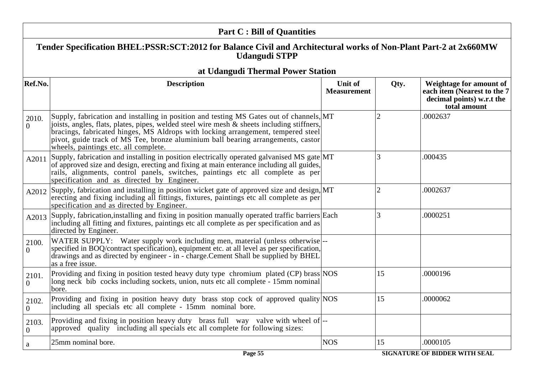|                         | <b>Part C: Bill of Quantities</b>                                                                                                                                                                                                                                                                                                                                                                     |                               |                |                                                                                                     |
|-------------------------|-------------------------------------------------------------------------------------------------------------------------------------------------------------------------------------------------------------------------------------------------------------------------------------------------------------------------------------------------------------------------------------------------------|-------------------------------|----------------|-----------------------------------------------------------------------------------------------------|
|                         | Tender Specification BHEL:PSSR:SCT:2012 for Balance Civil and Architectural works of Non-Plant Part-2 at 2x660MW<br><b>Udangudi STPP</b>                                                                                                                                                                                                                                                              |                               |                |                                                                                                     |
|                         | at Udangudi Thermal Power Station                                                                                                                                                                                                                                                                                                                                                                     |                               |                |                                                                                                     |
| Ref.No.                 | <b>Description</b>                                                                                                                                                                                                                                                                                                                                                                                    | Unit of<br><b>Measurement</b> | Qty.           | Weightage for amount of<br>each item (Nearest to the 7<br>decimal points) w.r.t the<br>total amount |
| 2010.<br>$\Omega$       | Supply, fabrication and installing in position and testing MS Gates out of channels, MT<br>joists, angles, flats, plates, pipes, welded steel wire mesh & sheets including stiffners,<br>bracings, fabricated hinges, MS Aldrops with locking arrangement, tempered steel<br>pivot, guide track of MS Tee, bronze aluminium ball bearing arrangements, castor<br>wheels, paintings etc. all complete. |                               |                | .0002637                                                                                            |
| A2011                   | Supply, fabrication and installing in position electrically operated galvanised MS gate MT<br>of approved size and design, erecting and fixing at main enterance including all guides,<br>rails, alignments, control panels, switches, paintings etc all complete as per<br>specification and as directed by Engineer.                                                                                |                               | 3              | .000435                                                                                             |
| A2012                   | Supply, fabrication and installing in position wicket gate of approved size and design, MT<br>erecting and fixing including all fittings, fixtures, paintings etc all complete as per<br>specification and as directed by Engineer.                                                                                                                                                                   |                               | $\overline{2}$ | .0002637                                                                                            |
| A2013                   | Supply, fabrication, installing and fixing in position manually operated traffic barriers Each<br>including all fitting and fixtures, paintings etc all complete as per specification and as<br>directed by Engineer.                                                                                                                                                                                 |                               | 3              | .0000251                                                                                            |
| 2100.<br>$\overline{0}$ | WATER SUPPLY: Water supply work including men, material (unless otherwise <sup>---</sup><br>specified in BOQ/contract specification), equipment etc. at all level as per specification,<br>drawings and as directed by engineer - in - charge. Cement Shall be supplied by BHEL<br>as a free issue.                                                                                                   |                               |                |                                                                                                     |
| 2101.<br>$\Omega$       | Providing and fixing in position tested heavy duty type chromium plated (CP) brass NOS<br>long neck bib cocks including sockets, union, nuts etc all complete - 15mm nominal<br>bore.                                                                                                                                                                                                                 |                               | 15             | .0000196                                                                                            |
| 2102.<br>$\Omega$       | Providing and fixing in position heavy duty brass stop cock of approved quality NOS<br>including all specials etc all complete - 15mm nominal bore.                                                                                                                                                                                                                                                   |                               | 15             | .0000062                                                                                            |
| 2103.<br>$\overline{0}$ | Providing and fixing in position heavy duty brass full way valve with wheel of --<br>approved quality including all specials etc all complete for following sizes:                                                                                                                                                                                                                                    |                               |                |                                                                                                     |
| a                       | 25mm nominal bore.                                                                                                                                                                                                                                                                                                                                                                                    | <b>NOS</b>                    | 15             | .0000105                                                                                            |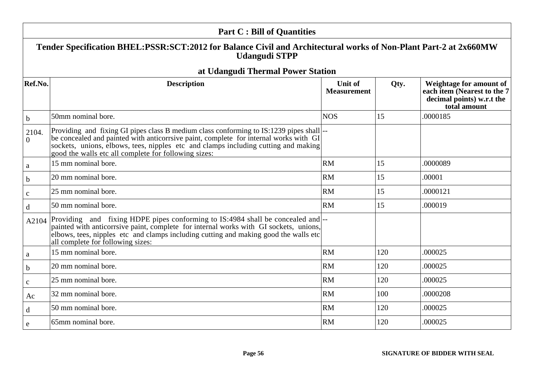|                   | <b>Part C: Bill of Quantities</b>                                                                                                                                                                                                                                                                                               |                                      |      |                                                                                                     |
|-------------------|---------------------------------------------------------------------------------------------------------------------------------------------------------------------------------------------------------------------------------------------------------------------------------------------------------------------------------|--------------------------------------|------|-----------------------------------------------------------------------------------------------------|
|                   | Tender Specification BHEL:PSSR:SCT:2012 for Balance Civil and Architectural works of Non-Plant Part-2 at 2x660MW<br><b>Udangudi STPP</b>                                                                                                                                                                                        |                                      |      |                                                                                                     |
|                   | at Udangudi Thermal Power Station                                                                                                                                                                                                                                                                                               |                                      |      |                                                                                                     |
| Ref.No.           | <b>Description</b>                                                                                                                                                                                                                                                                                                              | <b>Unit of</b><br><b>Measurement</b> | Qty. | Weightage for amount of<br>each item (Nearest to the 7<br>decimal points) w.r.t the<br>total amount |
| $\mathbf b$       | 50mm nominal bore.                                                                                                                                                                                                                                                                                                              | <b>NOS</b>                           | 15   | 0000185                                                                                             |
| 2104.<br>$\Omega$ | Providing and fixing GI pipes class B medium class conforming to IS:1239 pipes shall  --<br>be concealed and painted with anticorrsive paint, complete for internal works with GI<br>sockets, unions, elbows, tees, nipples etc and clamps including cutting and making<br>good the walls etc all complete for following sizes: |                                      |      |                                                                                                     |
| a                 | 15 mm nominal bore.                                                                                                                                                                                                                                                                                                             | <b>RM</b>                            | 15   | .0000089                                                                                            |
| $\mathbf b$       | 20 mm nominal bore.                                                                                                                                                                                                                                                                                                             | <b>RM</b>                            | 15   | .00001                                                                                              |
| $\mathbf{C}$      | 25 mm nominal bore.                                                                                                                                                                                                                                                                                                             | <b>RM</b>                            | 15   | .0000121                                                                                            |
| $\mathbf d$       | 50 mm nominal bore.                                                                                                                                                                                                                                                                                                             | <b>RM</b>                            | 15   | .000019                                                                                             |
| A2104             | Providing and fixing HDPE pipes conforming to IS:4984 shall be concealed and  --<br>painted with anticorrsive paint, complete for internal works with GI sockets, unions,<br>elbows, tees, nipples etc and clamps including cutting and making good the walls etc<br>all complete for following sizes:                          |                                      |      |                                                                                                     |
| a                 | 15 mm nominal bore.                                                                                                                                                                                                                                                                                                             | <b>RM</b>                            | 120  | .000025                                                                                             |
| $\mathbf b$       | 20 mm nominal bore.                                                                                                                                                                                                                                                                                                             | <b>RM</b>                            | 120  | .000025                                                                                             |
| $\mathbf{C}$      | 25 mm nominal bore.                                                                                                                                                                                                                                                                                                             | <b>RM</b>                            | 120  | .000025                                                                                             |
| Ac                | 32 mm nominal bore.                                                                                                                                                                                                                                                                                                             | RM                                   | 100  | .0000208                                                                                            |
| d                 | 50 mm nominal bore.                                                                                                                                                                                                                                                                                                             | <b>RM</b>                            | 120  | .000025                                                                                             |
| e                 | 65mm nominal bore.                                                                                                                                                                                                                                                                                                              | <b>RM</b>                            | 120  | .000025                                                                                             |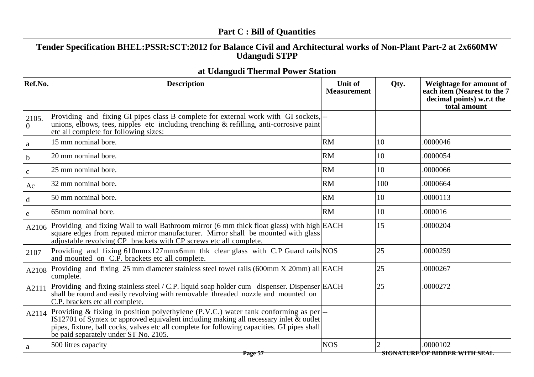|                         | <b>Part C: Bill of Quantities</b>                                                                                                                                                                                                                                                                                    |                                      |      |                                                                                                     |
|-------------------------|----------------------------------------------------------------------------------------------------------------------------------------------------------------------------------------------------------------------------------------------------------------------------------------------------------------------|--------------------------------------|------|-----------------------------------------------------------------------------------------------------|
|                         | Tender Specification BHEL:PSSR:SCT:2012 for Balance Civil and Architectural works of Non-Plant Part-2 at 2x660MW<br><b>Udangudi STPP</b>                                                                                                                                                                             |                                      |      |                                                                                                     |
|                         | at Udangudi Thermal Power Station                                                                                                                                                                                                                                                                                    |                                      |      |                                                                                                     |
| Ref.No.                 | <b>Description</b>                                                                                                                                                                                                                                                                                                   | <b>Unit of</b><br><b>Measurement</b> | Qty. | Weightage for amount of<br>each item (Nearest to the 7<br>decimal points) w.r.t the<br>total amount |
| 2105.<br>$\overline{0}$ | Providing and fixing GI pipes class B complete for external work with GI sockets,  --<br>unions, elbows, tees, nipples etc including trenching $\&$ refilling, anti-corrosive paint<br>etc all complete for following sizes:                                                                                         |                                      |      |                                                                                                     |
| $\rm{a}$                | 15 mm nominal bore.                                                                                                                                                                                                                                                                                                  | RM                                   | 10   | .0000046                                                                                            |
| $\mathbf b$             | 20 mm nominal bore.                                                                                                                                                                                                                                                                                                  | <b>RM</b>                            | 10   | .0000054                                                                                            |
| $\mathbf{C}$            | 25 mm nominal bore.                                                                                                                                                                                                                                                                                                  | <b>RM</b>                            | 10   | .0000066                                                                                            |
| Ac                      | 32 mm nominal bore.                                                                                                                                                                                                                                                                                                  | <b>RM</b>                            | 100  | .0000664                                                                                            |
| $\mathbf d$             | 50 mm nominal bore.                                                                                                                                                                                                                                                                                                  | <b>RM</b>                            | 10   | .0000113                                                                                            |
| e                       | 65mm nominal bore.                                                                                                                                                                                                                                                                                                   | RM                                   | 10   | .000016                                                                                             |
|                         | A2106 Providing and fixing Wall to wall Bathroom mirror (6 mm thick float glass) with high $ EACH $<br>square edges from reputed mirror manufacturer. Mirror shall be mounted with glass<br>adjustable revolving CP brackets with CP screws etc all complete.                                                        |                                      | 15   | .0000204                                                                                            |
| 2107                    | Providing and fixing 610mmx127mmx6mm thk clear glass with C.P Guard rails NOS<br>and mounted on C.P. brackets etc all complete.                                                                                                                                                                                      |                                      | 25   | .0000259                                                                                            |
| A2108                   | Providing and fixing 25 mm diameter stainless steel towel rails (600mm X 20mm) all $EACH$<br>complete.                                                                                                                                                                                                               |                                      | 25   | .0000267                                                                                            |
|                         | A2111 Providing and fixing stainless steel / C.P. liquid soap holder cum dispenser. Dispenser EACH<br>shall be round and easily revolving with removable threaded nozzle and mounted on<br>C.P. brackets etc all complete.                                                                                           |                                      | 25   | .0000272                                                                                            |
| A2114                   | Providing & fixing in position polyethylene (P.V.C.) water tank conforming as per<br>IS12701 of Syntex or approved equivalent including making all necessary inlet & outlet<br>pipes, fixture, ball cocks, valves etc all complete for following capacities. GI pipes shall<br>be paid separately under ST No. 2105. |                                      |      |                                                                                                     |
| a                       | 500 litres capacity<br>$P000$ 57                                                                                                                                                                                                                                                                                     | <b>NOS</b>                           |      | .0000102<br><del>cicnatide of Rinned With Ceal</del>                                                |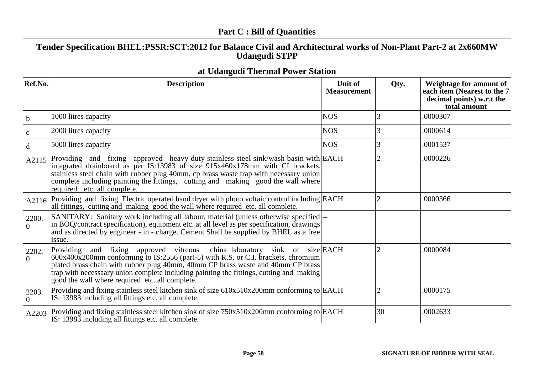|                         | <b>Part C: Bill of Quantities</b>                                                                                                                                                                                                                                                                                                                                                               |                               |                |                                                                                                     |  |
|-------------------------|-------------------------------------------------------------------------------------------------------------------------------------------------------------------------------------------------------------------------------------------------------------------------------------------------------------------------------------------------------------------------------------------------|-------------------------------|----------------|-----------------------------------------------------------------------------------------------------|--|
|                         | Tender Specification BHEL:PSSR:SCT:2012 for Balance Civil and Architectural works of Non-Plant Part-2 at 2x660MW<br><b>Udangudi STPP</b>                                                                                                                                                                                                                                                        |                               |                |                                                                                                     |  |
|                         | at Udangudi Thermal Power Station                                                                                                                                                                                                                                                                                                                                                               |                               |                |                                                                                                     |  |
| Ref.No.                 | <b>Description</b>                                                                                                                                                                                                                                                                                                                                                                              | Unit of<br><b>Measurement</b> | Qty.           | Weightage for amount of<br>each item (Nearest to the 7<br>decimal points) w.r.t the<br>total amount |  |
| $\mathbf b$             | 1000 litres capacity                                                                                                                                                                                                                                                                                                                                                                            | <b>NOS</b>                    | 3              | .0000307                                                                                            |  |
| $\mathbf c$             | 2000 litres capacity                                                                                                                                                                                                                                                                                                                                                                            | <b>NOS</b>                    | 3              | .0000614                                                                                            |  |
| $\mathbf d$             | 5000 litres capacity                                                                                                                                                                                                                                                                                                                                                                            | <b>NOS</b>                    | 3              | .0001537                                                                                            |  |
| A2115                   | Providing and fixing approved heavy duty stainless steel sink/wash basin with EACH<br>integrated drainboard as per IS:13983 of size 915x460x178mm with CI brackets,<br>stainless steel chain with rubber plug 40mm, cp brass waste trap with necessary union<br>complete including painting the fittings, cutting and making good the wall where<br>required etc. all complete.                 |                               |                | .0000226                                                                                            |  |
|                         | A2116 Providing and fixing Electric operated hand dryer with photo voltaic control including EACH<br>all fittings, cutting and making good the wall where required etc. all complete.                                                                                                                                                                                                           |                               | $\overline{2}$ | .0000366                                                                                            |  |
| 2200.<br>$\overline{0}$ | SANITARY: Sanitary work including all labour, material (unless otherwise specified)--<br>in BOQ/contract specification), equipment etc. at all level as per specification, drawings<br>and as directed by engineer - in - charge. Cement Shall be supplied by BHEL as a free<br>issue.                                                                                                          |                               |                |                                                                                                     |  |
| 2202.<br>$\overline{0}$ | Providing and fixing approved vitreous china laboratory sink of size EACH<br>600x400x200mm conforming to IS:2556 (part-5) with R.S. or C.I. brackets, chromium<br>plated brass chain with rubber plug 40mm, 40mm CP brass waste and 40mm CP brass<br>trap with necessaary union complete including painting the fittings, cutting and making<br>good the wall where required etc. all complete. |                               | $\overline{2}$ | .0000084                                                                                            |  |
| 2203.<br>$\overline{0}$ | Providing and fixing stainless steel kitchen sink of size $610x510x200$ mm conforming to EACH<br>IS: 13983 including all fittings etc. all complete.                                                                                                                                                                                                                                            |                               | $\overline{2}$ | .0000175                                                                                            |  |
|                         | A2203 Providing and fixing stainless steel kitchen sink of size $750x510x200$ mm conforming to EACH<br>IS: 13983 including all fittings etc. all complete.                                                                                                                                                                                                                                      |                               | 30             | .0002633                                                                                            |  |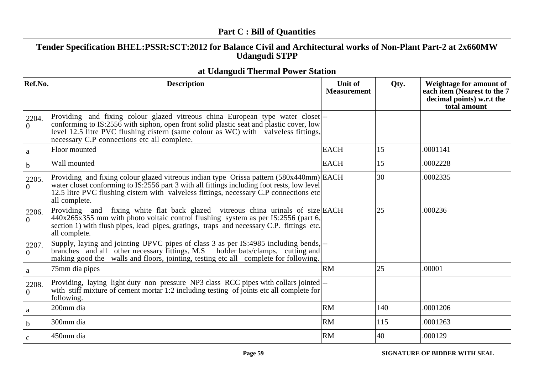|                         | <b>Part C: Bill of Quantities</b>                                                                                                                                                                                                                                                                            |                                      |      |                                                                                                     |
|-------------------------|--------------------------------------------------------------------------------------------------------------------------------------------------------------------------------------------------------------------------------------------------------------------------------------------------------------|--------------------------------------|------|-----------------------------------------------------------------------------------------------------|
|                         | Tender Specification BHEL:PSSR:SCT:2012 for Balance Civil and Architectural works of Non-Plant Part-2 at 2x660MW<br><b>Udangudi STPP</b>                                                                                                                                                                     |                                      |      |                                                                                                     |
|                         | at Udangudi Thermal Power Station                                                                                                                                                                                                                                                                            |                                      |      |                                                                                                     |
| Ref.No.                 | <b>Description</b>                                                                                                                                                                                                                                                                                           | <b>Unit of</b><br><b>Measurement</b> | Qty. | Weightage for amount of<br>each item (Nearest to the 7<br>decimal points) w.r.t the<br>total amount |
| 2204.<br>$\theta$       | Providing and fixing colour glazed vitreous china European type water closet<br>conforming to IS:2556 with siphon, open front solid plastic seat and plastic cover, low<br>level 12.5 litre PVC flushing cistern (same colour as WC) with valveless fittings,<br>necessary C.P connections etc all complete. |                                      |      |                                                                                                     |
| a                       | Floor mounted                                                                                                                                                                                                                                                                                                | <b>EACH</b>                          | 15   | .0001141                                                                                            |
| $\mathbf b$             | Wall mounted                                                                                                                                                                                                                                                                                                 | <b>EACH</b>                          | 15   | .0002228                                                                                            |
| 2205.<br>$\Omega$       | Providing and fixing colour glazed vitreous indian type Orissa pattern (580x440mm) EACH<br>water closet conforming to IS:2556 part 3 with all fittings including foot rests, low level<br>12.5 litre PVC flushing cistern with valveless fittings, necessary C.P connections etc<br>all complete.            |                                      | 30   | .0002335                                                                                            |
| 2206.<br>$\overline{0}$ | Providing and fixing white flat back glazed vitreous china urinals of size EACH<br>$440x265x355$ mm with photo voltaic control flushing system as per IS:2556 (part 6,<br>section 1) with flush pipes, lead pipes, gratings, traps and necessary C.P. fittings etc.<br>all complete.                         |                                      | 25   | .000236                                                                                             |
| 2207.<br>$\Omega$       | Supply, laying and jointing UPVC pipes of class 3 as per IS:4985 including bends,  --<br>branches and all other necessary fittings, M.S holder bats/clamps, cutting and<br>making good the walls and floors, jointing, testing etc all complete for following.                                               |                                      |      |                                                                                                     |
| a                       | 75mm dia pipes                                                                                                                                                                                                                                                                                               | RM                                   | 25   | .00001                                                                                              |
| 2208.<br>$\Omega$       | Providing, laying light duty non pressure NP3 class RCC pipes with collars jointed  --<br>with stiff mixture of cement mortar 1:2 including testing of joints etc all complete for<br>following.                                                                                                             |                                      |      |                                                                                                     |
| a                       | 200mm dia                                                                                                                                                                                                                                                                                                    | <b>RM</b>                            | 140  | .0001206                                                                                            |
| $\mathbf b$             | 300mm dia                                                                                                                                                                                                                                                                                                    | <b>RM</b>                            | 115  | .0001263                                                                                            |
| $\mathbf{C}$            | 450mm dia                                                                                                                                                                                                                                                                                                    | <b>RM</b>                            | 40   | .000129                                                                                             |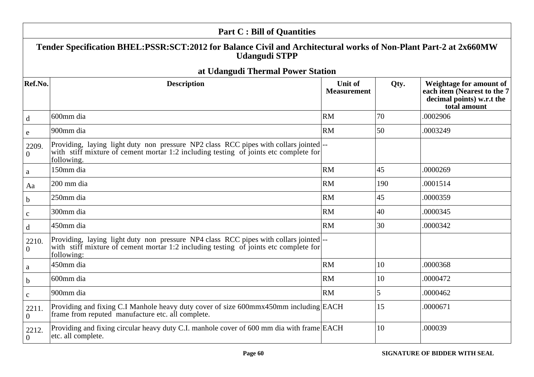|                         | <b>Part C: Bill of Quantities</b>                                                                                                                                                            |                                      |      |                                                                                                     |
|-------------------------|----------------------------------------------------------------------------------------------------------------------------------------------------------------------------------------------|--------------------------------------|------|-----------------------------------------------------------------------------------------------------|
|                         | Tender Specification BHEL:PSSR:SCT:2012 for Balance Civil and Architectural works of Non-Plant Part-2 at 2x660MW<br><b>Udangudi STPP</b>                                                     |                                      |      |                                                                                                     |
|                         | at Udangudi Thermal Power Station                                                                                                                                                            |                                      |      |                                                                                                     |
| Ref.No.                 | <b>Description</b>                                                                                                                                                                           | <b>Unit of</b><br><b>Measurement</b> | Qty. | Weightage for amount of<br>each item (Nearest to the 7<br>decimal points) w.r.t the<br>total amount |
| d                       | 600mm dia                                                                                                                                                                                    | RM                                   | 70   | .0002906                                                                                            |
| $\mathbf e$             | 900mm dia                                                                                                                                                                                    | <b>RM</b>                            | 50   | .0003249                                                                                            |
| 2209.<br>$\overline{0}$ | Providing, laying light duty non pressure NP2 class RCC pipes with collars jointed  --<br>with stiff mixture of cement mortar 1:2 including testing of joints etc complete for<br>following. |                                      |      |                                                                                                     |
| $\mathbf{a}$            | 150mm dia                                                                                                                                                                                    | RM                                   | 45   | .0000269                                                                                            |
| Aa                      | 200 mm dia                                                                                                                                                                                   | <b>RM</b>                            | 190  | .0001514                                                                                            |
| $\mathbf b$             | 250mm dia                                                                                                                                                                                    | <b>RM</b>                            | 45   | .0000359                                                                                            |
| $\mathbf C$             | 300mm dia                                                                                                                                                                                    | RM                                   | 40   | .0000345                                                                                            |
| $\mathbf d$             | 450mm dia                                                                                                                                                                                    | <b>RM</b>                            | 30   | .0000342                                                                                            |
| 2210.<br>$\overline{0}$ | Providing, laying light duty non pressure NP4 class RCC pipes with collars jointed  --<br>with stiff mixture of cement mortar 1:2 including testing of joints etc complete for<br>following: |                                      |      |                                                                                                     |
| $\mathbf{a}$            | 450mm dia                                                                                                                                                                                    | RM                                   | 10   | .0000368                                                                                            |
| $\mathbf b$             | 600mm dia                                                                                                                                                                                    | RM                                   | 10   | .0000472                                                                                            |
| $\mathbf{C}$            | 900mm dia                                                                                                                                                                                    | RM                                   | 5    | .0000462                                                                                            |
| 2211.<br>$\overline{0}$ | Providing and fixing C.I Manhole heavy duty cover of size 600mmx450mm including EACH<br>frame from reputed manufacture etc. all complete.                                                    |                                      | 15   | .0000671                                                                                            |
| 2212.<br>$\overline{0}$ | Providing and fixing circular heavy duty C.I. manhole cover of 600 mm dia with frame EACH<br>etc. all complete.                                                                              |                                      | 10   | .000039                                                                                             |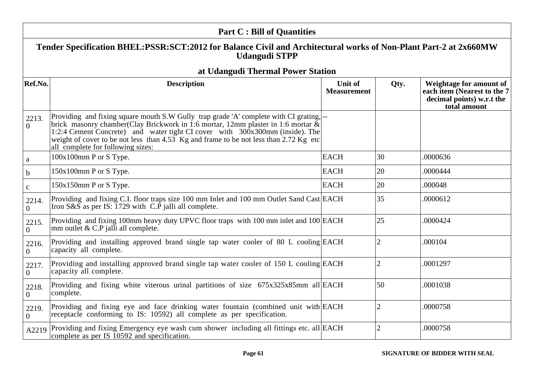|                         | <b>Part C: Bill of Quantities</b>                                                                                                                                                                                                                                                                                                                                                             |                                      |                |                                                                                                     |  |  |
|-------------------------|-----------------------------------------------------------------------------------------------------------------------------------------------------------------------------------------------------------------------------------------------------------------------------------------------------------------------------------------------------------------------------------------------|--------------------------------------|----------------|-----------------------------------------------------------------------------------------------------|--|--|
|                         | Tender Specification BHEL:PSSR:SCT:2012 for Balance Civil and Architectural works of Non-Plant Part-2 at 2x660MW<br><b>Udangudi STPP</b>                                                                                                                                                                                                                                                      |                                      |                |                                                                                                     |  |  |
|                         | at Udangudi Thermal Power Station                                                                                                                                                                                                                                                                                                                                                             |                                      |                |                                                                                                     |  |  |
| Ref.No.                 | <b>Description</b>                                                                                                                                                                                                                                                                                                                                                                            | <b>Unit of</b><br><b>Measurement</b> | Qty.           | Weightage for amount of<br>each item (Nearest to the 7<br>decimal points) w.r.t the<br>total amount |  |  |
| 2213.<br>$\theta$       | Providing and fixing square mouth S.W Gully trap grade 'A' complete with CI grating,  --<br>brick masonry chamber(Clay Brickwork in 1:6 mortar, 12mm plaster in 1:6 mortar $\&$<br>1:2:4 Cement Concrete) and water tight CI cover with 300x300mm (inside). The<br>weight of cover to be not less than 4.53 Kg and frame to be not less than 2.72 Kg etc<br>all complete for following sizes: |                                      |                |                                                                                                     |  |  |
| $\mathbf{a}$            | 100x100mm P or S Type.                                                                                                                                                                                                                                                                                                                                                                        | <b>EACH</b>                          | 30             | .0000636                                                                                            |  |  |
| $\mathbf b$             | 150x100mm P or S Type.                                                                                                                                                                                                                                                                                                                                                                        | <b>EACH</b>                          | 20             | .0000444                                                                                            |  |  |
| $\mathbf c$             | 150x150mm P or S Type.                                                                                                                                                                                                                                                                                                                                                                        | <b>EACH</b>                          | 20             | .000048                                                                                             |  |  |
| 2214.<br>$\overline{0}$ | Providing and fixing C.I. floor traps size 100 mm Inlet and 100 mm Outlet Sand Cast EACH<br>Iron $S\&\bar{S}$ as per IS: 1729 with C.P jalli all complete.                                                                                                                                                                                                                                    |                                      | 35             | .0000612                                                                                            |  |  |
| 2215.<br>$\overline{0}$ | Providing and fixing 100mm heavy duty UPVC floor traps with 100 mm inlet and 100 EACH<br>mm outlet & C.P jalli all complete.                                                                                                                                                                                                                                                                  |                                      | 25             | .0000424                                                                                            |  |  |
| 2216.<br>$\overline{0}$ | Providing and installing approved brand single tap water cooler of 80 L cooling EACH<br>capacity all complete.                                                                                                                                                                                                                                                                                |                                      | $\overline{2}$ | .000104                                                                                             |  |  |
| 2217.<br>$\overline{0}$ | Providing and installing approved brand single tap water cooler of 150 L cooling EACH<br>capacity all complete.                                                                                                                                                                                                                                                                               |                                      | $\overline{2}$ | .0001297                                                                                            |  |  |
| 2218.<br>$\overline{0}$ | Providing and fixing white viterous urinal partitions of size 675x325x85mm all EACH<br>complete.                                                                                                                                                                                                                                                                                              |                                      | 50             | .0001038                                                                                            |  |  |
| 2219.<br>$\theta$       | Providing and fixing eye and face drinking water fountain (combined unit with EACH<br>receptacle conforming to IS: 10592) all complete as per specification.                                                                                                                                                                                                                                  |                                      | $\overline{2}$ | .0000758                                                                                            |  |  |
|                         | A2219 Providing and fixing Emergency eye wash cum shower including all fittings etc. all EACH<br>complete as per IS 10592 and specification.                                                                                                                                                                                                                                                  |                                      | $\overline{2}$ | .0000758                                                                                            |  |  |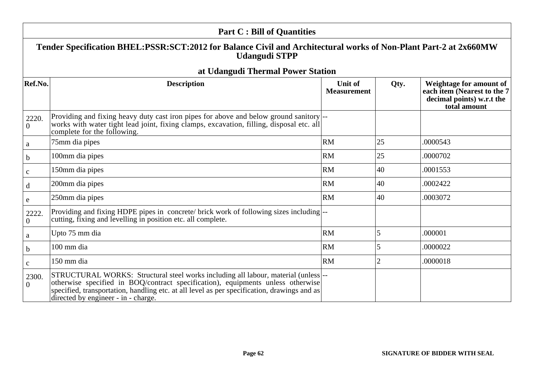|                         | <b>Part C: Bill of Quantities</b>                                                                                                                                                                                                                                                                           |                                      |                |                                                                                                     |  |
|-------------------------|-------------------------------------------------------------------------------------------------------------------------------------------------------------------------------------------------------------------------------------------------------------------------------------------------------------|--------------------------------------|----------------|-----------------------------------------------------------------------------------------------------|--|
|                         | Tender Specification BHEL:PSSR:SCT:2012 for Balance Civil and Architectural works of Non-Plant Part-2 at 2x660MW<br><b>Udangudi STPP</b>                                                                                                                                                                    |                                      |                |                                                                                                     |  |
|                         | at Udangudi Thermal Power Station                                                                                                                                                                                                                                                                           |                                      |                |                                                                                                     |  |
| Ref.No.                 | <b>Description</b>                                                                                                                                                                                                                                                                                          | <b>Unit of</b><br><b>Measurement</b> | Qty.           | Weightage for amount of<br>each item (Nearest to the 7<br>decimal points) w.r.t the<br>total amount |  |
| 2220.<br>$\overline{0}$ | Providing and fixing heavy duty cast iron pipes for above and below ground sanitory  --<br>works with water tight lead joint, fixing clamps, excavation, filling, disposal etc. all<br>complete for the following.                                                                                          |                                      |                |                                                                                                     |  |
| a                       | 75mm dia pipes                                                                                                                                                                                                                                                                                              | <b>RM</b>                            | 25             | .0000543                                                                                            |  |
| $\mathbf b$             | 100mm dia pipes                                                                                                                                                                                                                                                                                             | <b>RM</b>                            | 25             | .0000702                                                                                            |  |
| $\mathbf{C}$            | 150mm dia pipes                                                                                                                                                                                                                                                                                             | <b>RM</b>                            | 40             | .0001553                                                                                            |  |
| d                       | 200mm dia pipes                                                                                                                                                                                                                                                                                             | <b>RM</b>                            | 40             | .0002422                                                                                            |  |
| e                       | 250mm dia pipes                                                                                                                                                                                                                                                                                             | <b>RM</b>                            | 40             | .0003072                                                                                            |  |
| 2222.<br>$\overline{0}$ | Providing and fixing HDPE pipes in concrete/ brick work of following sizes including  --<br>cutting, fixing and levelling in position etc. all complete.                                                                                                                                                    |                                      |                |                                                                                                     |  |
| a                       | Upto 75 mm dia                                                                                                                                                                                                                                                                                              | RM                                   | 5              | .000001                                                                                             |  |
| $\mathbf b$             | 100 mm dia                                                                                                                                                                                                                                                                                                  | <b>RM</b>                            | 5              | .0000022                                                                                            |  |
| $\mathbf{C}$            | 150 mm dia                                                                                                                                                                                                                                                                                                  | <b>RM</b>                            | $\overline{2}$ | .0000018                                                                                            |  |
| 2300.<br>$\overline{0}$ | STRUCTURAL WORKS: Structural steel works including all labour, material (unless --<br>otherwise specified in BOQ/contract specification), equipments unless otherwise<br>specified, transportation, handling etc. at all level as per specification, drawings and as<br>directed by engineer - in - charge. |                                      |                |                                                                                                     |  |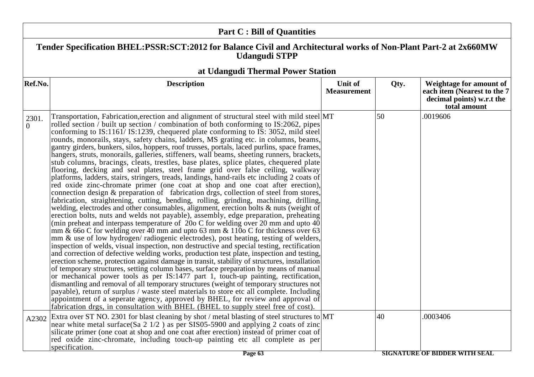|                   | <b>Part C: Bill of Quantities</b>                                                                                                                                                                                                                                                                                                                                                                                                                                                                                                                                                                                                                                                                                                                                                                                                                                                                                                                                                                                                                                                                                                                                                                                                                                                                                                                                                                                                                                                                                                                                                                                                                                                                                                                                                                                                                                                                                                                                                                                                                                                                                                                                                                                                                                                                                                                                                                              |                               |      |                                                                                                     |
|-------------------|----------------------------------------------------------------------------------------------------------------------------------------------------------------------------------------------------------------------------------------------------------------------------------------------------------------------------------------------------------------------------------------------------------------------------------------------------------------------------------------------------------------------------------------------------------------------------------------------------------------------------------------------------------------------------------------------------------------------------------------------------------------------------------------------------------------------------------------------------------------------------------------------------------------------------------------------------------------------------------------------------------------------------------------------------------------------------------------------------------------------------------------------------------------------------------------------------------------------------------------------------------------------------------------------------------------------------------------------------------------------------------------------------------------------------------------------------------------------------------------------------------------------------------------------------------------------------------------------------------------------------------------------------------------------------------------------------------------------------------------------------------------------------------------------------------------------------------------------------------------------------------------------------------------------------------------------------------------------------------------------------------------------------------------------------------------------------------------------------------------------------------------------------------------------------------------------------------------------------------------------------------------------------------------------------------------------------------------------------------------------------------------------------------------|-------------------------------|------|-----------------------------------------------------------------------------------------------------|
|                   | Tender Specification BHEL:PSSR:SCT:2012 for Balance Civil and Architectural works of Non-Plant Part-2 at 2x660MW<br><b>Udangudi STPP</b>                                                                                                                                                                                                                                                                                                                                                                                                                                                                                                                                                                                                                                                                                                                                                                                                                                                                                                                                                                                                                                                                                                                                                                                                                                                                                                                                                                                                                                                                                                                                                                                                                                                                                                                                                                                                                                                                                                                                                                                                                                                                                                                                                                                                                                                                       |                               |      |                                                                                                     |
|                   | at Udangudi Thermal Power Station                                                                                                                                                                                                                                                                                                                                                                                                                                                                                                                                                                                                                                                                                                                                                                                                                                                                                                                                                                                                                                                                                                                                                                                                                                                                                                                                                                                                                                                                                                                                                                                                                                                                                                                                                                                                                                                                                                                                                                                                                                                                                                                                                                                                                                                                                                                                                                              |                               |      |                                                                                                     |
| Ref.No.           | <b>Description</b>                                                                                                                                                                                                                                                                                                                                                                                                                                                                                                                                                                                                                                                                                                                                                                                                                                                                                                                                                                                                                                                                                                                                                                                                                                                                                                                                                                                                                                                                                                                                                                                                                                                                                                                                                                                                                                                                                                                                                                                                                                                                                                                                                                                                                                                                                                                                                                                             | Unit of<br><b>Measurement</b> | Qty. | Weightage for amount of<br>each item (Nearest to the 7<br>decimal points) w.r.t the<br>total amount |
| 2301.<br>$\Omega$ | Transportation, Fabrication, erection and alignment of structural steel with mild steel MT<br>rolled section / built up section / combination of both conforming to IS:2062, pipes<br>conforming to IS:1161/IS:1239, chequered plate conforming to IS: 3052, mild steel<br>rounds, monorails, stays, safety chains, ladders, MS grating etc. in columns, beams,<br>gantry girders, bunkers, silos, hoppers, roof trusses, portals, laced purlins, space frames,<br>hangers, struts, monorails, galleries, stiffeners, wall beams, sheeting runners, brackets,<br>stub columns, bracings, cleats, trestles, base plates, splice plates, chequered plate<br>flooring, decking and seal plates, steel frame grid over false ceiling, walkway<br>platforms, ladders, stairs, stringers, treads, landings, hand-rails etc including 2 coats of<br>red oxide zinc-chromate primer (one coat at shop and one coat after erection),<br>connection design & preparation of fabrication drgs, collection of steel from stores,<br>fabrication, straightening, cutting, bending, rolling, grinding, machining, drilling,<br>welding, electrodes and other consumables, alignment, erection bolts & nuts (weight of<br>erection bolts, nuts and welds not payable), assembly, edge preparation, preheating<br>(min preheat and interpass temperature of $20$ C for welding over 20 mm and upto $40$<br>mm $\&$ 660 C for welding over 40 mm and upto 63 mm $\&$ 1100 C for thickness over 63<br>mm & use of low hydrogen/ radiogenic electrodes), post heating, testing of welders,<br>inspection of welds, visual inspection, non destructive and special testing, rectification<br>and correction of defective welding works, production test plate, inspection and testing,<br>erection scheme, protection against damage in transit, stability of structures, installation<br>of temporary structures, setting column bases, surface preparation by means of manual<br>or mechanical power tools as per IS:1477 part 1, touch-up painting, rectification,<br>dismantling and removal of all temporary structures (weight of temporary structures not<br>payable), return of surplus / waste steel materials to store etc all complete. Including<br>appointment of a seperate agency, approved by BHEL, for review and approval of<br>fabrication drgs, in consultation with BHEL (BHEL to supply steel free of cost). |                               | 50   | .0019606                                                                                            |
| A2302             | Extra over ST NO. 2301 for blast cleaning by shot / metal blasting of steel structures to MT<br>near white metal surface(Sa $2 \frac{1}{2}$ ) as per SIS05-5900 and applying 2 coats of zinc<br>silicate primer (one coat at shop and one coat after erection) instead of primer coat of<br>red oxide zinc-chromate, including touch-up painting etc all complete as per                                                                                                                                                                                                                                                                                                                                                                                                                                                                                                                                                                                                                                                                                                                                                                                                                                                                                                                                                                                                                                                                                                                                                                                                                                                                                                                                                                                                                                                                                                                                                                                                                                                                                                                                                                                                                                                                                                                                                                                                                                       |                               | 40   | .0003406                                                                                            |
|                   | specification.                                                                                                                                                                                                                                                                                                                                                                                                                                                                                                                                                                                                                                                                                                                                                                                                                                                                                                                                                                                                                                                                                                                                                                                                                                                                                                                                                                                                                                                                                                                                                                                                                                                                                                                                                                                                                                                                                                                                                                                                                                                                                                                                                                                                                                                                                                                                                                                                 |                               |      | <i>Control de la completa de la completa de la co</i>                                               |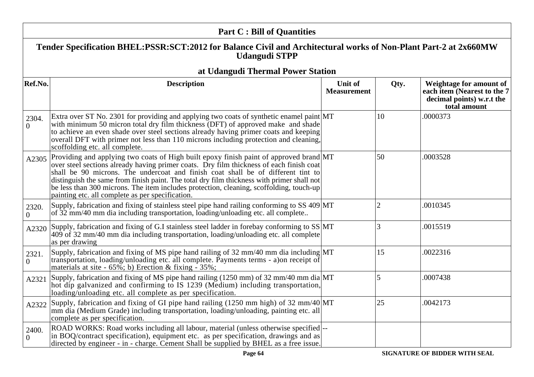|                         | <b>Part C: Bill of Quantities</b>                                                                                                                                                                                                                                                                                                                                                                                                                                                                                  |                               |                |                                                                                                     |  |
|-------------------------|--------------------------------------------------------------------------------------------------------------------------------------------------------------------------------------------------------------------------------------------------------------------------------------------------------------------------------------------------------------------------------------------------------------------------------------------------------------------------------------------------------------------|-------------------------------|----------------|-----------------------------------------------------------------------------------------------------|--|
|                         | Tender Specification BHEL:PSSR:SCT:2012 for Balance Civil and Architectural works of Non-Plant Part-2 at 2x660MW<br><b>Udangudi STPP</b>                                                                                                                                                                                                                                                                                                                                                                           |                               |                |                                                                                                     |  |
|                         | at Udangudi Thermal Power Station                                                                                                                                                                                                                                                                                                                                                                                                                                                                                  |                               |                |                                                                                                     |  |
| Ref.No.                 | <b>Description</b>                                                                                                                                                                                                                                                                                                                                                                                                                                                                                                 | Unit of<br><b>Measurement</b> | Qty.           | Weightage for amount of<br>each item (Nearest to the 7<br>decimal points) w.r.t the<br>total amount |  |
| 2304.<br>$\theta$       | Extra over ST No. 2301 for providing and applying two coats of synthetic enamel paint MT<br>with minimum 50 micron total dry film thickness (DFT) of approved make and shade<br>to achieve an even shade over steel sections already having primer coats and keeping<br>overall DFT with primer not less than 110 microns including protection and cleaning,<br>scoffolding etc. all complete.                                                                                                                     |                               | 10             | .0000373                                                                                            |  |
| A2305                   | Providing and applying two coats of High built epoxy finish paint of approved brand MT<br>over steel sections already having primer coats. Dry film thickness of each finish coat<br>shall be 90 microns. The undercoat and finish coat shall be of different tint to<br>distinguish the same from finish paint. The total dry film thickness with primer shall not<br>be less than 300 microns. The item includes protection, cleaning, scoffolding, touch-up<br>painting etc. all complete as per specification. |                               | 50             | .0003528                                                                                            |  |
| 2320.<br>$\overline{0}$ | Supply, fabrication and fixing of stainless steel pipe hand railing conforming to SS 409 MT<br>of 32 mm/40 mm dia including transportation, loading/unloading etc. all complete                                                                                                                                                                                                                                                                                                                                    |                               | $\overline{2}$ | .0010345                                                                                            |  |
| A2320                   | Supply, fabrication and fixing of G.I stainless steel ladder in forebay conforming to SS MT<br>409 of 32 mm/40 mm dia including transportation, loading/unloading etc. all complete<br>as per drawing                                                                                                                                                                                                                                                                                                              |                               | 3              | .0015519                                                                                            |  |
| 2321.<br>$\Omega$       | Supply, fabrication and fixing of MS pipe hand railing of 32 mm/40 mm dia including MT<br>transportation, loading/unloading etc. all complete. Payments terms - a)on receipt of<br>materials at site - $65\%$ ; b) Erection & fixing - $35\%$ ;                                                                                                                                                                                                                                                                    |                               | 15             | .0022316                                                                                            |  |
| A2321                   | Supply, fabrication and fixing of MS pipe hand railing (1250 mm) of 32 mm/40 mm dia $MT$<br>hot dip galvanized and confirming to IS 1239 (Medium) including transportation,<br>loading/unloading etc. all complete as per specification.                                                                                                                                                                                                                                                                           |                               | $\overline{5}$ | .0007438                                                                                            |  |
| A2322                   | Supply, fabrication and fixing of GI pipe hand railing $(1250 \text{ mm high})$ of 32 mm/40 MT<br>mm dia (Medium Grade) including transportation, loading/unloading, painting etc. all<br>complete as per specification.                                                                                                                                                                                                                                                                                           |                               | $ 25\rangle$   | .0042173                                                                                            |  |
| 2400.<br>$\theta$       | ROAD WORKS: Road works including all labour, material (unless otherwise specified)--<br>in BOQ/contract specification), equipment etc. as per specification, drawings and as<br>directed by engineer - in - charge. Cement Shall be supplied by BHEL as a free issue.                                                                                                                                                                                                                                              |                               |                |                                                                                                     |  |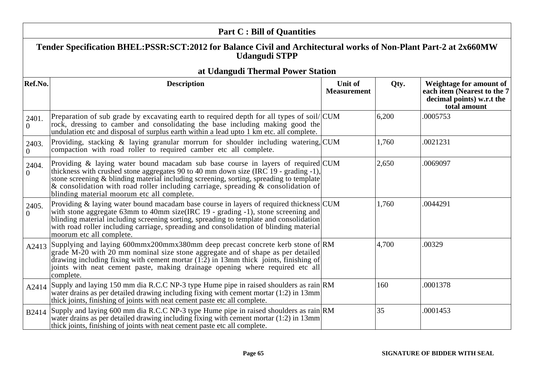|                   | <b>Part C: Bill of Quantities</b>                                                                                                                                                                                                                                                                                                                                                                         |                               |       |                                                                                                     |  |
|-------------------|-----------------------------------------------------------------------------------------------------------------------------------------------------------------------------------------------------------------------------------------------------------------------------------------------------------------------------------------------------------------------------------------------------------|-------------------------------|-------|-----------------------------------------------------------------------------------------------------|--|
|                   | Tender Specification BHEL:PSSR:SCT:2012 for Balance Civil and Architectural works of Non-Plant Part-2 at 2x660MW<br><b>Udangudi STPP</b>                                                                                                                                                                                                                                                                  |                               |       |                                                                                                     |  |
|                   | at Udangudi Thermal Power Station                                                                                                                                                                                                                                                                                                                                                                         |                               |       |                                                                                                     |  |
| Ref.No.           | <b>Description</b>                                                                                                                                                                                                                                                                                                                                                                                        | Unit of<br><b>Measurement</b> | Qty.  | Weightage for amount of<br>each item (Nearest to the 7<br>decimal points) w.r.t the<br>total amount |  |
| 2401.<br>$\Omega$ | Preparation of sub grade by excavating earth to required depth for all types of soil/CUM<br>rock, dressing to camber and consolidating the base including making good the<br>undulation etc and disposal of surplus earth within a lead upto 1 km etc. all complete.                                                                                                                                      |                               | 6,200 | .0005753                                                                                            |  |
| 2403.<br>$\Omega$ | Providing, stacking & laying granular morrum for shoulder including watering, CUM<br>compaction with road roller to required camber etc all complete.                                                                                                                                                                                                                                                     |                               | 1,760 | .0021231                                                                                            |  |
| 2404.<br>$\Omega$ | Providing & laying water bound macadam sub base course in layers of required CUM<br>thickness with crushed stone aggregates 90 to 40 mm down size (IRC 19 - grading -1),<br>stone screening & blinding material including screening, sorting, spreading to template<br>& consolidation with road roller including carriage, spreading $\&$ consolidation of<br>blinding material moorum etc all complete. |                               | 2,650 | .0069097                                                                                            |  |
| 2405.<br>$\Omega$ | Providing & laying water bound macadam base course in layers of required thickness CUM<br>with stone aggregate 63mm to 40mm size(IRC 19 - grading -1), stone screening and<br>blinding material including screening sorting, spreading to template and consolidation<br>with road roller including carriage, spreading and consolidation of blinding material<br>moorum etc all complete.                 |                               | 1,760 | .0044291                                                                                            |  |
| A2413             | Supplying and laying 600mmx200mmx380mm deep precast concrete kerb stone of RM<br>grade M-20 with 20 mm nominal size stone aggregate and of shape as per detailed<br>drawing including fixing with cement mortar $(1:2)$ in 13mm thick joints, finishing of<br>joints with neat cement paste, making drainage opening where required etc all<br>complete.                                                  |                               | 4,700 | .00329                                                                                              |  |
| A2414             | Supply and laying 150 mm dia R.C.C NP-3 type Hume pipe in raised shoulders as rain RM<br>water drains as per detailed drawing including fixing with cement mortar (1:2) in 13mm<br>thick joints, finishing of joints with neat cement paste etc all complete.                                                                                                                                             |                               | 160   | .0001378                                                                                            |  |
| B2414             | Supply and laying 600 mm dia R.C.C NP-3 type Hume pipe in raised shoulders as rain RM<br>water drains as per detailed drawing including fixing with cement mortar (1:2) in 13mm<br>thick joints, finishing of joints with neat cement paste etc all complete.                                                                                                                                             |                               | 35    | .0001453                                                                                            |  |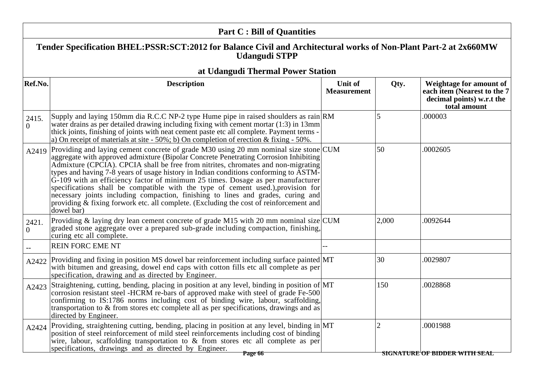|                   | <b>Part C: Bill of Quantities</b>                                                                                                                                                                                                                                                                                                                                                                                                                                                                                                                                                                                                                                                                                               |                               |                |                                                                                                     |
|-------------------|---------------------------------------------------------------------------------------------------------------------------------------------------------------------------------------------------------------------------------------------------------------------------------------------------------------------------------------------------------------------------------------------------------------------------------------------------------------------------------------------------------------------------------------------------------------------------------------------------------------------------------------------------------------------------------------------------------------------------------|-------------------------------|----------------|-----------------------------------------------------------------------------------------------------|
|                   | Tender Specification BHEL:PSSR:SCT:2012 for Balance Civil and Architectural works of Non-Plant Part-2 at 2x660MW<br><b>Udangudi STPP</b>                                                                                                                                                                                                                                                                                                                                                                                                                                                                                                                                                                                        |                               |                |                                                                                                     |
|                   | at Udangudi Thermal Power Station                                                                                                                                                                                                                                                                                                                                                                                                                                                                                                                                                                                                                                                                                               |                               |                |                                                                                                     |
| Ref.No.           | <b>Description</b>                                                                                                                                                                                                                                                                                                                                                                                                                                                                                                                                                                                                                                                                                                              | Unit of<br><b>Measurement</b> | Qty.           | Weightage for amount of<br>each item (Nearest to the 7<br>decimal points) w.r.t the<br>total amount |
| 2415.<br>$\theta$ | Supply and laying 150mm dia R.C.C NP-2 type Hume pipe in raised shoulders as rain RM<br>water drains as per detailed drawing including fixing with cement mortar $(1:3)$ in 13mm<br>thick joints, finishing of joints with neat cement paste etc all complete. Payment terms -<br>a) On receipt of materials at site $-50\%$ ; b) On completion of erection & fixing $-50\%$ .                                                                                                                                                                                                                                                                                                                                                  |                               |                | .000003                                                                                             |
| A2419             | Providing and laying cement concrete of grade M30 using 20 mm nominal size stone CUM<br>aggregate with approved admixture (Bipolar Concrete Penetrating Corrosion Inhibiting)<br>Admixture (CPCIA). CPCIA shall be free from nitrites, chromates and non-migrating<br>types and having 7-8 years of usage history in Indian conditions conforming to ASTM-<br>$G-109$ with an efficiency factor of minimum 25 times. Dosage as per manufacturer<br>specifications shall be compatible with the type of cement used.), provision for<br>necessary joints including compaction, finishing to lines and grades, curing and<br>providing & fixing forwork etc. all complete. (Excluding the cost of reinforcement and<br>dowel bar) |                               | 50             | .0002605                                                                                            |
| 2421.<br>$\Omega$ | Providing & laying dry lean cement concrete of grade M15 with 20 mm nominal size $ CUM $<br>graded stone aggregate over a prepared sub-grade including compaction, finishing,<br>curing etc all complete.                                                                                                                                                                                                                                                                                                                                                                                                                                                                                                                       |                               | 2,000          | .0092644                                                                                            |
|                   | <b>REIN FORC EME NT</b>                                                                                                                                                                                                                                                                                                                                                                                                                                                                                                                                                                                                                                                                                                         |                               |                |                                                                                                     |
| A2422             | Providing and fixing in position MS dowel bar reinforcement including surface painted MT<br>with bitumen and greasing, dowel end caps with cotton fills etc all complete as per<br>specification, drawing and as directed by Engineer.                                                                                                                                                                                                                                                                                                                                                                                                                                                                                          |                               | 30             | .0029807                                                                                            |
| A2423             | Straightening, cutting, bending, placing in position at any level, binding in position of MT<br>corrosion resistant steel -HCRM re-bars of approved make with steel of grade Fe-500<br>confirming to IS:1786 norms including cost of binding wire, labour, scaffolding,<br>transportation to & from stores etc complete all as per specifications, drawings and as<br>directed by Engineer.                                                                                                                                                                                                                                                                                                                                     |                               | 150            | .0028868                                                                                            |
| A2424             | Providing, straightening cutting, bending, placing in position at any level, binding in MT<br>position of steel reinforcement of mild steel reinforcements including cost of binding<br>wire, labour, scaffolding transportation to $\&$ from stores etc all complete as per<br>specifications, drawings and as directed by Engineer.                                                                                                                                                                                                                                                                                                                                                                                           |                               | $\overline{2}$ | .0001988                                                                                            |
|                   | Page 66                                                                                                                                                                                                                                                                                                                                                                                                                                                                                                                                                                                                                                                                                                                         |                               |                | <b>SIGNATURE OF BIDDER WITH SEAL</b>                                                                |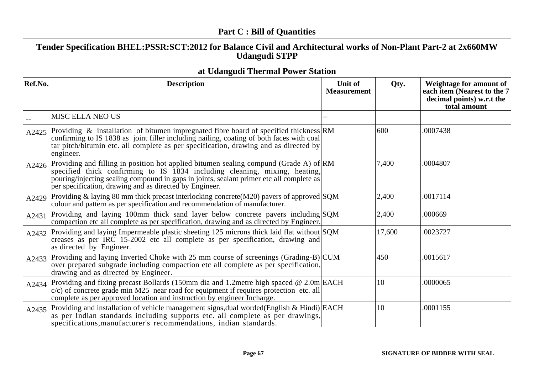|           | <b>Part C: Bill of Quantities</b>                                                                                                                                                                                                                                                                                          |                                      |        |                                                                                                     |  |
|-----------|----------------------------------------------------------------------------------------------------------------------------------------------------------------------------------------------------------------------------------------------------------------------------------------------------------------------------|--------------------------------------|--------|-----------------------------------------------------------------------------------------------------|--|
|           | Tender Specification BHEL:PSSR:SCT:2012 for Balance Civil and Architectural works of Non-Plant Part-2 at 2x660MW<br><b>Udangudi STPP</b>                                                                                                                                                                                   |                                      |        |                                                                                                     |  |
|           | at Udangudi Thermal Power Station                                                                                                                                                                                                                                                                                          |                                      |        |                                                                                                     |  |
| Ref.No.   | <b>Description</b>                                                                                                                                                                                                                                                                                                         | <b>Unit of</b><br><b>Measurement</b> | Qty.   | Weightage for amount of<br>each item (Nearest to the 7<br>decimal points) w.r.t the<br>total amount |  |
|           | MISC ELLA NEO US                                                                                                                                                                                                                                                                                                           |                                      |        |                                                                                                     |  |
| A2425     | Providing $\&$ installation of bitumen impregnated fibre board of specified thickness RM<br>confirming to IS 1838 as joint filler including nailing, coating of both faces with coal<br>tar pitch/bitumin etc. all complete as per specification, drawing and as directed by<br>engineer.                                  |                                      | 600    | .0007438                                                                                            |  |
| A2426     | Providing and filling in position hot applied bitumen sealing compund (Grade A) of RM<br>specified thick confirming to IS 1834 including cleaning, mixing, heating,<br>pouring/injecting sealing compound in gaps in joints, sealant primer etc all complete as<br>per specification, drawing and as directed by Engineer. |                                      | 7,400  | .0004807                                                                                            |  |
| A2429     | Providing & laying 80 mm thick precast interlocking concrete $(M20)$ pavers of approved $\text{SQM}$<br>colour and pattern as per specification and recommendation of manufacturer.                                                                                                                                        |                                      | 2,400  | .0017114                                                                                            |  |
| A2431     | Providing and laying 100mm thick sand layer below concrete pavers including SQM<br>compaction etc all complete as per specification, drawing and as directed by Engineer.                                                                                                                                                  |                                      | 2,400  | .000669                                                                                             |  |
| A2432     | Providing and laying Impermeable plastic sheeting 125 microns thick laid flat without SQM<br>creases as per IRC 15-2002 etc all complete as per specification, drawing and<br>as directed by Engineer.                                                                                                                     |                                      | 17,600 | .0023727                                                                                            |  |
|           | A2433 Providing and laying Inverted Choke with 25 mm course of screenings (Grading-B) CUM<br>over prepared subgrade including compaction etc all complete as per specification,<br>drawing and as directed by Engineer.                                                                                                    |                                      | 450    | .0015617                                                                                            |  |
| A2434 $ $ | Providing and fixing precast Bollards (150mm dia and 1.2 metre high spaced $@ 2.0m$ EACH<br>$c/c$ ) of concrete grade min M25 near road for equipment if requires protection etc. all<br>complete as per approved location and instruction by engineer Incharge.                                                           |                                      | 10     | .0000065                                                                                            |  |
| A2435     | Providing and installation of vehicle management signs, dual worded (English & Hindi) EACH<br>as per Indian standards including supports etc. all complete as per drawings,<br>specifications, manufacturer's recommendations, indian standards.                                                                           |                                      | 10     | .0001155                                                                                            |  |